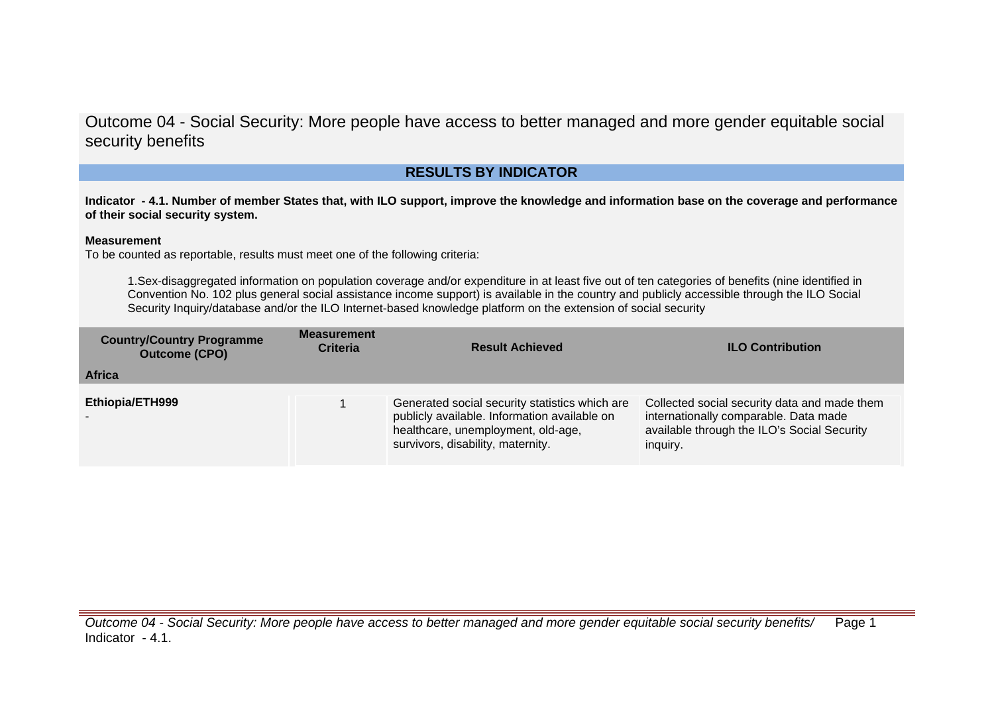## **RESULTS BY INDICATOR**

**Indicator - 4.1. Number of member States that, with ILO support, improve the knowledge and information base on the coverage and performance of their social security system.**

#### **Measurement**

To be counted as reportable, results must meet one of the following criteria:

1.Sex-disaggregated information on population coverage and/or expenditure in at least five out of ten categories of benefits (nine identified in Convention No. 102 plus general social assistance income support) is available in the country and publicly accessible through the ILO Social Security Inquiry/database and/or the ILO Internet-based knowledge platform on the extension of social security

| <b>Country/Country Programme</b><br><b>Outcome (CPO)</b> | <b>Measurement</b><br><b>Criteria</b> | <b>Result Achieved</b>                                                                                                                                                    | <b>ILO Contribution</b>                                                                                                                          |
|----------------------------------------------------------|---------------------------------------|---------------------------------------------------------------------------------------------------------------------------------------------------------------------------|--------------------------------------------------------------------------------------------------------------------------------------------------|
| <b>Africa</b>                                            |                                       |                                                                                                                                                                           |                                                                                                                                                  |
| Ethiopia/ETH999                                          |                                       | Generated social security statistics which are<br>publicly available. Information available on<br>healthcare, unemployment, old-age,<br>survivors, disability, maternity. | Collected social security data and made them<br>internationally comparable. Data made<br>available through the ILO's Social Security<br>inquiry. |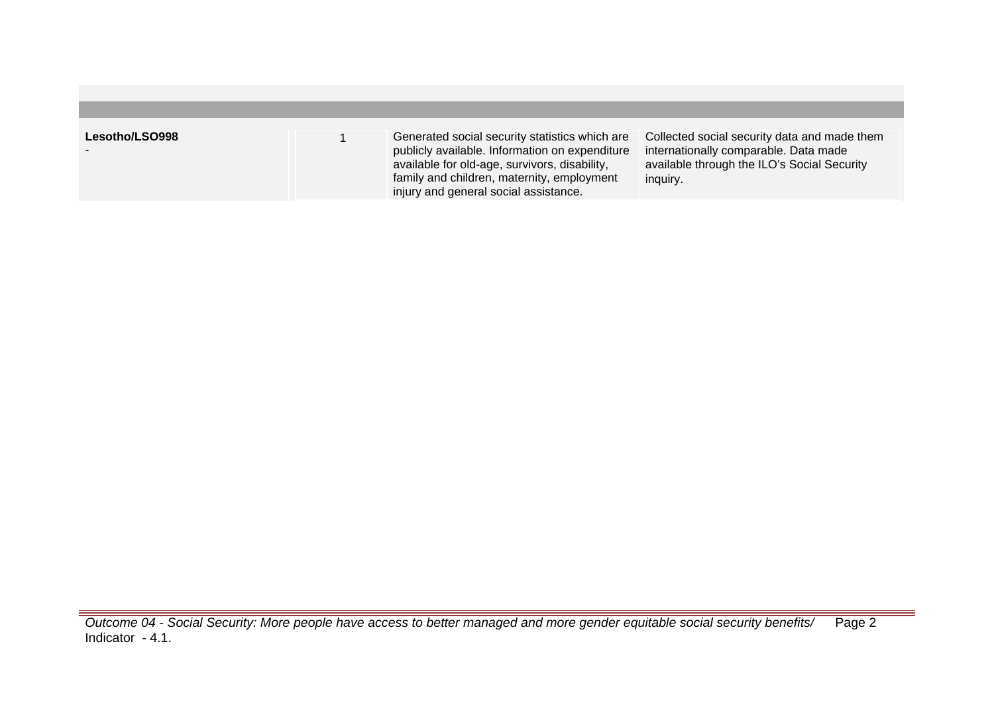| Lesotho/LSO998 | Generated social security statistics which are<br>publicly available. Information on expenditure<br>available for old-age, survivors, disability,<br>family and children, maternity, employment<br>injury and general social assistance. | Collected social security data and made them<br>internationally comparable. Data made<br>available through the ILO's Social Security<br>inquiry. |
|----------------|------------------------------------------------------------------------------------------------------------------------------------------------------------------------------------------------------------------------------------------|--------------------------------------------------------------------------------------------------------------------------------------------------|

Outcome 04 - Social Security: More people have access to better managed and more gender equitable social security benefits/ Indicator - 4.1. Page 2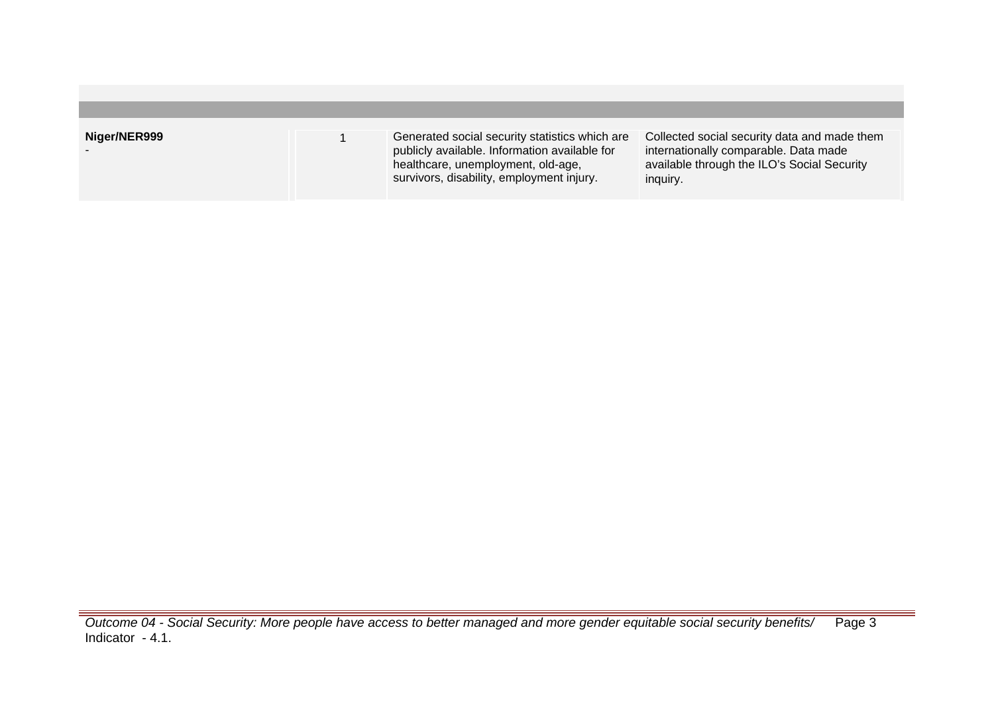| Niger/NER999 | Generated social security statistics which are<br>publicly available. Information available for<br>healthcare, unemployment, old-age,<br>survivors, disability, employment injury. | Collected social security data and made them<br>internationally comparable. Data made<br>available through the ILO's Social Security<br>inquiry. |
|--------------|------------------------------------------------------------------------------------------------------------------------------------------------------------------------------------|--------------------------------------------------------------------------------------------------------------------------------------------------|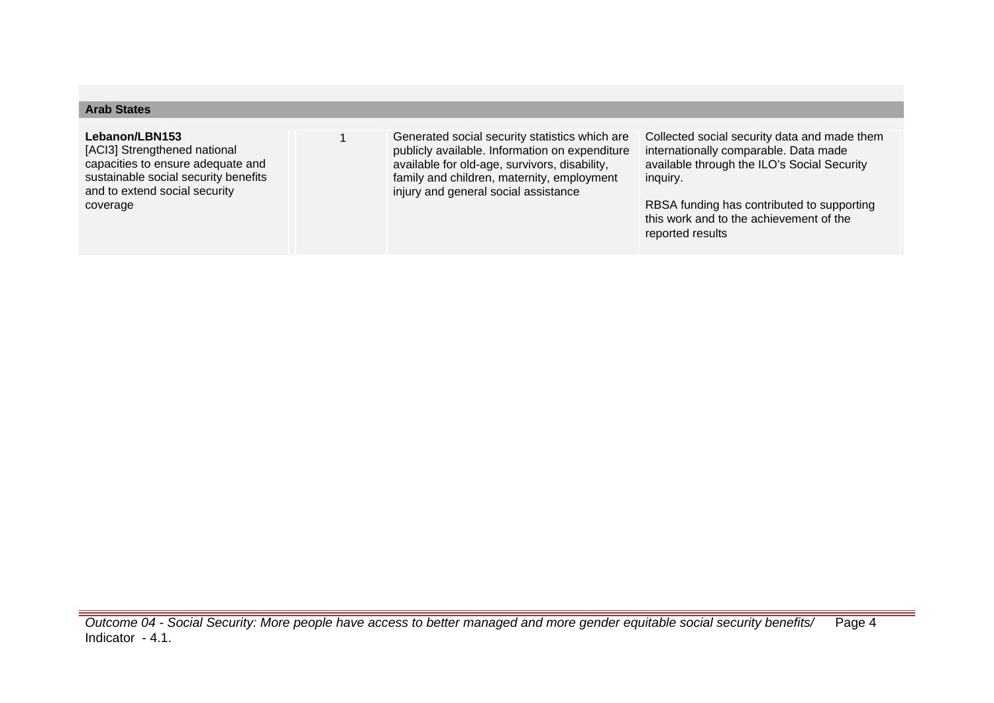| <b>Arab States</b>                                                                                                                                           |                                                                                                                                                                                                                                         |                                                                                                                                                  |
|--------------------------------------------------------------------------------------------------------------------------------------------------------------|-----------------------------------------------------------------------------------------------------------------------------------------------------------------------------------------------------------------------------------------|--------------------------------------------------------------------------------------------------------------------------------------------------|
|                                                                                                                                                              |                                                                                                                                                                                                                                         |                                                                                                                                                  |
| Lebanon/LBN153<br>[ACI3] Strengthened national<br>capacities to ensure adequate and<br>sustainable social security benefits<br>and to extend social security | Generated social security statistics which are<br>publicly available. Information on expenditure<br>available for old-age, survivors, disability,<br>family and children, maternity, employment<br>injury and general social assistance | Collected social security data and made them<br>internationally comparable. Data made<br>available through the ILO's Social Security<br>inquiry. |
| coverage                                                                                                                                                     |                                                                                                                                                                                                                                         | RBSA funding has contributed to supporting<br>this work and to the achievement of the<br>reported results                                        |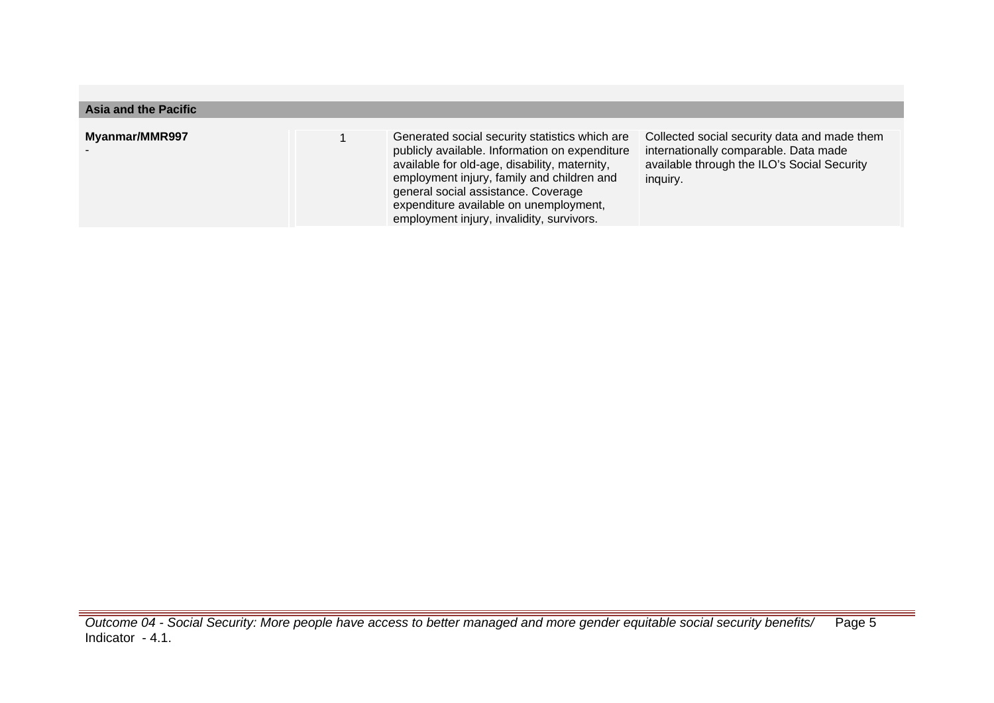| Asia and the Pacific  |                                                                                                                                                                                                                                                                                                                               |                                                                                                                                                  |
|-----------------------|-------------------------------------------------------------------------------------------------------------------------------------------------------------------------------------------------------------------------------------------------------------------------------------------------------------------------------|--------------------------------------------------------------------------------------------------------------------------------------------------|
| <b>Myanmar/MMR997</b> | Generated social security statistics which are<br>publicly available. Information on expenditure<br>available for old-age, disability, maternity,<br>employment injury, family and children and<br>general social assistance. Coverage<br>expenditure available on unemployment,<br>employment injury, invalidity, survivors. | Collected social security data and made them<br>internationally comparable. Data made<br>available through the ILO's Social Security<br>inquiry. |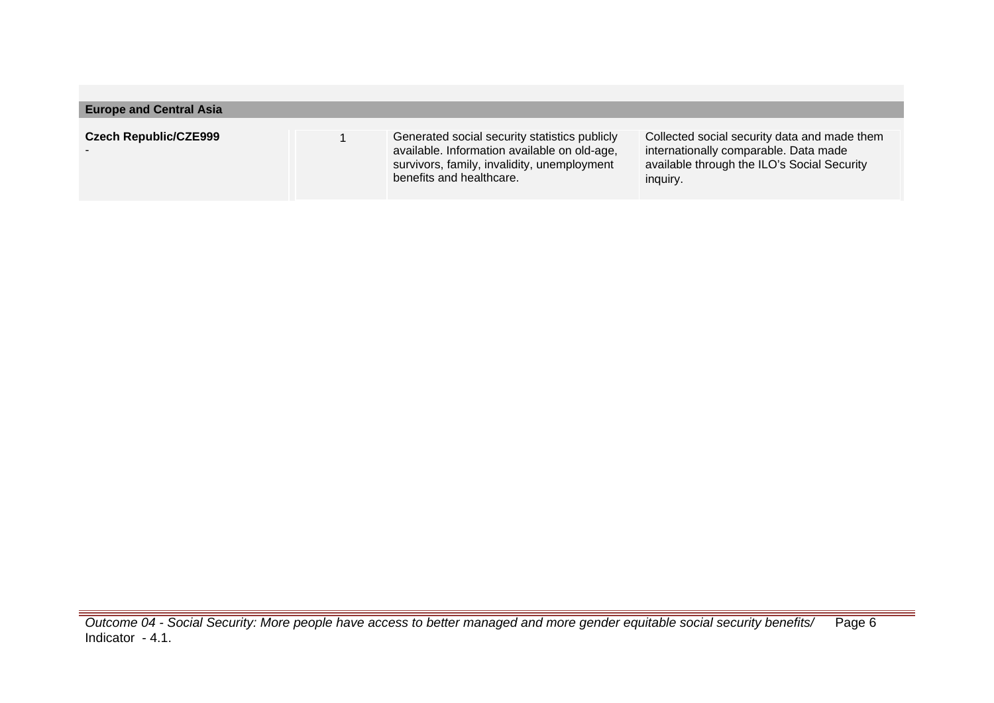| <b>Europe and Central Asia</b> |                                                                                                                                                                          |                                                                                                                                                  |
|--------------------------------|--------------------------------------------------------------------------------------------------------------------------------------------------------------------------|--------------------------------------------------------------------------------------------------------------------------------------------------|
| <b>Czech Republic/CZE999</b>   | Generated social security statistics publicly<br>available. Information available on old-age,<br>survivors, family, invalidity, unemployment<br>benefits and healthcare. | Collected social security data and made them<br>internationally comparable. Data made<br>available through the ILO's Social Security<br>inquiry. |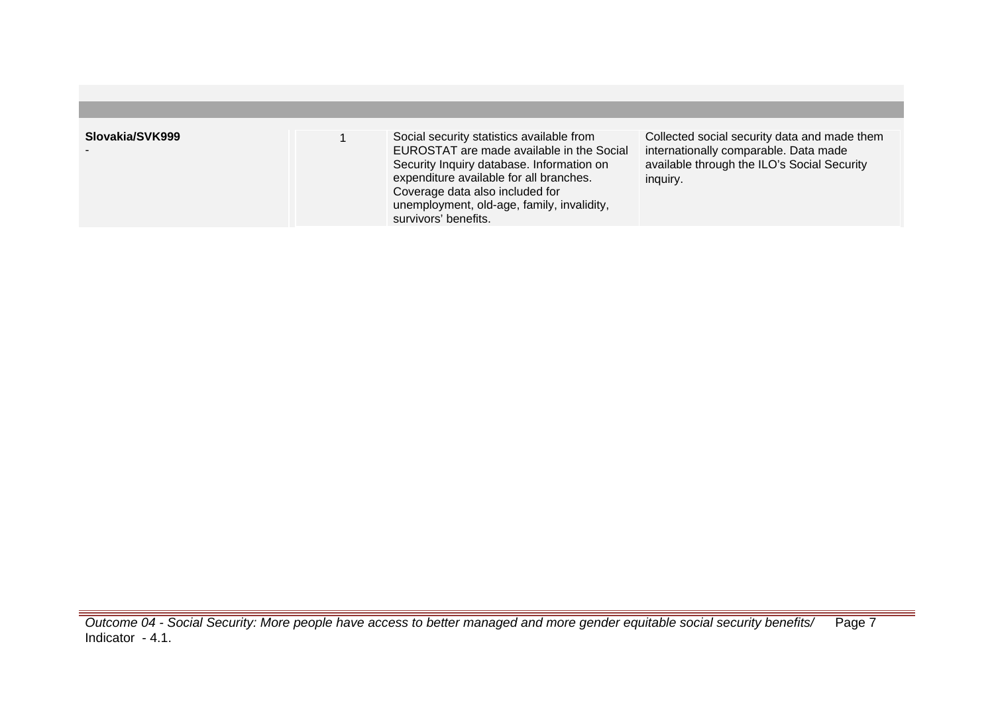| Slovakia/SVK999 | Social security statistics available from<br>EUROSTAT are made available in the Social<br>Security Inquiry database. Information on<br>expenditure available for all branches.<br>Coverage data also included for<br>unemployment, old-age, family, invalidity,<br>survivors' benefits. | Collected social security data and made them<br>internationally comparable. Data made<br>available through the ILO's Social Security<br>inquiry. |
|-----------------|-----------------------------------------------------------------------------------------------------------------------------------------------------------------------------------------------------------------------------------------------------------------------------------------|--------------------------------------------------------------------------------------------------------------------------------------------------|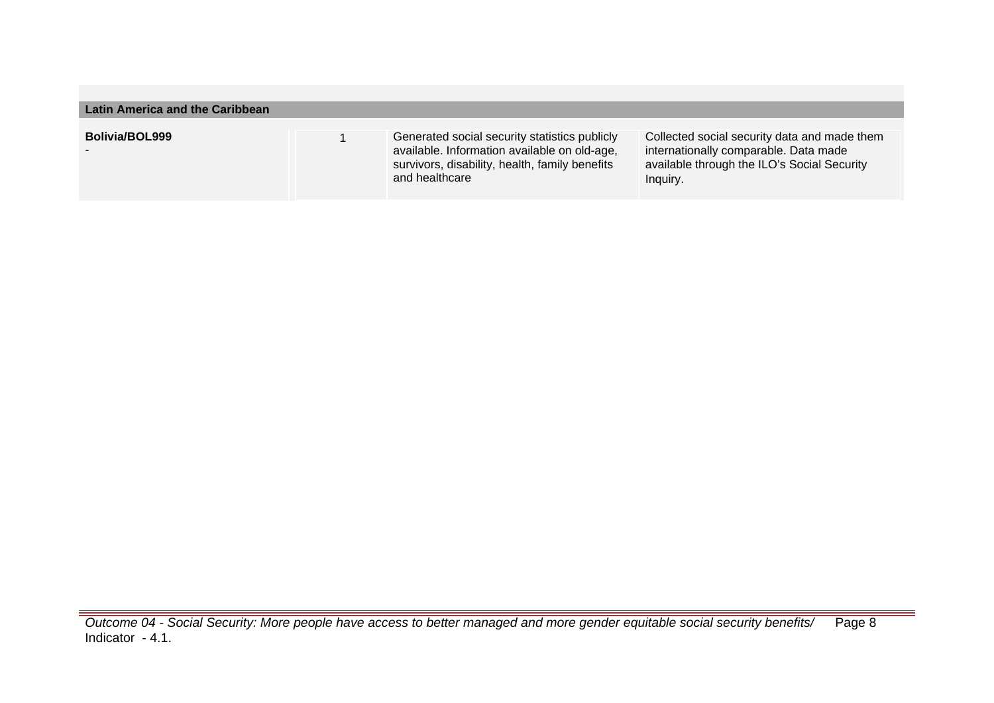| Latin America and the Caribbean |  |                                                                                                                                                                   |                                                                                                                                                  |  |
|---------------------------------|--|-------------------------------------------------------------------------------------------------------------------------------------------------------------------|--------------------------------------------------------------------------------------------------------------------------------------------------|--|
| <b>Bolivia/BOL999</b>           |  | Generated social security statistics publicly<br>available. Information available on old-age,<br>survivors, disability, health, family benefits<br>and healthcare | Collected social security data and made them<br>internationally comparable. Data made<br>available through the ILO's Social Security<br>Inquiry. |  |

Outcome 04 - Social Security: More people have access to better managed and more gender equitable social security benefits/ Indicator - 4.1. Page 8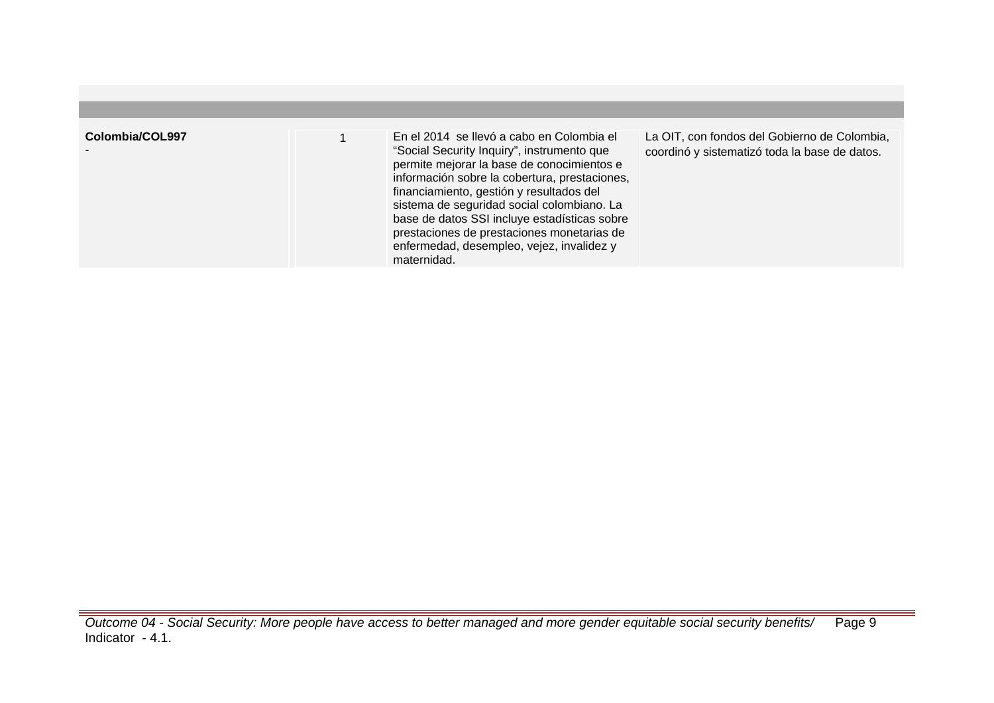| Colombia/COL997 | En el 2014 se llevó a cabo en Colombia el<br>"Social Security Inquiry", instrumento que<br>permite mejorar la base de conocimientos e<br>información sobre la cobertura, prestaciones,<br>financiamiento, gestión y resultados del<br>sistema de seguridad social colombiano. La<br>base de datos SSI incluye estadísticas sobre<br>prestaciones de prestaciones monetarias de<br>enfermedad, desempleo, vejez, invalidez y<br>maternidad. | La OIT, con fondos del Gobierno de Colombia,<br>coordinó y sistematizó toda la base de datos. |
|-----------------|--------------------------------------------------------------------------------------------------------------------------------------------------------------------------------------------------------------------------------------------------------------------------------------------------------------------------------------------------------------------------------------------------------------------------------------------|-----------------------------------------------------------------------------------------------|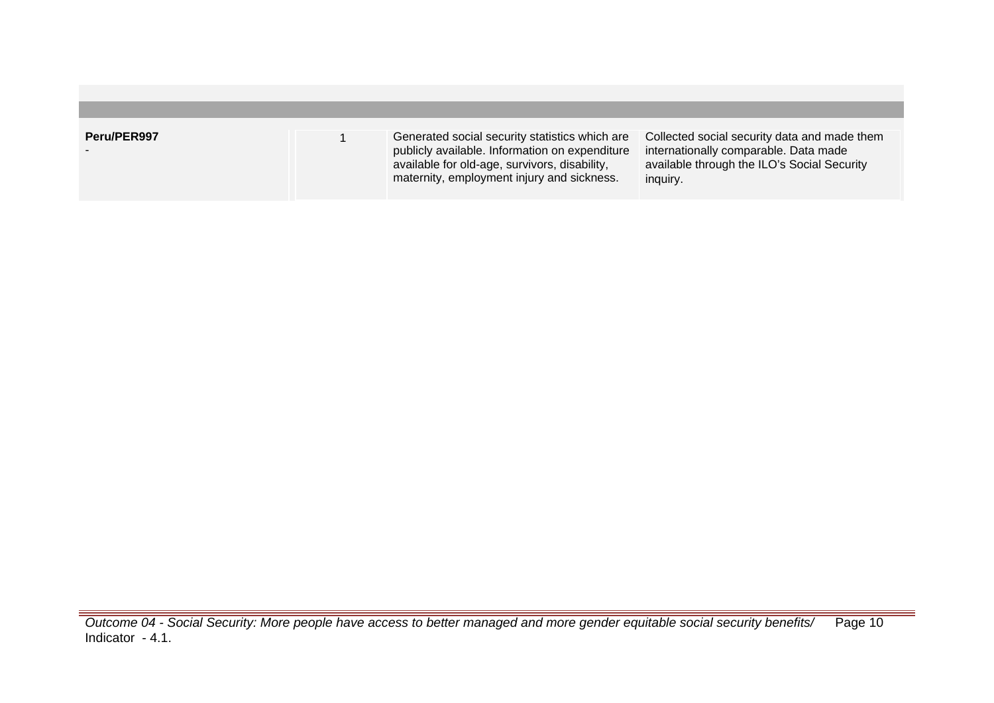| Peru/PER997 | Generated social security statistics which are<br>publicly available. Information on expenditure<br>available for old-age, survivors, disability,<br>maternity, employment injury and sickness. | Collected social security data and made them<br>internationally comparable. Data made<br>available through the ILO's Social Security<br>inquiry. |
|-------------|-------------------------------------------------------------------------------------------------------------------------------------------------------------------------------------------------|--------------------------------------------------------------------------------------------------------------------------------------------------|

Outcome 04 - Social Security: More people have access to better managed and more gender equitable social security benefits/ Indicator - 4.1. Page 10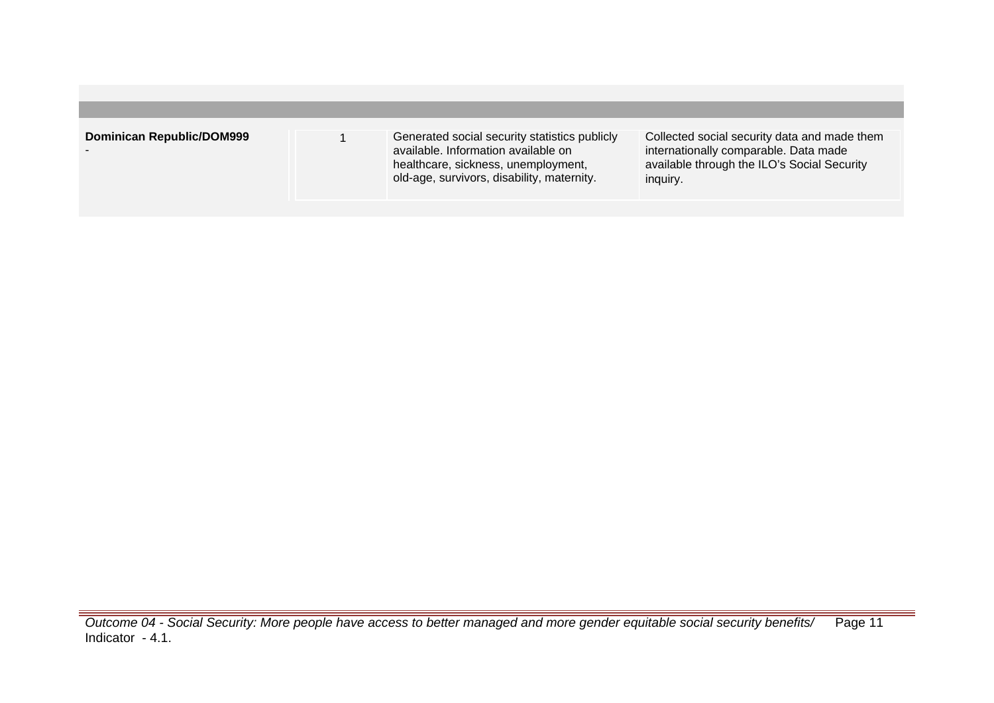| <b>Dominican Republic/DOM999</b><br>Collected social security data and made them<br>Generated social security statistics publicly<br>available. Information available on<br>internationally comparable. Data made<br>$\overline{\phantom{a}}$<br>available through the ILO's Social Security<br>healthcare, sickness, unemployment,<br>old-age, survivors, disability, maternity.<br>inguiry. |
|-----------------------------------------------------------------------------------------------------------------------------------------------------------------------------------------------------------------------------------------------------------------------------------------------------------------------------------------------------------------------------------------------|
|                                                                                                                                                                                                                                                                                                                                                                                               |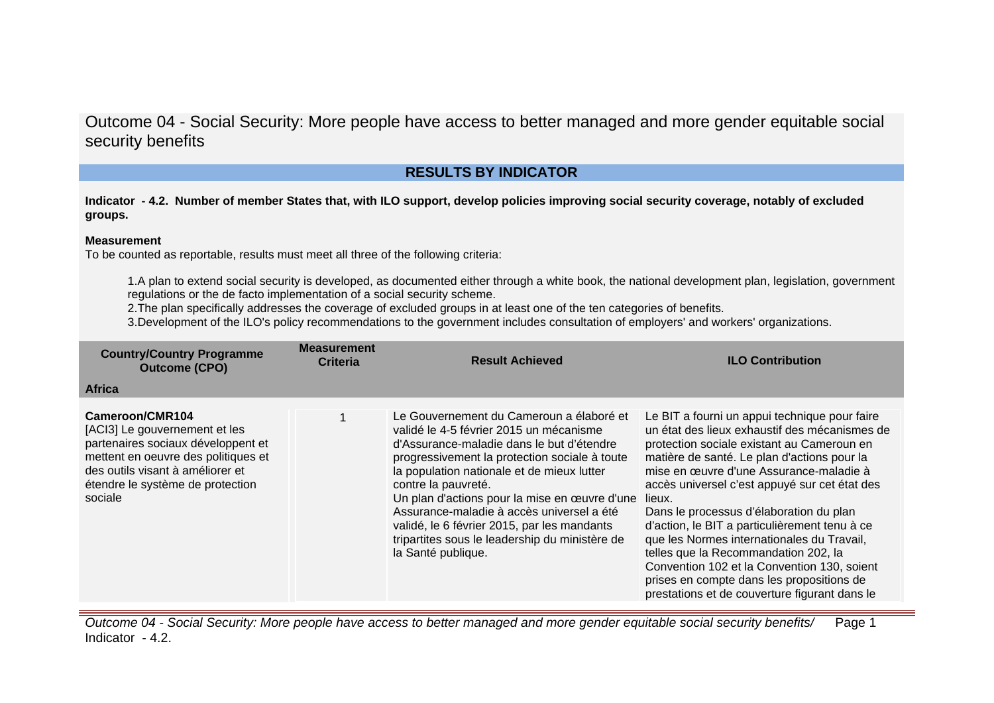## **RESULTS BY INDICATOR**

**Indicator - 4.2. Number of member States that, with ILO support, develop policies improving social security coverage, notably of excluded groups.**

#### **Measurement**

To be counted as reportable, results must meet all three of the following criteria:

1.A plan to extend social security is developed, as documented either through a white book, the national development plan, legislation, government regulations or the de facto implementation of a social security scheme.

2.The plan specifically addresses the coverage of excluded groups in at least one of the ten categories of benefits.

3.Development of the ILO's policy recommendations to the government includes consultation of employers' and workers' organizations.

| <b>Country/Country Programme</b><br><b>Outcome (CPO)</b>                                                                                                                                                         | <b>Measurement</b><br><b>Criteria</b> | <b>Result Achieved</b>                                                                                                                                                                                                                                                                                                                                                                                                                                                      | <b>ILO Contribution</b>                                                                                                                                                                                                                                                                                                                                                                                                                                                                                                                                                                                                          |
|------------------------------------------------------------------------------------------------------------------------------------------------------------------------------------------------------------------|---------------------------------------|-----------------------------------------------------------------------------------------------------------------------------------------------------------------------------------------------------------------------------------------------------------------------------------------------------------------------------------------------------------------------------------------------------------------------------------------------------------------------------|----------------------------------------------------------------------------------------------------------------------------------------------------------------------------------------------------------------------------------------------------------------------------------------------------------------------------------------------------------------------------------------------------------------------------------------------------------------------------------------------------------------------------------------------------------------------------------------------------------------------------------|
| <b>Africa</b>                                                                                                                                                                                                    |                                       |                                                                                                                                                                                                                                                                                                                                                                                                                                                                             |                                                                                                                                                                                                                                                                                                                                                                                                                                                                                                                                                                                                                                  |
| Cameroon/CMR104<br>[ACI3] Le gouvernement et les<br>partenaires sociaux développent et<br>mettent en oeuvre des politiques et<br>des outils visant à améliorer et<br>étendre le système de protection<br>sociale |                                       | Le Gouvernement du Cameroun a élaboré et<br>validé le 4-5 février 2015 un mécanisme<br>d'Assurance-maladie dans le but d'étendre<br>progressivement la protection sociale à toute<br>la population nationale et de mieux lutter<br>contre la pauvreté.<br>Un plan d'actions pour la mise en œuvre d'une<br>Assurance-maladie à accès universel a été<br>validé, le 6 février 2015, par les mandants<br>tripartites sous le leadership du ministère de<br>la Santé publique. | Le BIT a fourni un appui technique pour faire<br>un état des lieux exhaustif des mécanismes de<br>protection sociale existant au Cameroun en<br>matière de santé. Le plan d'actions pour la<br>mise en œuvre d'une Assurance-maladie à<br>accès universel c'est appuyé sur cet état des<br>lieux.<br>Dans le processus d'élaboration du plan<br>d'action, le BIT a particulièrement tenu à ce<br>que les Normes internationales du Travail,<br>telles que la Recommandation 202, la<br>Convention 102 et la Convention 130, soient<br>prises en compte dans les propositions de<br>prestations et de couverture figurant dans le |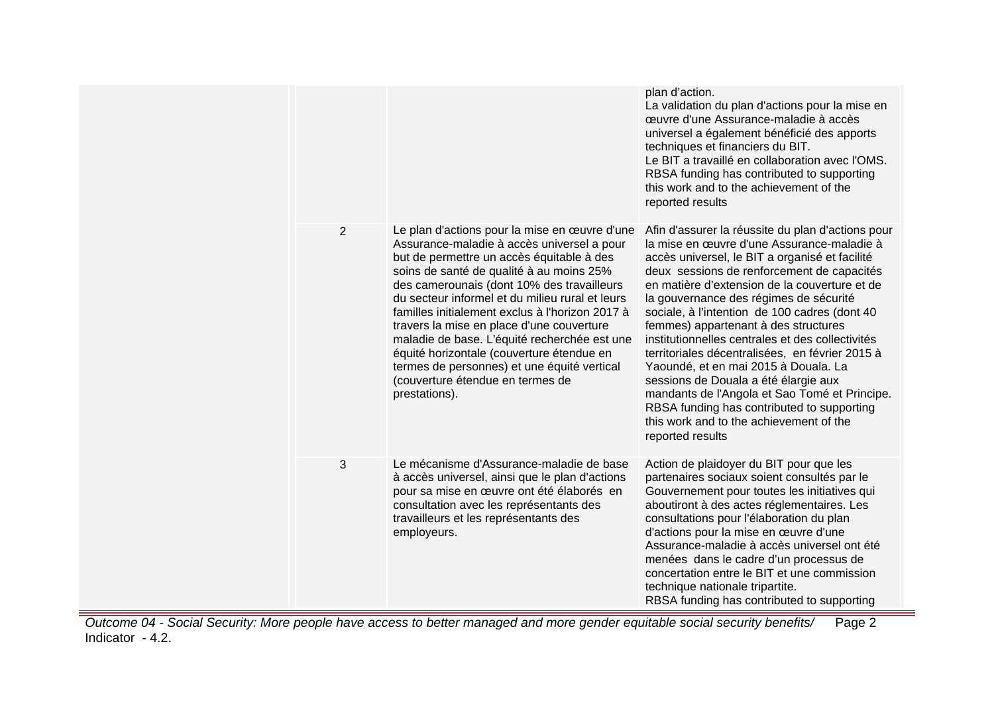|                |                                                                                                                                                                                                                                                                                                                                                                                                                                                                                                                                                                                        | plan d'action.<br>La validation du plan d'actions pour la mise en<br>œuvre d'une Assurance-maladie à accès<br>universel a également bénéficié des apports<br>techniques et financiers du BIT.<br>Le BIT a travaillé en collaboration avec l'OMS.<br>RBSA funding has contributed to supporting<br>this work and to the achievement of the<br>reported results                                                                                                                                                                                                                                                                                                                                                                            |
|----------------|----------------------------------------------------------------------------------------------------------------------------------------------------------------------------------------------------------------------------------------------------------------------------------------------------------------------------------------------------------------------------------------------------------------------------------------------------------------------------------------------------------------------------------------------------------------------------------------|------------------------------------------------------------------------------------------------------------------------------------------------------------------------------------------------------------------------------------------------------------------------------------------------------------------------------------------------------------------------------------------------------------------------------------------------------------------------------------------------------------------------------------------------------------------------------------------------------------------------------------------------------------------------------------------------------------------------------------------|
| $\overline{2}$ | Le plan d'actions pour la mise en œuvre d'une<br>Assurance-maladie à accès universel a pour<br>but de permettre un accès équitable à des<br>soins de santé de qualité à au moins 25%<br>des camerounais (dont 10% des travailleurs<br>du secteur informel et du milieu rural et leurs<br>familles initialement exclus à l'horizon 2017 à<br>travers la mise en place d'une couverture<br>maladie de base. L'équité recherchée est une<br>équité horizontale (couverture étendue en<br>termes de personnes) et une équité vertical<br>(couverture étendue en termes de<br>prestations). | Afin d'assurer la réussite du plan d'actions pour<br>la mise en œuvre d'une Assurance-maladie à<br>accès universel, le BIT a organisé et facilité<br>deux sessions de renforcement de capacités<br>en matière d'extension de la couverture et de<br>la gouvernance des régimes de sécurité<br>sociale, à l'intention de 100 cadres (dont 40<br>femmes) appartenant à des structures<br>institutionnelles centrales et des collectivités<br>territoriales décentralisées, en février 2015 à<br>Yaoundé, et en mai 2015 à Douala. La<br>sessions de Douala a été élargie aux<br>mandants de l'Angola et Sao Tomé et Principe.<br>RBSA funding has contributed to supporting<br>this work and to the achievement of the<br>reported results |
| 3              | Le mécanisme d'Assurance-maladie de base<br>à accès universel, ainsi que le plan d'actions<br>pour sa mise en œuvre ont été élaborés en<br>consultation avec les représentants des<br>travailleurs et les représentants des<br>employeurs.                                                                                                                                                                                                                                                                                                                                             | Action de plaidoyer du BIT pour que les<br>partenaires sociaux soient consultés par le<br>Gouvernement pour toutes les initiatives qui<br>aboutiront à des actes réglementaires. Les<br>consultations pour l'élaboration du plan<br>d'actions pour la mise en œuvre d'une<br>Assurance-maladie à accès universel ont été<br>menées dans le cadre d'un processus de<br>concertation entre le BIT et une commission<br>technique nationale tripartite.<br>RBSA funding has contributed to supporting                                                                                                                                                                                                                                       |

Outcome 04 - Social Security: More people have access to better managed and more gender equitable social security benefits/ Indicator - 4.2. Page 2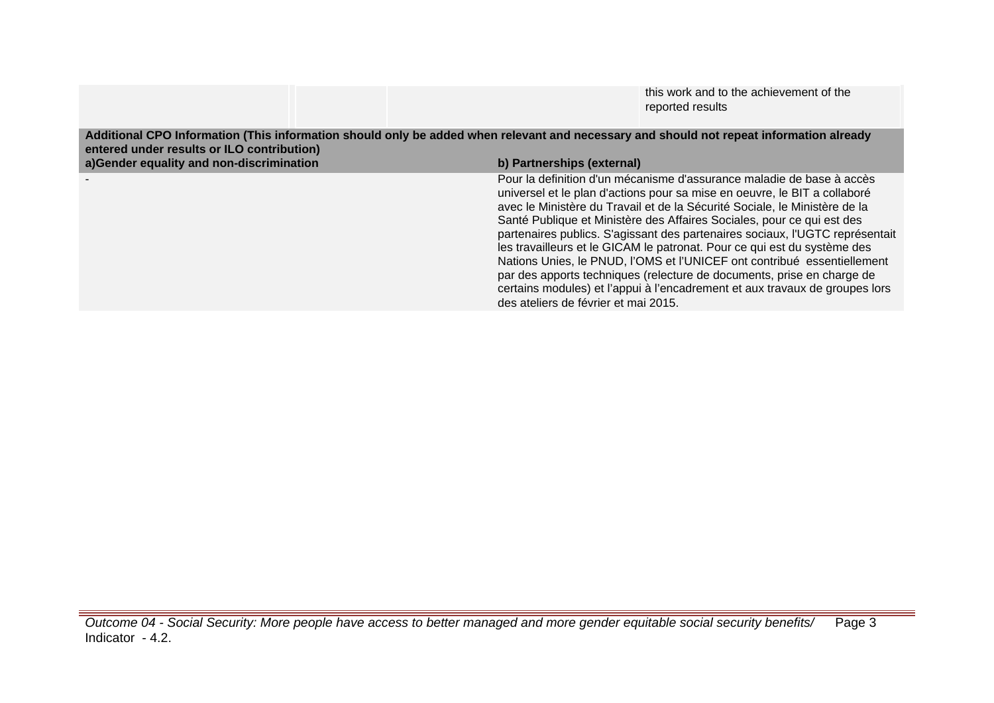|                  | this work and to the achievement of the |
|------------------|-----------------------------------------|
| reported results |                                         |

**Additional CPO Information (This information should only be added when relevant and necessary and should not repeat information already entered under results or ILO contribution) a)Gender equality and non-discrimination b) Partnerships (external)** - Pour la definition d'un mécanisme d'assurance maladie de base à accès universel et le plan d'actions pour sa mise en oeuvre, le BIT a collaboré avec le Ministère du Travail et de la Sécurité Sociale, le Ministère de la Santé Publique et Ministère des Affaires Sociales, pour ce qui est des partenaires publics. S'agissant des partenaires sociaux, l'UGTC représentait les travailleurs et le GICAM le patronat. Pour ce qui est du système des Nations Unies, le PNUD, l'OMS et l'UNICEF ont contribué essentiellement par des apports techniques (relecture de documents, prise en charge de certains modules) et l'appui à l'encadrement et aux travaux de groupes lors des ateliers de février et mai 2015.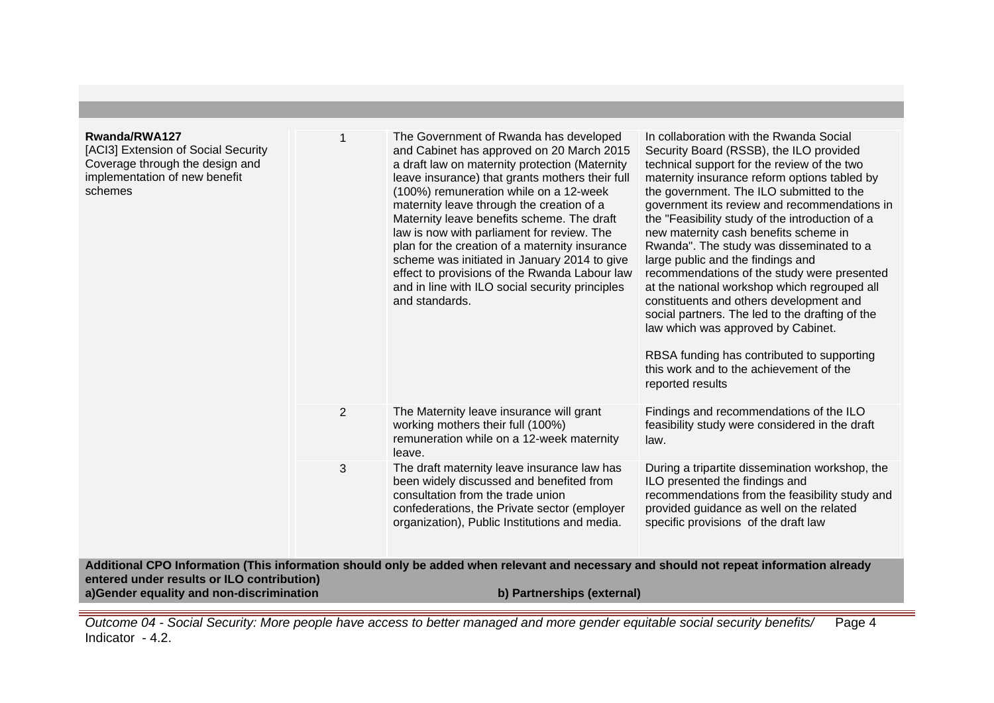| Rwanda/RWA127<br>[ACI3] Extension of Social Security<br>Coverage through the design and<br>implementation of new benefit<br>schemes | 1 | The Government of Rwanda has developed<br>and Cabinet has approved on 20 March 2015<br>a draft law on maternity protection (Maternity<br>leave insurance) that grants mothers their full<br>(100%) remuneration while on a 12-week<br>maternity leave through the creation of a<br>Maternity leave benefits scheme. The draft<br>law is now with parliament for review. The<br>plan for the creation of a maternity insurance<br>scheme was initiated in January 2014 to give<br>effect to provisions of the Rwanda Labour law<br>and in line with ILO social security principles<br>and standards. | In collaboration with the Rwanda Social<br>Security Board (RSSB), the ILO provided<br>technical support for the review of the two<br>maternity insurance reform options tabled by<br>the government. The ILO submitted to the<br>government its review and recommendations in<br>the "Feasibility study of the introduction of a<br>new maternity cash benefits scheme in<br>Rwanda". The study was disseminated to a<br>large public and the findings and<br>recommendations of the study were presented<br>at the national workshop which regrouped all<br>constituents and others development and<br>social partners. The led to the drafting of the<br>law which was approved by Cabinet.<br>RBSA funding has contributed to supporting<br>this work and to the achievement of the<br>reported results |
|-------------------------------------------------------------------------------------------------------------------------------------|---|-----------------------------------------------------------------------------------------------------------------------------------------------------------------------------------------------------------------------------------------------------------------------------------------------------------------------------------------------------------------------------------------------------------------------------------------------------------------------------------------------------------------------------------------------------------------------------------------------------|------------------------------------------------------------------------------------------------------------------------------------------------------------------------------------------------------------------------------------------------------------------------------------------------------------------------------------------------------------------------------------------------------------------------------------------------------------------------------------------------------------------------------------------------------------------------------------------------------------------------------------------------------------------------------------------------------------------------------------------------------------------------------------------------------------|
|                                                                                                                                     | 2 | The Maternity leave insurance will grant<br>working mothers their full (100%)<br>remuneration while on a 12-week maternity<br>leave.                                                                                                                                                                                                                                                                                                                                                                                                                                                                | Findings and recommendations of the ILO<br>feasibility study were considered in the draft<br>law.                                                                                                                                                                                                                                                                                                                                                                                                                                                                                                                                                                                                                                                                                                          |
|                                                                                                                                     | 3 | The draft maternity leave insurance law has<br>been widely discussed and benefited from<br>consultation from the trade union<br>confederations, the Private sector (employer<br>organization), Public Institutions and media.                                                                                                                                                                                                                                                                                                                                                                       | During a tripartite dissemination workshop, the<br>ILO presented the findings and<br>recommendations from the feasibility study and<br>provided guidance as well on the related<br>specific provisions of the draft law                                                                                                                                                                                                                                                                                                                                                                                                                                                                                                                                                                                    |
| entered under results or ILO contribution)                                                                                          |   | Additional CPO Information (This information should only be added when relevant and necessary and should not repeat information already                                                                                                                                                                                                                                                                                                                                                                                                                                                             |                                                                                                                                                                                                                                                                                                                                                                                                                                                                                                                                                                                                                                                                                                                                                                                                            |
| a)Gender equality and non-discrimination                                                                                            |   | b) Partnerships (external)                                                                                                                                                                                                                                                                                                                                                                                                                                                                                                                                                                          |                                                                                                                                                                                                                                                                                                                                                                                                                                                                                                                                                                                                                                                                                                                                                                                                            |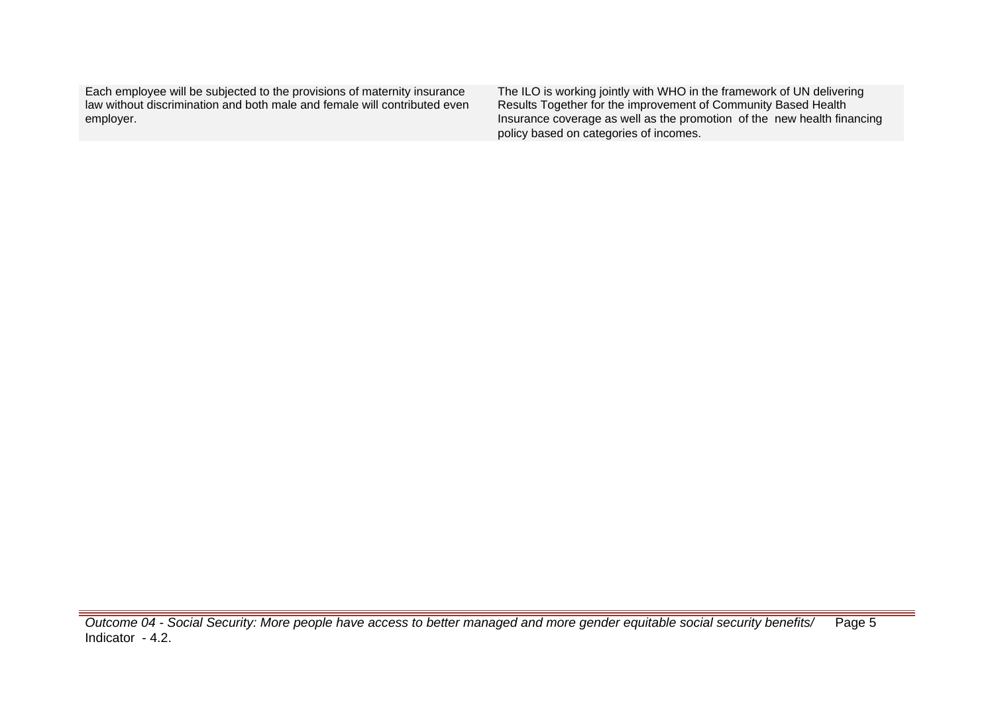Each employee will be subjected to the provisions of maternity insurance law without discrimination and both male and female will contributed even employer.

The ILO is working jointly with WHO in the framework of UN delivering Results Together for the improvement of Community Based Health Insurance coverage as well as the promotion of the new health financing policy based on categories of incomes.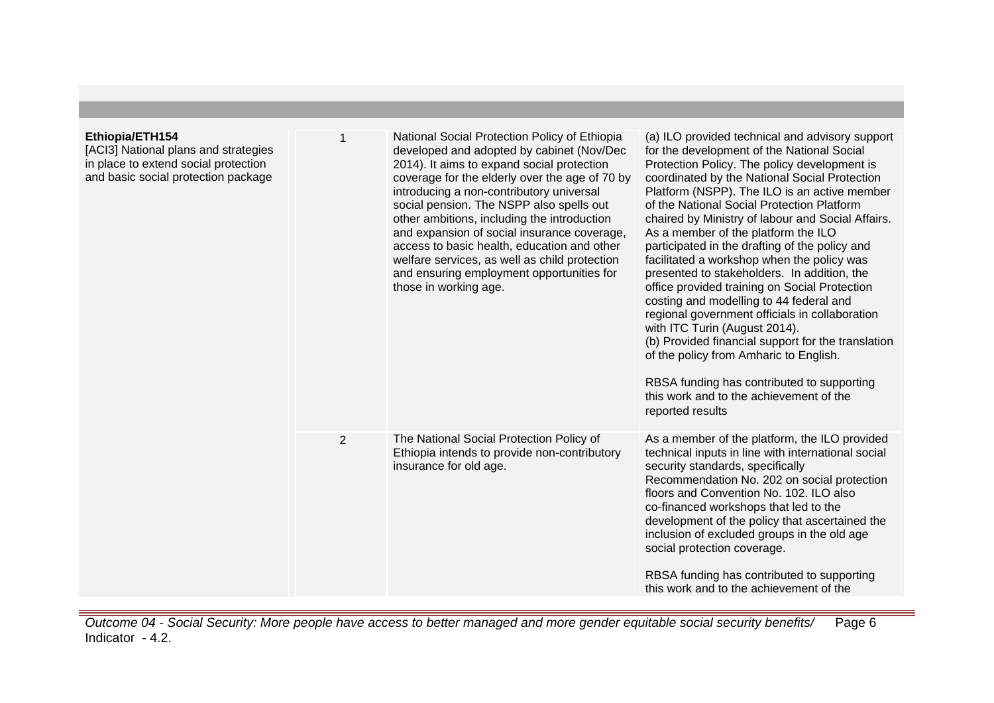### **Ethiopia/ETH154**

[ACI3] National plans and strategies in place to extend social protection and basic social protection package

| 1              | National Social Protection Policy of Ethiopia<br>developed and adopted by cabinet (Nov/Dec<br>2014). It aims to expand social protection<br>coverage for the elderly over the age of 70 by<br>introducing a non-contributory universal<br>social pension. The NSPP also spells out<br>other ambitions, including the introduction<br>and expansion of social insurance coverage,<br>access to basic health, education and other<br>welfare services, as well as child protection<br>and ensuring employment opportunities for<br>those in working age. | (a) ILO provided technical and advisory support<br>for the development of the National Social<br>Protection Policy. The policy development is<br>coordinated by the National Social Protection<br>Platform (NSPP). The ILO is an active member<br>of the National Social Protection Platform<br>chaired by Ministry of labour and Social Affairs.<br>As a member of the platform the ILO<br>participated in the drafting of the policy and<br>facilitated a workshop when the policy was<br>presented to stakeholders. In addition, the<br>office provided training on Social Protection<br>costing and modelling to 44 federal and<br>regional government officials in collaboration<br>with ITC Turin (August 2014).<br>(b) Provided financial support for the translation<br>of the policy from Amharic to English.<br>RBSA funding has contributed to supporting<br>this work and to the achievement of the<br>reported results |
|----------------|--------------------------------------------------------------------------------------------------------------------------------------------------------------------------------------------------------------------------------------------------------------------------------------------------------------------------------------------------------------------------------------------------------------------------------------------------------------------------------------------------------------------------------------------------------|-------------------------------------------------------------------------------------------------------------------------------------------------------------------------------------------------------------------------------------------------------------------------------------------------------------------------------------------------------------------------------------------------------------------------------------------------------------------------------------------------------------------------------------------------------------------------------------------------------------------------------------------------------------------------------------------------------------------------------------------------------------------------------------------------------------------------------------------------------------------------------------------------------------------------------------|
| $\overline{2}$ | The National Social Protection Policy of<br>Ethiopia intends to provide non-contributory<br>insurance for old age.                                                                                                                                                                                                                                                                                                                                                                                                                                     | As a member of the platform, the ILO provided<br>technical inputs in line with international social<br>security standards, specifically<br>Recommendation No. 202 on social protection<br>floors and Convention No. 102. ILO also<br>co-financed workshops that led to the<br>development of the policy that ascertained the<br>inclusion of excluded groups in the old age<br>social protection coverage.<br>RBSA funding has contributed to supporting<br>this work and to the achievement of the                                                                                                                                                                                                                                                                                                                                                                                                                                 |
|                |                                                                                                                                                                                                                                                                                                                                                                                                                                                                                                                                                        |                                                                                                                                                                                                                                                                                                                                                                                                                                                                                                                                                                                                                                                                                                                                                                                                                                                                                                                                     |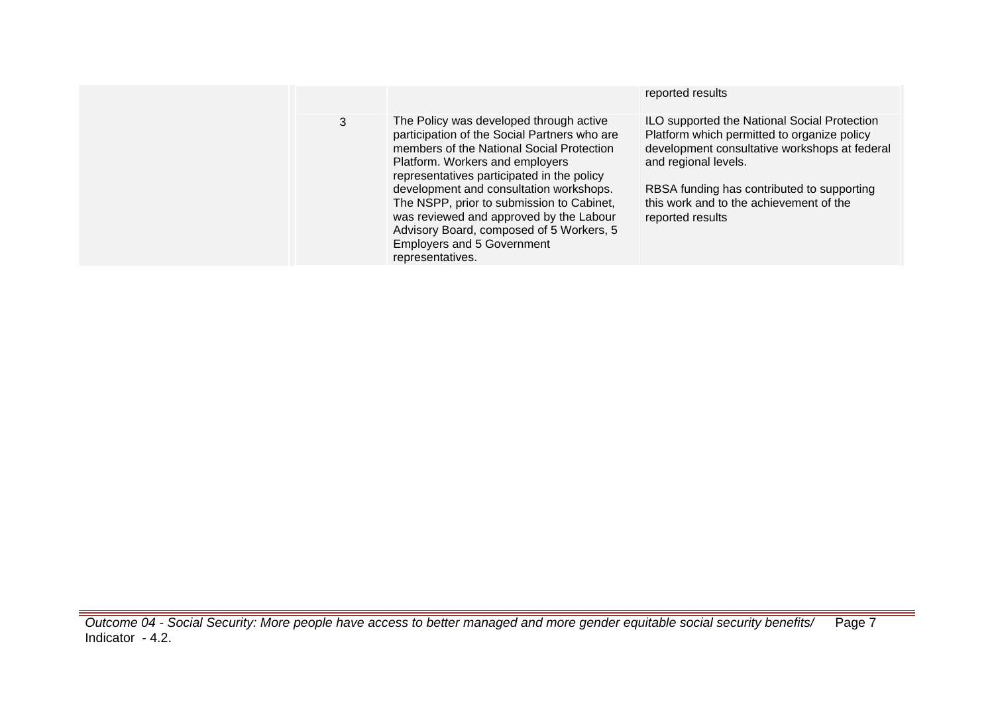| 3 |
|---|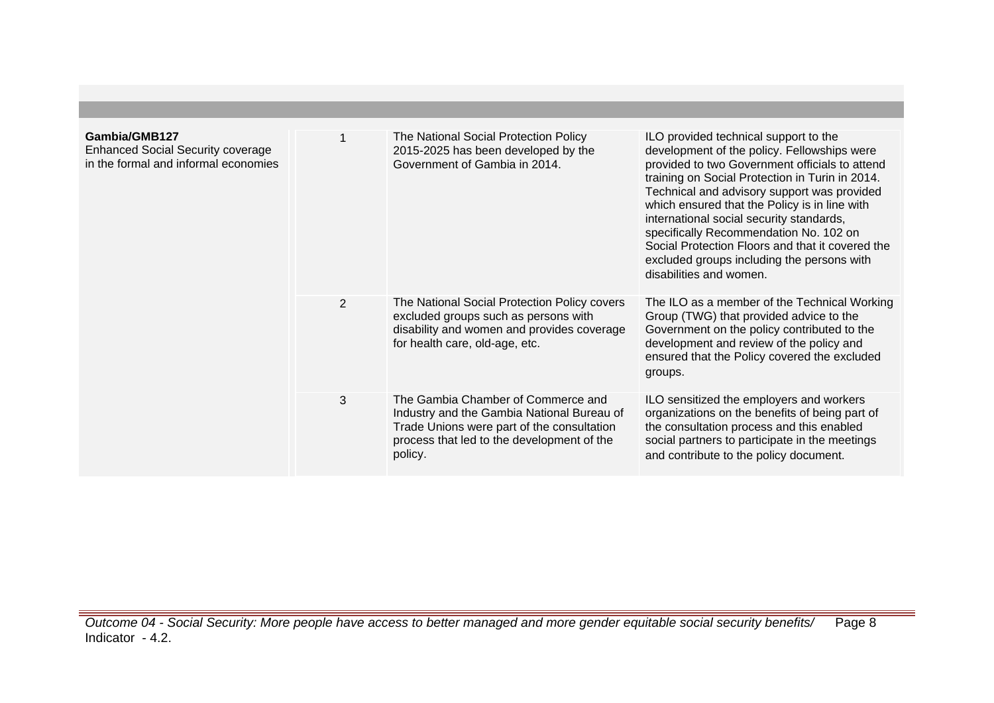| Gambia/GMB127<br><b>Enhanced Social Security coverage</b><br>in the formal and informal economies |                | The National Social Protection Policy<br>2015-2025 has been developed by the<br>Government of Gambia in 2014.                                                                           | ILO provided technical support to the<br>development of the policy. Fellowships were<br>provided to two Government officials to attend<br>training on Social Protection in Turin in 2014.<br>Technical and advisory support was provided<br>which ensured that the Policy is in line with<br>international social security standards,<br>specifically Recommendation No. 102 on<br>Social Protection Floors and that it covered the<br>excluded groups including the persons with<br>disabilities and women. |
|---------------------------------------------------------------------------------------------------|----------------|-----------------------------------------------------------------------------------------------------------------------------------------------------------------------------------------|--------------------------------------------------------------------------------------------------------------------------------------------------------------------------------------------------------------------------------------------------------------------------------------------------------------------------------------------------------------------------------------------------------------------------------------------------------------------------------------------------------------|
|                                                                                                   | $\overline{2}$ | The National Social Protection Policy covers<br>excluded groups such as persons with<br>disability and women and provides coverage<br>for health care, old-age, etc.                    | The ILO as a member of the Technical Working<br>Group (TWG) that provided advice to the<br>Government on the policy contributed to the<br>development and review of the policy and<br>ensured that the Policy covered the excluded<br>groups.                                                                                                                                                                                                                                                                |
|                                                                                                   | 3              | The Gambia Chamber of Commerce and<br>Industry and the Gambia National Bureau of<br>Trade Unions were part of the consultation<br>process that led to the development of the<br>policy. | ILO sensitized the employers and workers<br>organizations on the benefits of being part of<br>the consultation process and this enabled<br>social partners to participate in the meetings<br>and contribute to the policy document.                                                                                                                                                                                                                                                                          |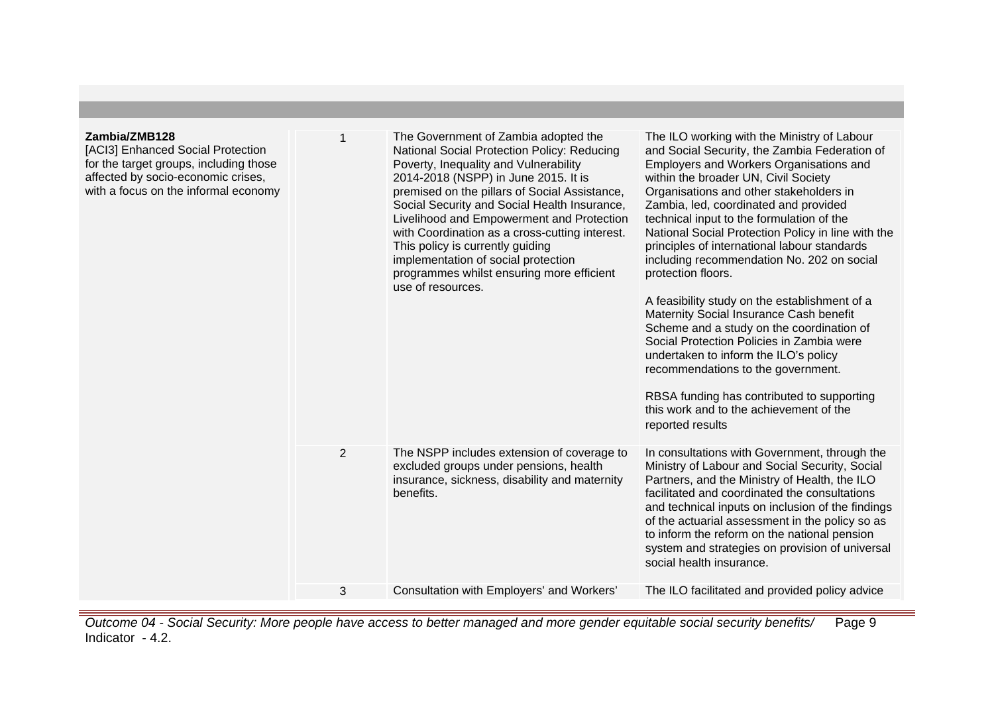### **Zambia/ZMB128**

[ACI3] Enhanced Social Protection for the target groups, including those affected by socio-economic crises, with a focus on the informal economy

| 1 | The Government of Zambia adopted the<br>National Social Protection Policy: Reducing<br>Poverty, Inequality and Vulnerability<br>2014-2018 (NSPP) in June 2015. It is<br>premised on the pillars of Social Assistance,<br>Social Security and Social Health Insurance,<br>Livelihood and Empowerment and Protection<br>with Coordination as a cross-cutting interest.<br>This policy is currently guiding<br>implementation of social protection<br>programmes whilst ensuring more efficient<br>use of resources. | The ILO working with the Ministry of Labour<br>and Social Security, the Zambia Federation of<br>Employers and Workers Organisations and<br>within the broader UN, Civil Society<br>Organisations and other stakeholders in<br>Zambia, led, coordinated and provided<br>technical input to the formulation of the<br>National Social Protection Policy in line with the<br>principles of international labour standards<br>including recommendation No. 202 on social<br>protection floors.<br>A feasibility study on the establishment of a<br>Maternity Social Insurance Cash benefit<br>Scheme and a study on the coordination of<br>Social Protection Policies in Zambia were<br>undertaken to inform the ILO's policy<br>recommendations to the government.<br>RBSA funding has contributed to supporting<br>this work and to the achievement of the<br>reported results |
|---|-------------------------------------------------------------------------------------------------------------------------------------------------------------------------------------------------------------------------------------------------------------------------------------------------------------------------------------------------------------------------------------------------------------------------------------------------------------------------------------------------------------------|------------------------------------------------------------------------------------------------------------------------------------------------------------------------------------------------------------------------------------------------------------------------------------------------------------------------------------------------------------------------------------------------------------------------------------------------------------------------------------------------------------------------------------------------------------------------------------------------------------------------------------------------------------------------------------------------------------------------------------------------------------------------------------------------------------------------------------------------------------------------------|
| 2 | The NSPP includes extension of coverage to<br>excluded groups under pensions, health<br>insurance, sickness, disability and maternity<br>benefits.                                                                                                                                                                                                                                                                                                                                                                | In consultations with Government, through the<br>Ministry of Labour and Social Security, Social<br>Partners, and the Ministry of Health, the ILO<br>facilitated and coordinated the consultations<br>and technical inputs on inclusion of the findings<br>of the actuarial assessment in the policy so as<br>to inform the reform on the national pension<br>system and strategies on provision of universal<br>social health insurance.                                                                                                                                                                                                                                                                                                                                                                                                                                     |
| 3 | Consultation with Employers' and Workers'                                                                                                                                                                                                                                                                                                                                                                                                                                                                         | The ILO facilitated and provided policy advice                                                                                                                                                                                                                                                                                                                                                                                                                                                                                                                                                                                                                                                                                                                                                                                                                               |
|   |                                                                                                                                                                                                                                                                                                                                                                                                                                                                                                                   |                                                                                                                                                                                                                                                                                                                                                                                                                                                                                                                                                                                                                                                                                                                                                                                                                                                                              |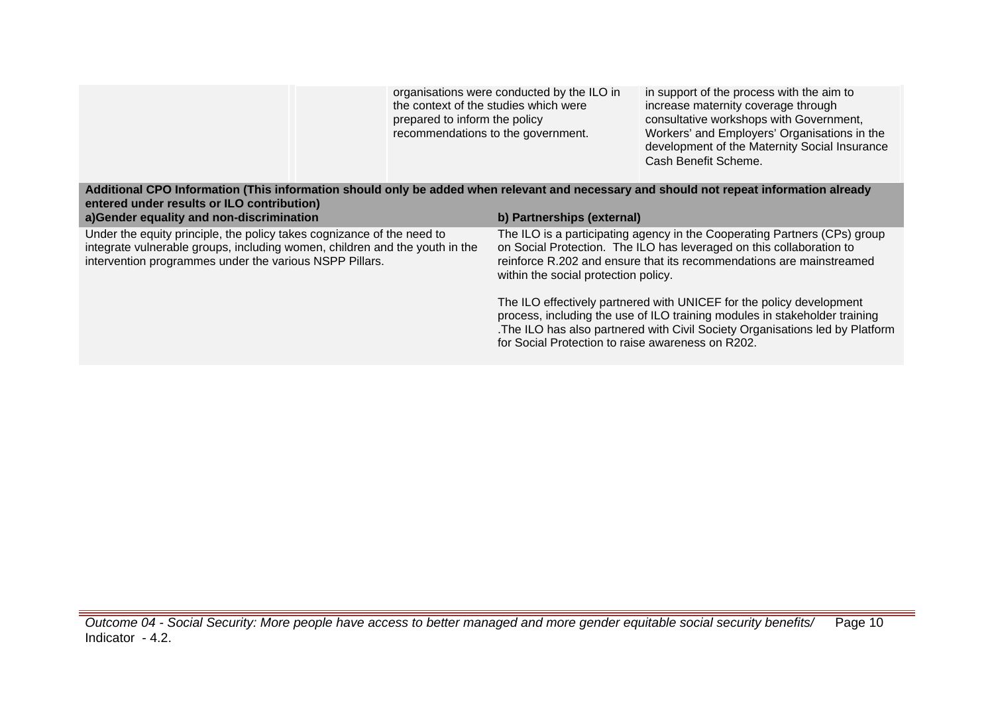|                                                                                                                                                                                                                  | the context of the studies which were<br>prepared to inform the policy<br>recommendations to the government. | organisations were conducted by the ILO in        | in support of the process with the aim to<br>increase maternity coverage through<br>consultative workshops with Government,<br>Workers' and Employers' Organisations in the<br>development of the Maternity Social Insurance<br>Cash Benefit Scheme. |
|------------------------------------------------------------------------------------------------------------------------------------------------------------------------------------------------------------------|--------------------------------------------------------------------------------------------------------------|---------------------------------------------------|------------------------------------------------------------------------------------------------------------------------------------------------------------------------------------------------------------------------------------------------------|
| Additional CPO Information (This information should only be added when relevant and necessary and should not repeat information already<br>entered under results or ILO contribution)                            |                                                                                                              |                                                   |                                                                                                                                                                                                                                                      |
| a)Gender equality and non-discrimination                                                                                                                                                                         |                                                                                                              | b) Partnerships (external)                        |                                                                                                                                                                                                                                                      |
| Under the equity principle, the policy takes cognizance of the need to<br>integrate vulnerable groups, including women, children and the youth in the<br>intervention programmes under the various NSPP Pillars. |                                                                                                              | within the social protection policy.              | The ILO is a participating agency in the Cooperating Partners (CPs) group<br>on Social Protection. The ILO has leveraged on this collaboration to<br>reinforce R.202 and ensure that its recommendations are mainstreamed                            |
|                                                                                                                                                                                                                  |                                                                                                              | for Social Protection to raise awareness on R202. | The ILO effectively partnered with UNICEF for the policy development<br>process, including the use of ILO training modules in stakeholder training<br>. The ILO has also partnered with Civil Society Organisations led by Platform                  |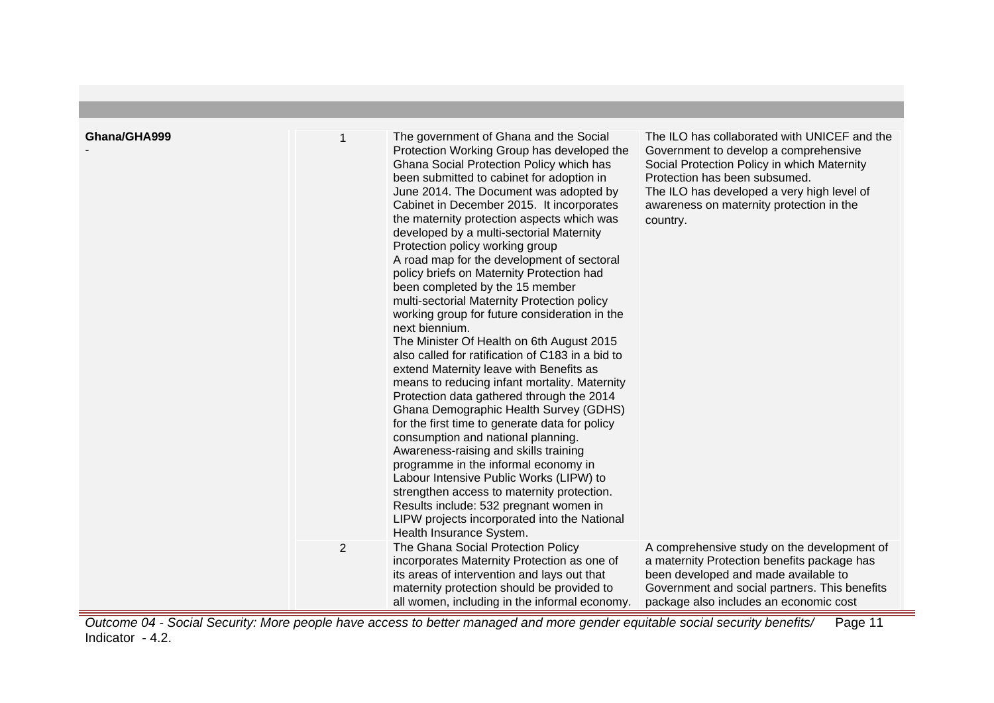| Ghana/GHA999 | 1<br>$\overline{2}$ | The government of Ghana and the Social<br>Protection Working Group has developed the<br>Ghana Social Protection Policy which has<br>been submitted to cabinet for adoption in<br>June 2014. The Document was adopted by<br>Cabinet in December 2015. It incorporates<br>the maternity protection aspects which was<br>developed by a multi-sectorial Maternity<br>Protection policy working group<br>A road map for the development of sectoral<br>policy briefs on Maternity Protection had<br>been completed by the 15 member<br>multi-sectorial Maternity Protection policy<br>working group for future consideration in the<br>next biennium.<br>The Minister Of Health on 6th August 2015<br>also called for ratification of C183 in a bid to<br>extend Maternity leave with Benefits as<br>means to reducing infant mortality. Maternity<br>Protection data gathered through the 2014<br>Ghana Demographic Health Survey (GDHS)<br>for the first time to generate data for policy<br>consumption and national planning.<br>Awareness-raising and skills training<br>programme in the informal economy in<br>Labour Intensive Public Works (LIPW) to<br>strengthen access to maternity protection.<br>Results include: 532 pregnant women in<br>LIPW projects incorporated into the National<br>Health Insurance System.<br>The Ghana Social Protection Policy | The ILO has collaborated with UNICEF and the<br>Government to develop a comprehensive<br>Social Protection Policy in which Maternity<br>Protection has been subsumed.<br>The ILO has developed a very high level of<br>awareness on maternity protection in the<br>country.<br>A comprehensive study on the development of |
|--------------|---------------------|---------------------------------------------------------------------------------------------------------------------------------------------------------------------------------------------------------------------------------------------------------------------------------------------------------------------------------------------------------------------------------------------------------------------------------------------------------------------------------------------------------------------------------------------------------------------------------------------------------------------------------------------------------------------------------------------------------------------------------------------------------------------------------------------------------------------------------------------------------------------------------------------------------------------------------------------------------------------------------------------------------------------------------------------------------------------------------------------------------------------------------------------------------------------------------------------------------------------------------------------------------------------------------------------------------------------------------------------------------------------|----------------------------------------------------------------------------------------------------------------------------------------------------------------------------------------------------------------------------------------------------------------------------------------------------------------------------|
|              |                     | incorporates Maternity Protection as one of<br>its areas of intervention and lays out that<br>maternity protection should be provided to<br>all women, including in the informal economy.                                                                                                                                                                                                                                                                                                                                                                                                                                                                                                                                                                                                                                                                                                                                                                                                                                                                                                                                                                                                                                                                                                                                                                           | a maternity Protection benefits package has<br>been developed and made available to<br>Government and social partners. This benefits<br>package also includes an economic cost                                                                                                                                             |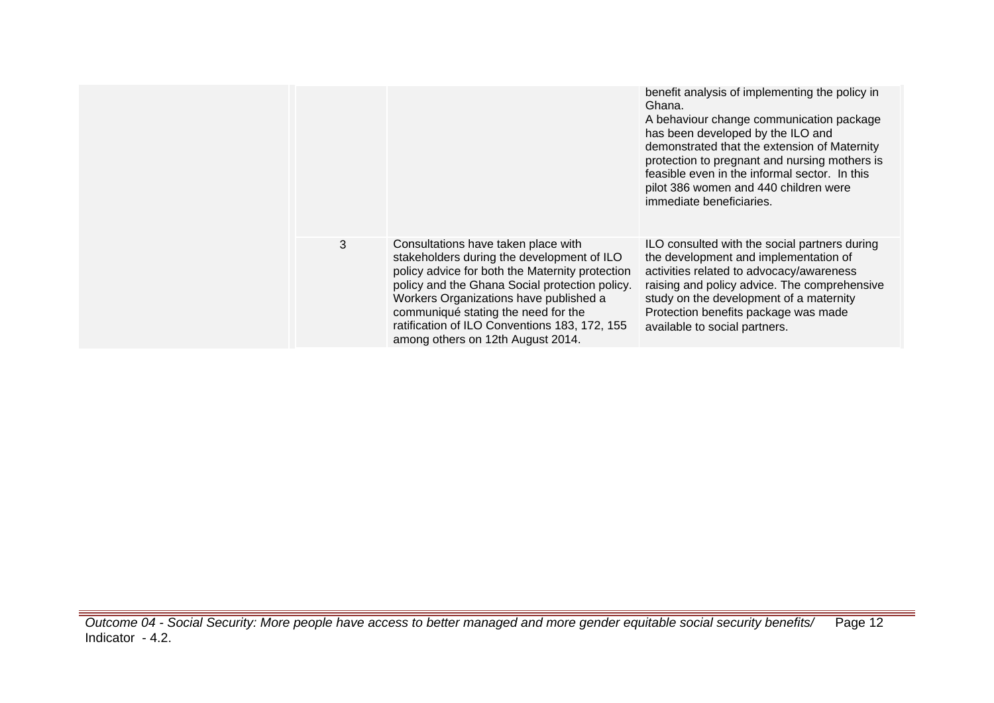|   |                                                                                                                                                                                                                                                                                                                                                               | benefit analysis of implementing the policy in<br>Ghana.<br>A behaviour change communication package<br>has been developed by the ILO and<br>demonstrated that the extension of Maternity<br>protection to pregnant and nursing mothers is<br>feasible even in the informal sector. In this<br>pilot 386 women and 440 children were<br>immediate beneficiaries. |
|---|---------------------------------------------------------------------------------------------------------------------------------------------------------------------------------------------------------------------------------------------------------------------------------------------------------------------------------------------------------------|------------------------------------------------------------------------------------------------------------------------------------------------------------------------------------------------------------------------------------------------------------------------------------------------------------------------------------------------------------------|
| 3 | Consultations have taken place with<br>stakeholders during the development of ILO<br>policy advice for both the Maternity protection<br>policy and the Ghana Social protection policy.<br>Workers Organizations have published a<br>communiqué stating the need for the<br>ratification of ILO Conventions 183, 172, 155<br>among others on 12th August 2014. | ILO consulted with the social partners during<br>the development and implementation of<br>activities related to advocacy/awareness<br>raising and policy advice. The comprehensive<br>study on the development of a maternity<br>Protection benefits package was made<br>available to social partners.                                                           |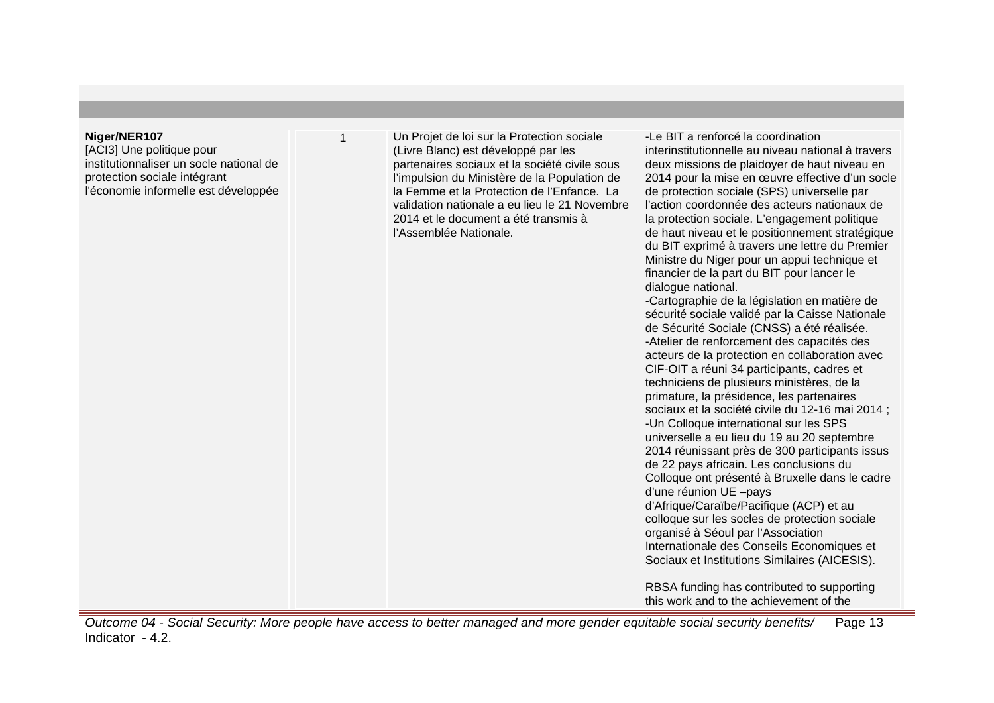#### **Niger/NER107**

[ACI3] Une politique pour institutionnaliser un socle national de protection sociale intégrant l'économie informelle est développée 1 Un Projet de loi sur la Protection sociale (Livre Blanc) est développé par les partenaires sociaux et la société civile sous l'impulsion du Ministère de la Population de la Femme et la Protection de l'Enfance. La validation nationale a eu lieu le 21 Novembre 2014 et le document a été transmis à l'Assemblée Nationale.

-Le BIT a renforcé la coordination interinstitutionnelle au niveau national à travers deux missions de plaidoyer de haut niveau en 2014 pour la mise en œuvre effective d'un socle de protection sociale (SPS) universelle par l'action coordonnée des acteurs nationaux de la protection sociale. L'engagement politique de haut niveau et le positionnement stratégique du BIT exprimé à travers une lettre du Premier Ministre du Niger pour un appui technique et financier de la part du BIT pour lancer le dialogue national. -Cartographie de la législation en matière de sécurité sociale validé par la Caisse Nationale

de Sécurité Sociale (CNSS) a été réalisée. -Atelier de renforcement des capacités des acteurs de la protection en collaboration avec CIF-OIT a réuni 34 participants, cadres et techniciens de plusieurs ministères, de la primature, la présidence, les partenaires sociaux et la société civile du 12-16 mai 2014 ; -Un Colloque international sur les SPS universelle a eu lieu du 19 au 20 septembre 2014 réunissant près de 300 participants issus de 22 pays africain. Les conclusions du Colloque ont présenté à Bruxelle dans le cadre d'une réunion UE –pays d'Afrique/Caraïbe/Pacifique (ACP) et au colloque sur les socles de protection sociale organisé à Séoul par l'Association Internationale des Conseils Economiques et

RBSA funding has contributed to supporting this work and to the achievement of the

Sociaux et Institutions Similaires (AICESIS).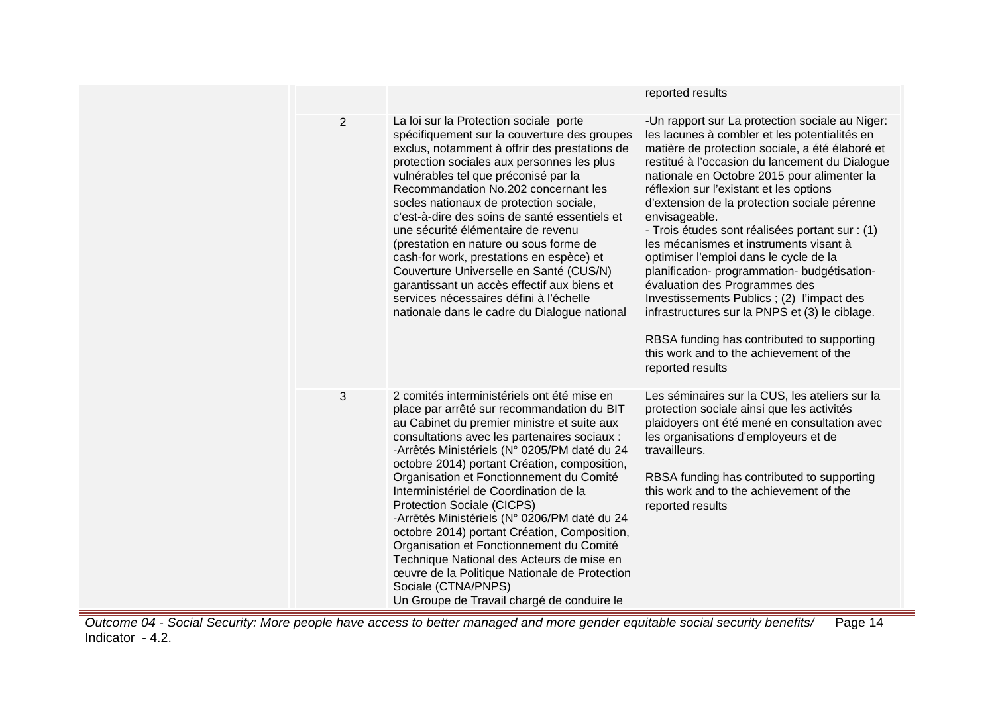|                |                                                                                                                                                                                                                                                                                                                                                                                                                                                                                                                                                                                                                                                                                                                             | reported results                                                                                                                                                                                                                                                                                                                                                                                                                                                                                                                                                                                                                                                                                                                                                                                     |
|----------------|-----------------------------------------------------------------------------------------------------------------------------------------------------------------------------------------------------------------------------------------------------------------------------------------------------------------------------------------------------------------------------------------------------------------------------------------------------------------------------------------------------------------------------------------------------------------------------------------------------------------------------------------------------------------------------------------------------------------------------|------------------------------------------------------------------------------------------------------------------------------------------------------------------------------------------------------------------------------------------------------------------------------------------------------------------------------------------------------------------------------------------------------------------------------------------------------------------------------------------------------------------------------------------------------------------------------------------------------------------------------------------------------------------------------------------------------------------------------------------------------------------------------------------------------|
| $\overline{2}$ | La loi sur la Protection sociale porte<br>spécifiquement sur la couverture des groupes<br>exclus, notamment à offrir des prestations de<br>protection sociales aux personnes les plus<br>vulnérables tel que préconisé par la<br>Recommandation No.202 concernant les<br>socles nationaux de protection sociale,<br>c'est-à-dire des soins de santé essentiels et<br>une sécurité élémentaire de revenu<br>(prestation en nature ou sous forme de<br>cash-for work, prestations en espèce) et<br>Couverture Universelle en Santé (CUS/N)<br>garantissant un accès effectif aux biens et<br>services nécessaires défini à l'échelle<br>nationale dans le cadre du Dialogue national                                          | -Un rapport sur La protection sociale au Niger:<br>les lacunes à combler et les potentialités en<br>matière de protection sociale, a été élaboré et<br>restitué à l'occasion du lancement du Dialogue<br>nationale en Octobre 2015 pour alimenter la<br>réflexion sur l'existant et les options<br>d'extension de la protection sociale pérenne<br>envisageable.<br>- Trois études sont réalisées portant sur : (1)<br>les mécanismes et instruments visant à<br>optimiser l'emploi dans le cycle de la<br>planification- programmation- budgétisation-<br>évaluation des Programmes des<br>Investissements Publics; (2) l'impact des<br>infrastructures sur la PNPS et (3) le ciblage.<br>RBSA funding has contributed to supporting<br>this work and to the achievement of the<br>reported results |
| 3              | 2 comités interministériels ont été mise en<br>place par arrêté sur recommandation du BIT<br>au Cabinet du premier ministre et suite aux<br>consultations avec les partenaires sociaux :<br>-Arrêtés Ministériels (N° 0205/PM daté du 24<br>octobre 2014) portant Création, composition,<br>Organisation et Fonctionnement du Comité<br>Interministériel de Coordination de la<br>Protection Sociale (CICPS)<br>-Arrêtés Ministériels (N° 0206/PM daté du 24<br>octobre 2014) portant Création, Composition,<br>Organisation et Fonctionnement du Comité<br>Technique National des Acteurs de mise en<br>œuvre de la Politique Nationale de Protection<br>Sociale (CTNA/PNPS)<br>Un Groupe de Travail chargé de conduire le | Les séminaires sur la CUS, les ateliers sur la<br>protection sociale ainsi que les activités<br>plaidoyers ont été mené en consultation avec<br>les organisations d'employeurs et de<br>travailleurs.<br>RBSA funding has contributed to supporting<br>this work and to the achievement of the<br>reported results                                                                                                                                                                                                                                                                                                                                                                                                                                                                                   |

Outcome 04 - Social Security: More people have access to better managed and more gender equitable social security benefits/ Indicator - 4.2. Page 14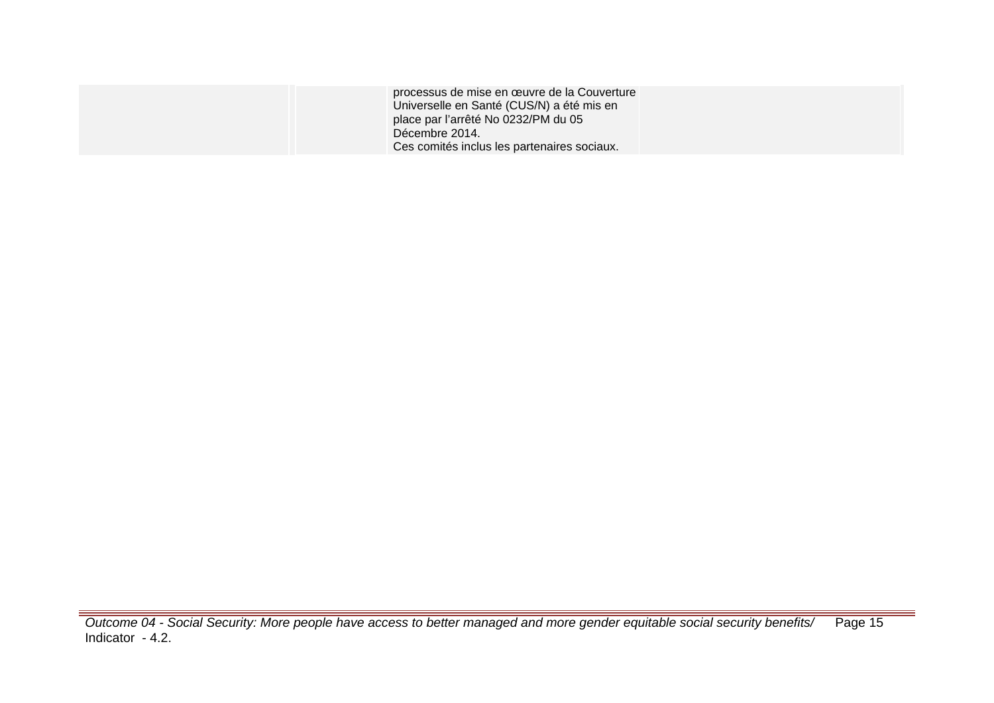| processus de mise en œuvre de la Couverture<br>Universelle en Santé (CUS/N) a été mis en<br>place par l'arrêté No 0232/PM du 05<br>Décembre 2014.<br>Ces comités inclus les partenaires sociaux. |  |
|--------------------------------------------------------------------------------------------------------------------------------------------------------------------------------------------------|--|
|                                                                                                                                                                                                  |  |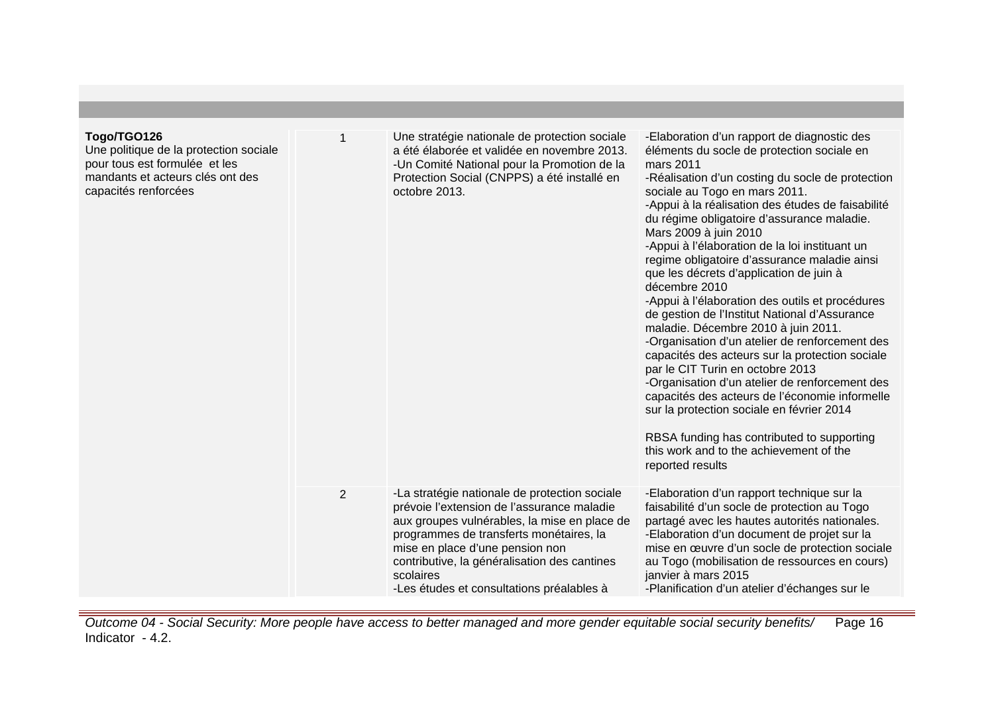| Togo/TGO126<br>Une politique de la protection sociale<br>pour tous est formulée et les<br>mandants et acteurs clés ont des<br>capacités renforcées |   | Une stratégie nationale de protection sociale<br>a été élaborée et validée en novembre 2013.<br>-Un Comité National pour la Promotion de la<br>Protection Social (CNPPS) a été installé en<br>octobre 2013.                                                                                                                         | -Elaboration d'un rapport de diagnostic des<br>éléments du socle de protection sociale en<br>mars 2011<br>-Réalisation d'un costing du socle de protection<br>sociale au Togo en mars 2011.<br>-Appui à la réalisation des études de faisabilité<br>du régime obligatoire d'assurance maladie.<br>Mars 2009 à juin 2010<br>-Appui à l'élaboration de la loi instituant un<br>regime obligatoire d'assurance maladie ainsi<br>que les décrets d'application de juin à<br>décembre 2010<br>-Appui à l'élaboration des outils et procédures<br>de gestion de l'Institut National d'Assurance<br>maladie. Décembre 2010 à juin 2011.<br>-Organisation d'un atelier de renforcement des<br>capacités des acteurs sur la protection sociale<br>par le CIT Turin en octobre 2013<br>-Organisation d'un atelier de renforcement des<br>capacités des acteurs de l'économie informelle<br>sur la protection sociale en février 2014<br>RBSA funding has contributed to supporting<br>this work and to the achievement of the<br>reported results |
|----------------------------------------------------------------------------------------------------------------------------------------------------|---|-------------------------------------------------------------------------------------------------------------------------------------------------------------------------------------------------------------------------------------------------------------------------------------------------------------------------------------|-----------------------------------------------------------------------------------------------------------------------------------------------------------------------------------------------------------------------------------------------------------------------------------------------------------------------------------------------------------------------------------------------------------------------------------------------------------------------------------------------------------------------------------------------------------------------------------------------------------------------------------------------------------------------------------------------------------------------------------------------------------------------------------------------------------------------------------------------------------------------------------------------------------------------------------------------------------------------------------------------------------------------------------------|
|                                                                                                                                                    | 2 | -La stratégie nationale de protection sociale<br>prévoie l'extension de l'assurance maladie<br>aux groupes vulnérables, la mise en place de<br>programmes de transferts monétaires, la<br>mise en place d'une pension non<br>contributive, la généralisation des cantines<br>scolaires<br>-Les études et consultations préalables à | -Elaboration d'un rapport technique sur la<br>faisabilité d'un socle de protection au Togo<br>partagé avec les hautes autorités nationales.<br>-Elaboration d'un document de projet sur la<br>mise en œuvre d'un socle de protection sociale<br>au Togo (mobilisation de ressources en cours)<br>janvier à mars 2015<br>-Planification d'un atelier d'échanges sur le                                                                                                                                                                                                                                                                                                                                                                                                                                                                                                                                                                                                                                                                   |

Outcome 04 - Social Security: More people have access to better managed and more gender equitable social security benefits/ Indicator - 4.2. Page 16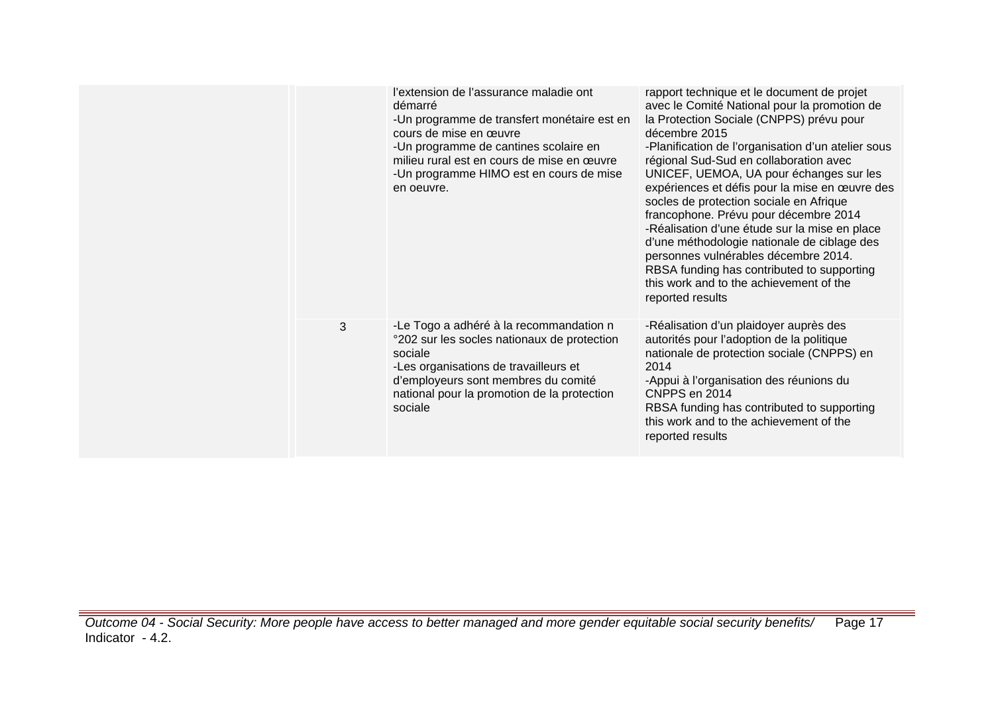|   | l'extension de l'assurance maladie ont<br>démarré<br>-Un programme de transfert monétaire est en<br>cours de mise en œuvre<br>-Un programme de cantines scolaire en<br>milieu rural est en cours de mise en œuvre<br>-Un programme HIMO est en cours de mise<br>en oeuvre. | rapport technique et le document de projet<br>avec le Comité National pour la promotion de<br>la Protection Sociale (CNPPS) prévu pour<br>décembre 2015<br>-Planification de l'organisation d'un atelier sous<br>régional Sud-Sud en collaboration avec<br>UNICEF, UEMOA, UA pour échanges sur les<br>expériences et défis pour la mise en œuvre des<br>socles de protection sociale en Afrique<br>francophone. Prévu pour décembre 2014<br>-Réalisation d'une étude sur la mise en place<br>d'une méthodologie nationale de ciblage des<br>personnes vulnérables décembre 2014.<br>RBSA funding has contributed to supporting<br>this work and to the achievement of the<br>reported results |
|---|----------------------------------------------------------------------------------------------------------------------------------------------------------------------------------------------------------------------------------------------------------------------------|-----------------------------------------------------------------------------------------------------------------------------------------------------------------------------------------------------------------------------------------------------------------------------------------------------------------------------------------------------------------------------------------------------------------------------------------------------------------------------------------------------------------------------------------------------------------------------------------------------------------------------------------------------------------------------------------------|
| 3 | -Le Togo a adhéré à la recommandation n<br>°202 sur les socles nationaux de protection<br>sociale<br>-Les organisations de travailleurs et<br>d'employeurs sont membres du comité<br>national pour la promotion de la protection<br>sociale                                | -Réalisation d'un plaidoyer auprès des<br>autorités pour l'adoption de la politique<br>nationale de protection sociale (CNPPS) en<br>2014<br>-Appui à l'organisation des réunions du<br>CNPPS en 2014<br>RBSA funding has contributed to supporting<br>this work and to the achievement of the<br>reported results                                                                                                                                                                                                                                                                                                                                                                            |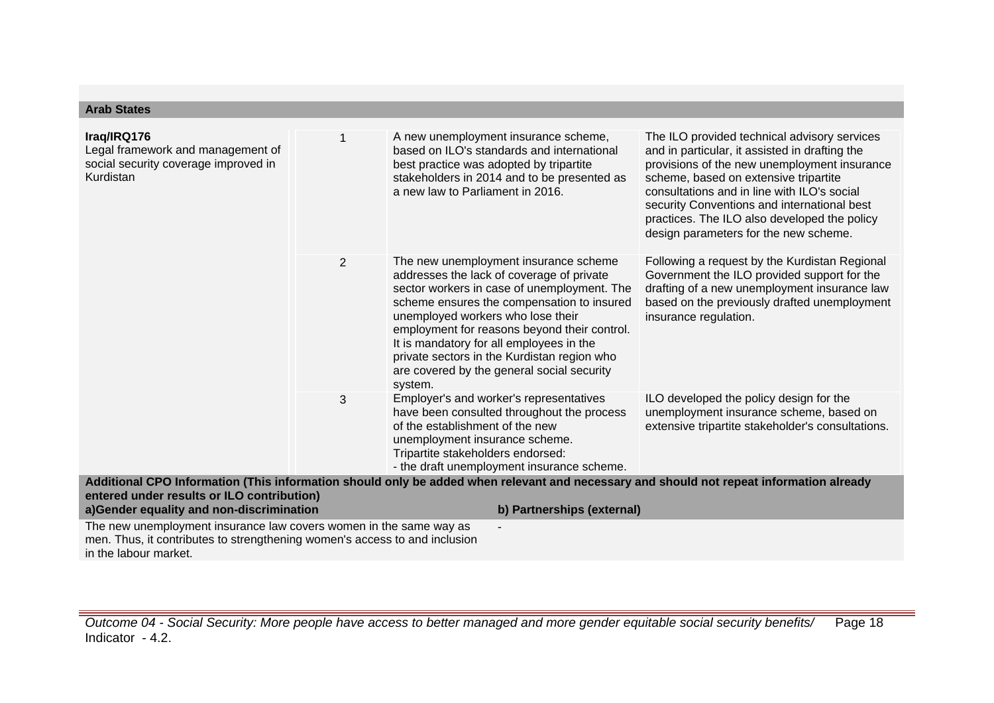| Iraq/IRQ176<br>Legal framework and management of<br>social security coverage improved in<br><b>Kurdistan</b> |   | A new unemployment insurance scheme,<br>based on ILO's standards and international<br>best practice was adopted by tripartite<br>stakeholders in 2014 and to be presented as<br>a new law to Parliament in 2016.                                                                                                                                                                                                         | The ILO provided technical advisory services<br>and in particular, it assisted in drafting the<br>provisions of the new unemployment insurance<br>scheme, based on extensive tripartite<br>consultations and in line with ILO's social<br>security Conventions and international best<br>practices. The ILO also developed the policy<br>design parameters for the new scheme. |
|--------------------------------------------------------------------------------------------------------------|---|--------------------------------------------------------------------------------------------------------------------------------------------------------------------------------------------------------------------------------------------------------------------------------------------------------------------------------------------------------------------------------------------------------------------------|--------------------------------------------------------------------------------------------------------------------------------------------------------------------------------------------------------------------------------------------------------------------------------------------------------------------------------------------------------------------------------|
|                                                                                                              | 2 | The new unemployment insurance scheme<br>addresses the lack of coverage of private<br>sector workers in case of unemployment. The<br>scheme ensures the compensation to insured<br>unemployed workers who lose their<br>employment for reasons beyond their control.<br>It is mandatory for all employees in the<br>private sectors in the Kurdistan region who<br>are covered by the general social security<br>system. | Following a request by the Kurdistan Regional<br>Government the ILO provided support for the<br>drafting of a new unemployment insurance law<br>based on the previously drafted unemployment<br>insurance regulation.                                                                                                                                                          |
|                                                                                                              | 3 | Employer's and worker's representatives<br>have been consulted throughout the process<br>of the establishment of the new<br>unemployment insurance scheme.<br>Tripartite stakeholders endorsed:<br>- the draft unemployment insurance scheme.                                                                                                                                                                            | ILO developed the policy design for the<br>unemployment insurance scheme, based on<br>extensive tripartite stakeholder's consultations.                                                                                                                                                                                                                                        |
| entered under results or ILO contribution)                                                                   |   | Additional CPO Information (This information should only be added when relevant and necessary and should not repeat information already                                                                                                                                                                                                                                                                                  |                                                                                                                                                                                                                                                                                                                                                                                |

**Arab States**

**a)Gender equality and non-discrimination b) Partnerships (external)** The new unemployment insurance law covers women in the same way as men. Thus, it contributes to strengthening women's access to and inclusion in the labour market. -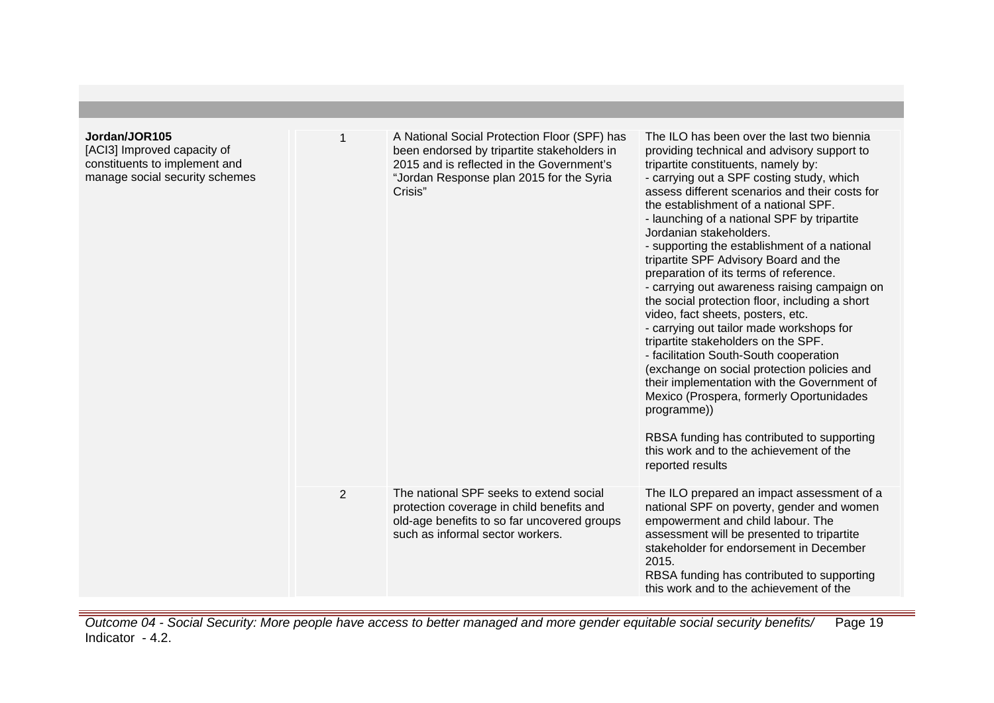| Jordan/JOR105<br>[ACI3] Improved capacity of<br>constituents to implement and<br>manage social security schemes |                | A National Social Protection Floor (SPF) has<br>been endorsed by tripartite stakeholders in<br>2015 and is reflected in the Government's<br>"Jordan Response plan 2015 for the Syria<br>Crisis" | The ILO has been over the last two biennia<br>providing technical and advisory support to<br>tripartite constituents, namely by:<br>- carrying out a SPF costing study, which<br>assess different scenarios and their costs for<br>the establishment of a national SPF.<br>- launching of a national SPF by tripartite<br>Jordanian stakeholders.<br>- supporting the establishment of a national<br>tripartite SPF Advisory Board and the<br>preparation of its terms of reference.<br>- carrying out awareness raising campaign on<br>the social protection floor, including a short<br>video, fact sheets, posters, etc.<br>- carrying out tailor made workshops for<br>tripartite stakeholders on the SPF.<br>- facilitation South-South cooperation<br>(exchange on social protection policies and<br>their implementation with the Government of<br>Mexico (Prospera, formerly Oportunidades<br>programme))<br>RBSA funding has contributed to supporting<br>this work and to the achievement of the<br>reported results |
|-----------------------------------------------------------------------------------------------------------------|----------------|-------------------------------------------------------------------------------------------------------------------------------------------------------------------------------------------------|--------------------------------------------------------------------------------------------------------------------------------------------------------------------------------------------------------------------------------------------------------------------------------------------------------------------------------------------------------------------------------------------------------------------------------------------------------------------------------------------------------------------------------------------------------------------------------------------------------------------------------------------------------------------------------------------------------------------------------------------------------------------------------------------------------------------------------------------------------------------------------------------------------------------------------------------------------------------------------------------------------------------------------|
|                                                                                                                 | $\overline{2}$ | The national SPF seeks to extend social<br>protection coverage in child benefits and<br>old-age benefits to so far uncovered groups<br>such as informal sector workers.                         | The ILO prepared an impact assessment of a<br>national SPF on poverty, gender and women<br>empowerment and child labour. The<br>assessment will be presented to tripartite<br>stakeholder for endorsement in December<br>2015.<br>RBSA funding has contributed to supporting<br>this work and to the achievement of the                                                                                                                                                                                                                                                                                                                                                                                                                                                                                                                                                                                                                                                                                                        |

Outcome 04 - Social Security: More people have access to better managed and more gender equitable social security benefits/ Indicator - 4.2. Page 19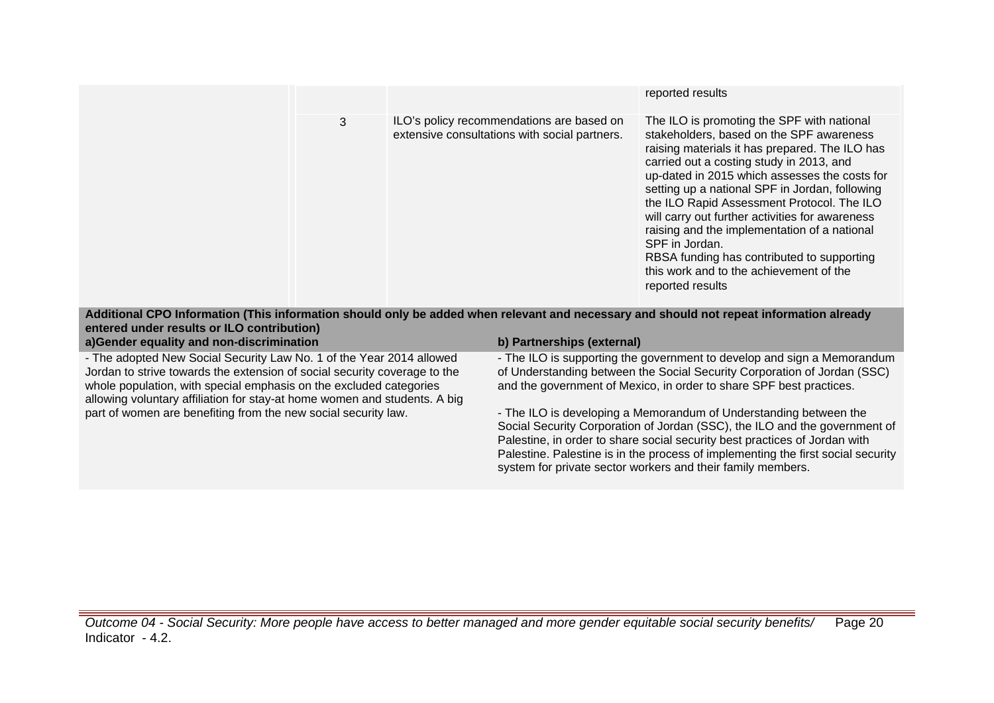|   |                                                                                                                                         | reported results                                                                                                                                                                                                                                                                                                                                                                                                                                                                                                                                                        |
|---|-----------------------------------------------------------------------------------------------------------------------------------------|-------------------------------------------------------------------------------------------------------------------------------------------------------------------------------------------------------------------------------------------------------------------------------------------------------------------------------------------------------------------------------------------------------------------------------------------------------------------------------------------------------------------------------------------------------------------------|
| 3 | ILO's policy recommendations are based on<br>extensive consultations with social partners.                                              | The ILO is promoting the SPF with national<br>stakeholders, based on the SPF awareness<br>raising materials it has prepared. The ILO has<br>carried out a costing study in 2013, and<br>up-dated in 2015 which assesses the costs for<br>setting up a national SPF in Jordan, following<br>the ILO Rapid Assessment Protocol. The ILO<br>will carry out further activities for awareness<br>raising and the implementation of a national<br>SPF in Jordan.<br>RBSA funding has contributed to supporting<br>this work and to the achievement of the<br>reported results |
|   | Additional CPO Information (This information should only be added when relevant and necessary and should not repeat information already |                                                                                                                                                                                                                                                                                                                                                                                                                                                                                                                                                                         |

| entered under results or ILO contribution)                                                                                                                                                                                                                                                           |                                                                                                                                                                                                                                                                                                                                                                                  |
|------------------------------------------------------------------------------------------------------------------------------------------------------------------------------------------------------------------------------------------------------------------------------------------------------|----------------------------------------------------------------------------------------------------------------------------------------------------------------------------------------------------------------------------------------------------------------------------------------------------------------------------------------------------------------------------------|
| a)Gender equality and non-discrimination                                                                                                                                                                                                                                                             | b) Partnerships (external)                                                                                                                                                                                                                                                                                                                                                       |
| - The adopted New Social Security Law No. 1 of the Year 2014 allowed<br>Jordan to strive towards the extension of social security coverage to the<br>whole population, with special emphasis on the excluded categories<br>allowing voluntary affiliation for stay-at home women and students. A big | - The ILO is supporting the government to develop and sign a Memorandum<br>of Understanding between the Social Security Corporation of Jordan (SSC)<br>and the government of Mexico, in order to share SPF best practices.                                                                                                                                                       |
| part of women are benefiting from the new social security law.                                                                                                                                                                                                                                       | - The ILO is developing a Memorandum of Understanding between the<br>Social Security Corporation of Jordan (SSC), the ILO and the government of<br>Palestine, in order to share social security best practices of Jordan with<br>Palestine. Palestine is in the process of implementing the first social security<br>system for private sector workers and their family members. |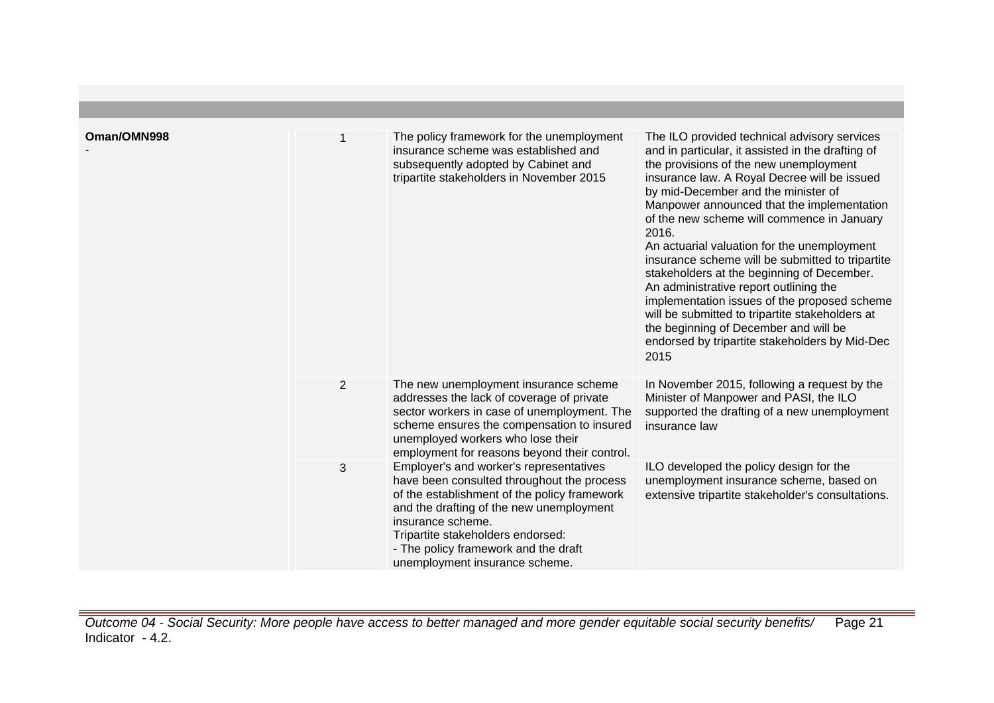| Oman/OMN998 |                | The policy framework for the unemployment<br>insurance scheme was established and<br>subsequently adopted by Cabinet and<br>tripartite stakeholders in November 2015                                                                                                                                                  | The ILO provided technical advisory services<br>and in particular, it assisted in the drafting of<br>the provisions of the new unemployment<br>insurance law. A Royal Decree will be issued<br>by mid-December and the minister of<br>Manpower announced that the implementation<br>of the new scheme will commence in January<br>2016.<br>An actuarial valuation for the unemployment<br>insurance scheme will be submitted to tripartite<br>stakeholders at the beginning of December.<br>An administrative report outlining the<br>implementation issues of the proposed scheme<br>will be submitted to tripartite stakeholders at |
|-------------|----------------|-----------------------------------------------------------------------------------------------------------------------------------------------------------------------------------------------------------------------------------------------------------------------------------------------------------------------|---------------------------------------------------------------------------------------------------------------------------------------------------------------------------------------------------------------------------------------------------------------------------------------------------------------------------------------------------------------------------------------------------------------------------------------------------------------------------------------------------------------------------------------------------------------------------------------------------------------------------------------|
|             |                |                                                                                                                                                                                                                                                                                                                       | the beginning of December and will be<br>endorsed by tripartite stakeholders by Mid-Dec<br>2015                                                                                                                                                                                                                                                                                                                                                                                                                                                                                                                                       |
|             | $\overline{2}$ | The new unemployment insurance scheme<br>addresses the lack of coverage of private<br>sector workers in case of unemployment. The<br>scheme ensures the compensation to insured<br>unemployed workers who lose their<br>employment for reasons beyond their control.                                                  | In November 2015, following a request by the<br>Minister of Manpower and PASI, the ILO<br>supported the drafting of a new unemployment<br>insurance law                                                                                                                                                                                                                                                                                                                                                                                                                                                                               |
|             | 3              | Employer's and worker's representatives<br>have been consulted throughout the process<br>of the establishment of the policy framework<br>and the drafting of the new unemployment<br>insurance scheme.<br>Tripartite stakeholders endorsed:<br>- The policy framework and the draft<br>unemployment insurance scheme. | ILO developed the policy design for the<br>unemployment insurance scheme, based on<br>extensive tripartite stakeholder's consultations.                                                                                                                                                                                                                                                                                                                                                                                                                                                                                               |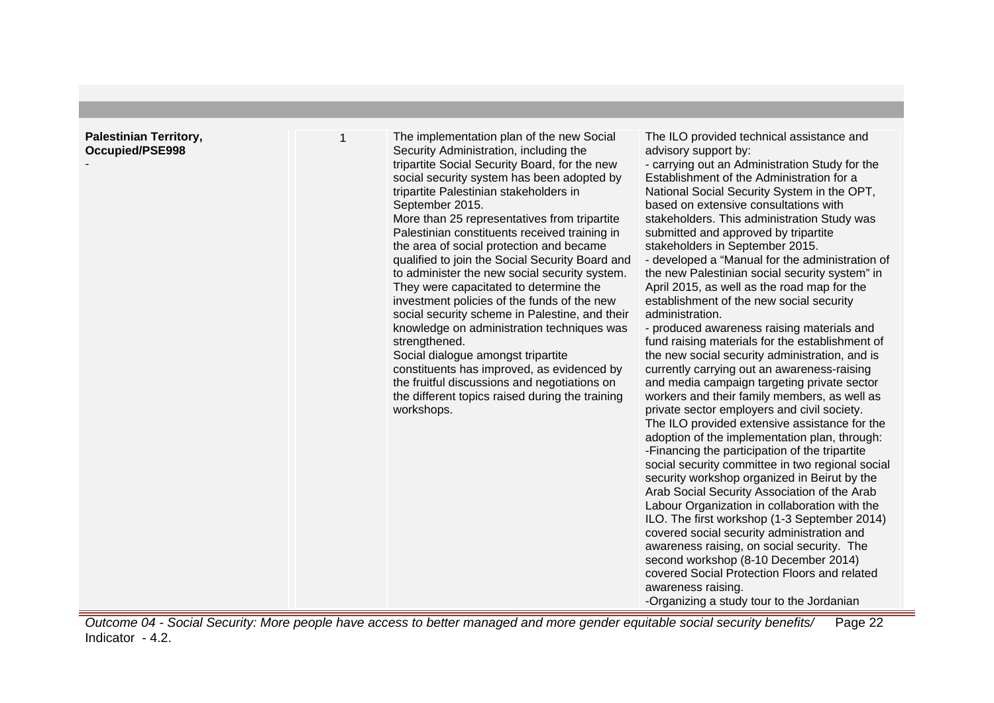| <b>Palestinian Territory,</b> |                                                                                                                                                                                                                                                                                                                                                                                                                                                                                                                                                                                                                                                                                                                                                                                                                                                                                                                 |                                                                                                                                                                                                                                                                                                                                                                                                                                                                                                                                                                                                                                                                                                                                                                                                                                                                                                                                                                                                                                                                                                                                                                                                                                                                                                                                                                                                                                                                                                                                                                                                                       |
|-------------------------------|-----------------------------------------------------------------------------------------------------------------------------------------------------------------------------------------------------------------------------------------------------------------------------------------------------------------------------------------------------------------------------------------------------------------------------------------------------------------------------------------------------------------------------------------------------------------------------------------------------------------------------------------------------------------------------------------------------------------------------------------------------------------------------------------------------------------------------------------------------------------------------------------------------------------|-----------------------------------------------------------------------------------------------------------------------------------------------------------------------------------------------------------------------------------------------------------------------------------------------------------------------------------------------------------------------------------------------------------------------------------------------------------------------------------------------------------------------------------------------------------------------------------------------------------------------------------------------------------------------------------------------------------------------------------------------------------------------------------------------------------------------------------------------------------------------------------------------------------------------------------------------------------------------------------------------------------------------------------------------------------------------------------------------------------------------------------------------------------------------------------------------------------------------------------------------------------------------------------------------------------------------------------------------------------------------------------------------------------------------------------------------------------------------------------------------------------------------------------------------------------------------------------------------------------------------|
| Occupied/PSE998               | The implementation plan of the new Social<br>Security Administration, including the<br>tripartite Social Security Board, for the new<br>social security system has been adopted by<br>tripartite Palestinian stakeholders in<br>September 2015.<br>More than 25 representatives from tripartite<br>Palestinian constituents received training in<br>the area of social protection and became<br>qualified to join the Social Security Board and<br>to administer the new social security system.<br>They were capacitated to determine the<br>investment policies of the funds of the new<br>social security scheme in Palestine, and their<br>knowledge on administration techniques was<br>strengthened.<br>Social dialogue amongst tripartite<br>constituents has improved, as evidenced by<br>the fruitful discussions and negotiations on<br>the different topics raised during the training<br>workshops. | The ILO provided technical assistance and<br>advisory support by:<br>- carrying out an Administration Study for the<br>Establishment of the Administration for a<br>National Social Security System in the OPT,<br>based on extensive consultations with<br>stakeholders. This administration Study was<br>submitted and approved by tripartite<br>stakeholders in September 2015.<br>- developed a "Manual for the administration of<br>the new Palestinian social security system" in<br>April 2015, as well as the road map for the<br>establishment of the new social security<br>administration.<br>- produced awareness raising materials and<br>fund raising materials for the establishment of<br>the new social security administration, and is<br>currently carrying out an awareness-raising<br>and media campaign targeting private sector<br>workers and their family members, as well as<br>private sector employers and civil society.<br>The ILO provided extensive assistance for the<br>adoption of the implementation plan, through:<br>-Financing the participation of the tripartite<br>social security committee in two regional social<br>security workshop organized in Beirut by the<br>Arab Social Security Association of the Arab<br>Labour Organization in collaboration with the<br>ILO. The first workshop (1-3 September 2014)<br>covered social security administration and<br>awareness raising, on social security. The<br>second workshop (8-10 December 2014)<br>covered Social Protection Floors and related<br>awareness raising.<br>-Organizing a study tour to the Jordanian |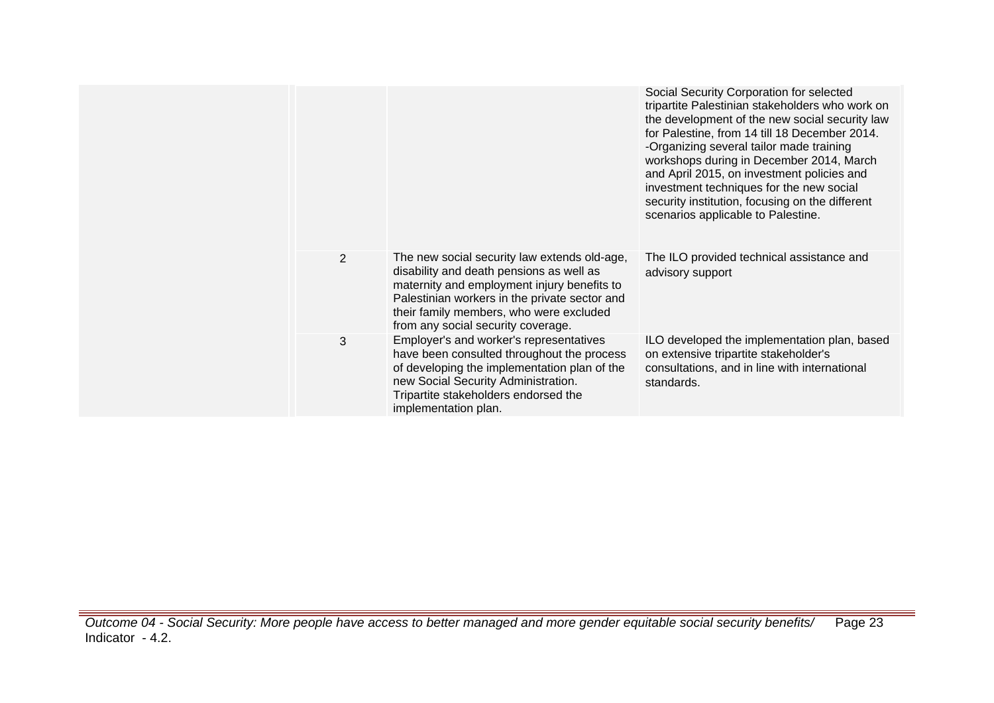|                |                                                                                                                                                                                                                                                                           | Social Security Corporation for selected<br>tripartite Palestinian stakeholders who work on<br>the development of the new social security law<br>for Palestine, from 14 till 18 December 2014.<br>-Organizing several tailor made training<br>workshops during in December 2014, March<br>and April 2015, on investment policies and<br>investment techniques for the new social<br>security institution, focusing on the different<br>scenarios applicable to Palestine. |
|----------------|---------------------------------------------------------------------------------------------------------------------------------------------------------------------------------------------------------------------------------------------------------------------------|---------------------------------------------------------------------------------------------------------------------------------------------------------------------------------------------------------------------------------------------------------------------------------------------------------------------------------------------------------------------------------------------------------------------------------------------------------------------------|
| $\overline{2}$ | The new social security law extends old-age,<br>disability and death pensions as well as<br>maternity and employment injury benefits to<br>Palestinian workers in the private sector and<br>their family members, who were excluded<br>from any social security coverage. | The ILO provided technical assistance and<br>advisory support                                                                                                                                                                                                                                                                                                                                                                                                             |
| 3              | Employer's and worker's representatives<br>have been consulted throughout the process<br>of developing the implementation plan of the<br>new Social Security Administration.<br>Tripartite stakeholders endorsed the<br>implementation plan.                              | ILO developed the implementation plan, based<br>on extensive tripartite stakeholder's<br>consultations, and in line with international<br>standards.                                                                                                                                                                                                                                                                                                                      |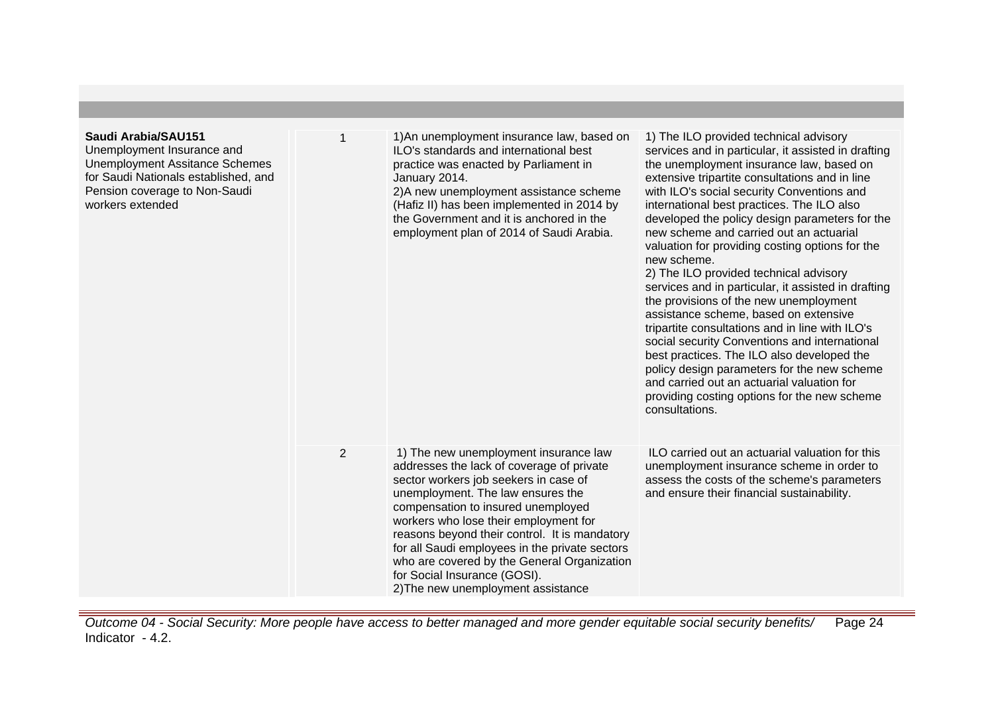| Saudi Arabia/SAU151<br>Unemployment Insurance and<br><b>Unemployment Assitance Schemes</b><br>for Saudi Nationals established, and<br>Pension coverage to Non-Saudi<br>workers extended |                | 1) An unemployment insurance law, based on<br>ILO's standards and international best<br>practice was enacted by Parliament in<br>January 2014.<br>2) A new unemployment assistance scheme<br>(Hafiz II) has been implemented in 2014 by<br>the Government and it is anchored in the<br>employment plan of 2014 of Saudi Arabia.                                                                                                                                         | 1) The ILO provided technical advisory<br>services and in particular, it assisted in drafting<br>the unemployment insurance law, based on<br>extensive tripartite consultations and in line<br>with ILO's social security Conventions and<br>international best practices. The ILO also<br>developed the policy design parameters for the<br>new scheme and carried out an actuarial<br>valuation for providing costing options for the<br>new scheme.<br>2) The ILO provided technical advisory<br>services and in particular, it assisted in drafting<br>the provisions of the new unemployment<br>assistance scheme, based on extensive<br>tripartite consultations and in line with ILO's<br>social security Conventions and international<br>best practices. The ILO also developed the<br>policy design parameters for the new scheme<br>and carried out an actuarial valuation for<br>providing costing options for the new scheme<br>consultations. |
|-----------------------------------------------------------------------------------------------------------------------------------------------------------------------------------------|----------------|-------------------------------------------------------------------------------------------------------------------------------------------------------------------------------------------------------------------------------------------------------------------------------------------------------------------------------------------------------------------------------------------------------------------------------------------------------------------------|-------------------------------------------------------------------------------------------------------------------------------------------------------------------------------------------------------------------------------------------------------------------------------------------------------------------------------------------------------------------------------------------------------------------------------------------------------------------------------------------------------------------------------------------------------------------------------------------------------------------------------------------------------------------------------------------------------------------------------------------------------------------------------------------------------------------------------------------------------------------------------------------------------------------------------------------------------------|
|                                                                                                                                                                                         | $\overline{2}$ | 1) The new unemployment insurance law<br>addresses the lack of coverage of private<br>sector workers job seekers in case of<br>unemployment. The law ensures the<br>compensation to insured unemployed<br>workers who lose their employment for<br>reasons beyond their control. It is mandatory<br>for all Saudi employees in the private sectors<br>who are covered by the General Organization<br>for Social Insurance (GOSI).<br>2) The new unemployment assistance | ILO carried out an actuarial valuation for this<br>unemployment insurance scheme in order to<br>assess the costs of the scheme's parameters<br>and ensure their financial sustainability.                                                                                                                                                                                                                                                                                                                                                                                                                                                                                                                                                                                                                                                                                                                                                                   |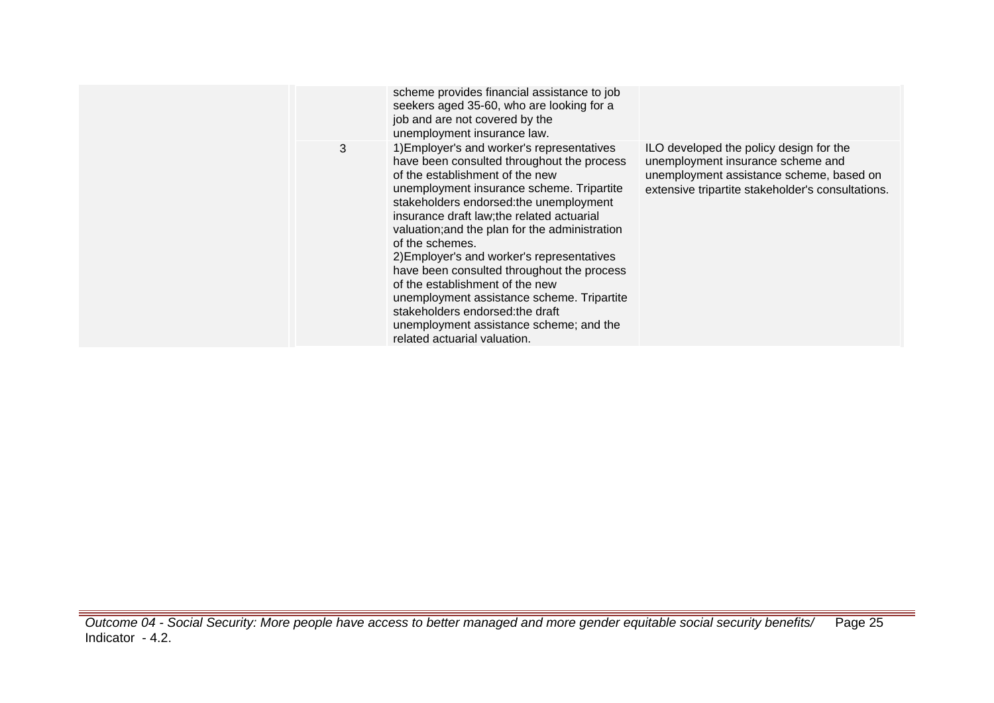|   | scheme provides financial assistance to job<br>seekers aged 35-60, who are looking for a<br>job and are not covered by the<br>unemployment insurance law.                                                                                                                                                                                                                                                                                                                                                                                                                                                                          |                                                                                                                                                                               |
|---|------------------------------------------------------------------------------------------------------------------------------------------------------------------------------------------------------------------------------------------------------------------------------------------------------------------------------------------------------------------------------------------------------------------------------------------------------------------------------------------------------------------------------------------------------------------------------------------------------------------------------------|-------------------------------------------------------------------------------------------------------------------------------------------------------------------------------|
| 3 | 1) Employer's and worker's representatives<br>have been consulted throughout the process<br>of the establishment of the new<br>unemployment insurance scheme. Tripartite<br>stakeholders endorsed: the unemployment<br>insurance draft law; the related actuarial<br>valuation; and the plan for the administration<br>of the schemes.<br>2) Employer's and worker's representatives<br>have been consulted throughout the process<br>of the establishment of the new<br>unemployment assistance scheme. Tripartite<br>stakeholders endorsed: the draft<br>unemployment assistance scheme; and the<br>related actuarial valuation. | ILO developed the policy design for the<br>unemployment insurance scheme and<br>unemployment assistance scheme, based on<br>extensive tripartite stakeholder's consultations. |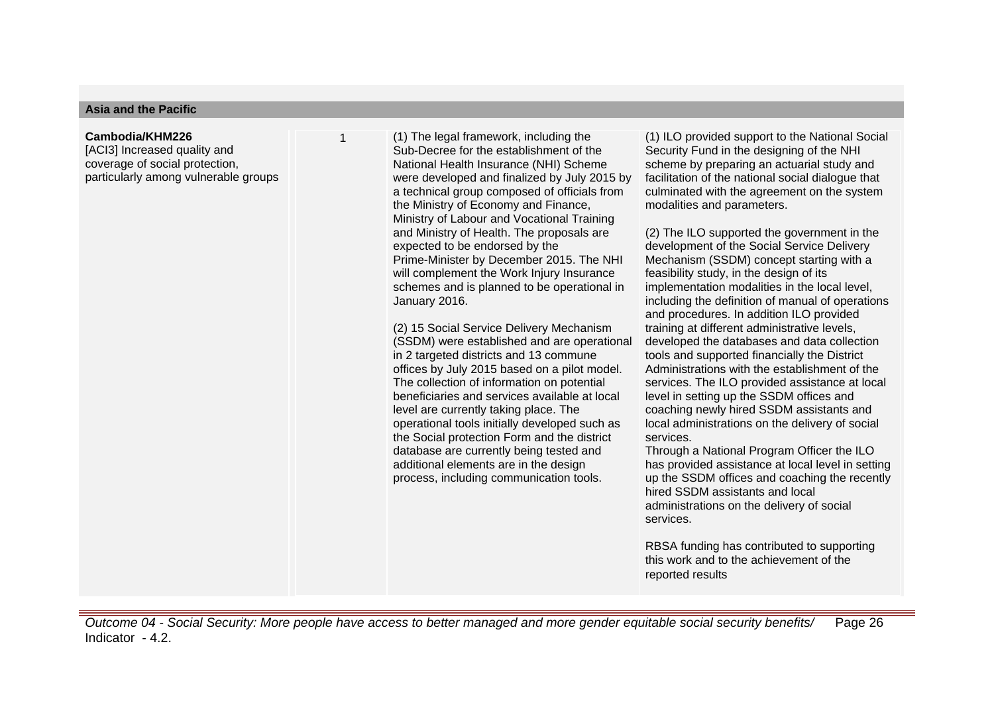#### **Asia and the Pacific**

#### **Cambodia/KHM226**

[ACI3] Increased quality and coverage of social protection, particularly among vulnerable groups 1 (1) The legal framework, including the Sub-Decree for the establishment of the National Health Insurance (NHI) Scheme were developed and finalized by July 2015 by a technical group composed of officials from the Ministry of Economy and Finance, Ministry of Labour and Vocational Training and Ministry of Health. The proposals are expected to be endorsed by the Prime-Minister by December 2015. The NHI will complement the Work Injury Insurance schemes and is planned to be operational in January 2016.

(2) 15 Social Service Delivery Mechanism (SSDM) were established and are operational in 2 targeted districts and 13 commune offices by July 2015 based on a pilot model. The collection of information on potential beneficiaries and services available at local level are currently taking place. The operational tools initially developed such as the Social protection Form and the district database are currently being tested and additional elements are in the design process, including communication tools.

(1) ILO provided support to the National Social Security Fund in the designing of the NHI scheme by preparing an actuarial study and facilitation of the national social dialogue that culminated with the agreement on the system modalities and parameters.

(2) The ILO supported the government in the development of the Social Service Delivery Mechanism (SSDM) concept starting with a feasibility study, in the design of its implementation modalities in the local level, including the definition of manual of operations and procedures. In addition ILO provided training at different administrative levels, developed the databases and data collection tools and supported financially the District Administrations with the establishment of the services. The ILO provided assistance at local level in setting up the SSDM offices and coaching newly hired SSDM assistants and local administrations on the delivery of social services.

Through a National Program Officer the ILO has provided assistance at local level in setting up the SSDM offices and coaching the recently hired SSDM assistants and local administrations on the delivery of social services.

RBSA funding has contributed to supporting this work and to the achievement of the reported results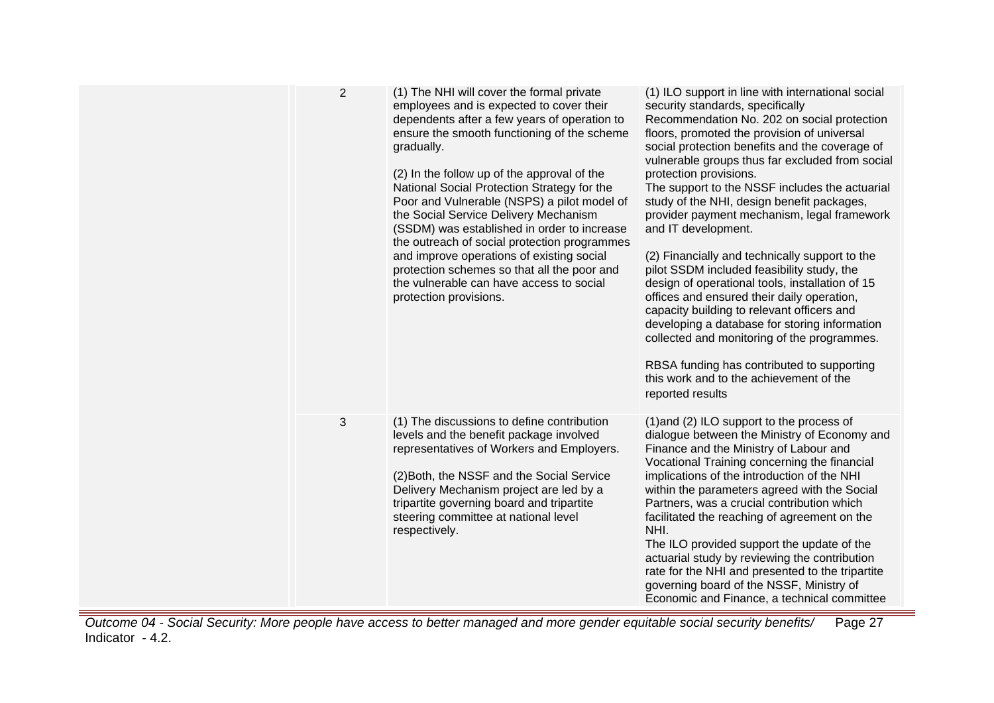| $\overline{2}$ | (1) The NHI will cover the formal private<br>employees and is expected to cover their<br>dependents after a few years of operation to<br>ensure the smooth functioning of the scheme<br>gradually.<br>(2) In the follow up of the approval of the<br>National Social Protection Strategy for the<br>Poor and Vulnerable (NSPS) a pilot model of<br>the Social Service Delivery Mechanism<br>(SSDM) was established in order to increase<br>the outreach of social protection programmes<br>and improve operations of existing social<br>protection schemes so that all the poor and<br>the vulnerable can have access to social<br>protection provisions. | (1) ILO support in line with international social<br>security standards, specifically<br>Recommendation No. 202 on social protection<br>floors, promoted the provision of universal<br>social protection benefits and the coverage of<br>vulnerable groups thus far excluded from social<br>protection provisions.<br>The support to the NSSF includes the actuarial<br>study of the NHI, design benefit packages,<br>provider payment mechanism, legal framework<br>and IT development.<br>(2) Financially and technically support to the<br>pilot SSDM included feasibility study, the<br>design of operational tools, installation of 15<br>offices and ensured their daily operation,<br>capacity building to relevant officers and<br>developing a database for storing information<br>collected and monitoring of the programmes.<br>RBSA funding has contributed to supporting<br>this work and to the achievement of the<br>reported results |
|----------------|-----------------------------------------------------------------------------------------------------------------------------------------------------------------------------------------------------------------------------------------------------------------------------------------------------------------------------------------------------------------------------------------------------------------------------------------------------------------------------------------------------------------------------------------------------------------------------------------------------------------------------------------------------------|------------------------------------------------------------------------------------------------------------------------------------------------------------------------------------------------------------------------------------------------------------------------------------------------------------------------------------------------------------------------------------------------------------------------------------------------------------------------------------------------------------------------------------------------------------------------------------------------------------------------------------------------------------------------------------------------------------------------------------------------------------------------------------------------------------------------------------------------------------------------------------------------------------------------------------------------------|
| 3              | (1) The discussions to define contribution<br>levels and the benefit package involved<br>representatives of Workers and Employers.<br>(2) Both, the NSSF and the Social Service<br>Delivery Mechanism project are led by a<br>tripartite governing board and tripartite<br>steering committee at national level<br>respectively.                                                                                                                                                                                                                                                                                                                          | (1) and (2) ILO support to the process of<br>dialogue between the Ministry of Economy and<br>Finance and the Ministry of Labour and<br>Vocational Training concerning the financial<br>implications of the introduction of the NHI<br>within the parameters agreed with the Social<br>Partners, was a crucial contribution which<br>facilitated the reaching of agreement on the<br>NHI.<br>The ILO provided support the update of the<br>actuarial study by reviewing the contribution<br>rate for the NHI and presented to the tripartite<br>governing board of the NSSF, Ministry of<br>Economic and Finance, a technical committee                                                                                                                                                                                                                                                                                                               |

Outcome 04 - Social Security: More people have access to better managed and more gender equitable social security benefits/ Indicator - 4.2. Page 27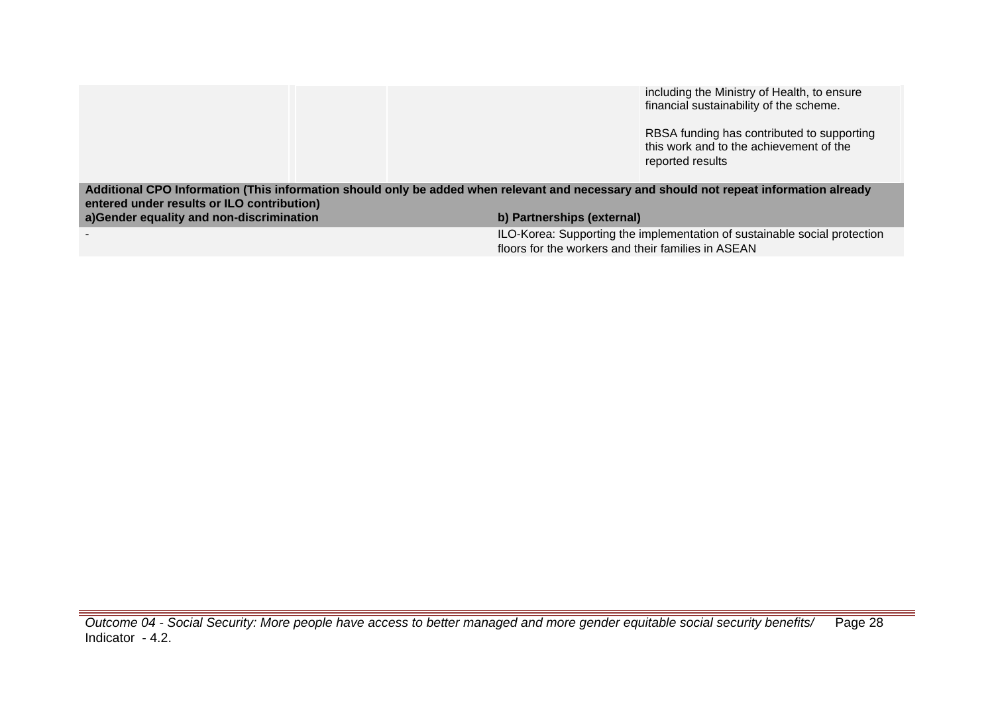|                                                                                                                                                                                                                                   |                                                    | including the Ministry of Health, to ensure<br>financial sustainability of the scheme.<br>RBSA funding has contributed to supporting<br>this work and to the achievement of the<br>reported results |
|-----------------------------------------------------------------------------------------------------------------------------------------------------------------------------------------------------------------------------------|----------------------------------------------------|-----------------------------------------------------------------------------------------------------------------------------------------------------------------------------------------------------|
| Additional CPO Information (This information should only be added when relevant and necessary and should not repeat information already<br>entered under results or ILO contribution)<br>a)Gender equality and non-discrimination | b) Partnerships (external)                         |                                                                                                                                                                                                     |
|                                                                                                                                                                                                                                   | floors for the workers and their families in ASEAN | ILO-Korea: Supporting the implementation of sustainable social protection                                                                                                                           |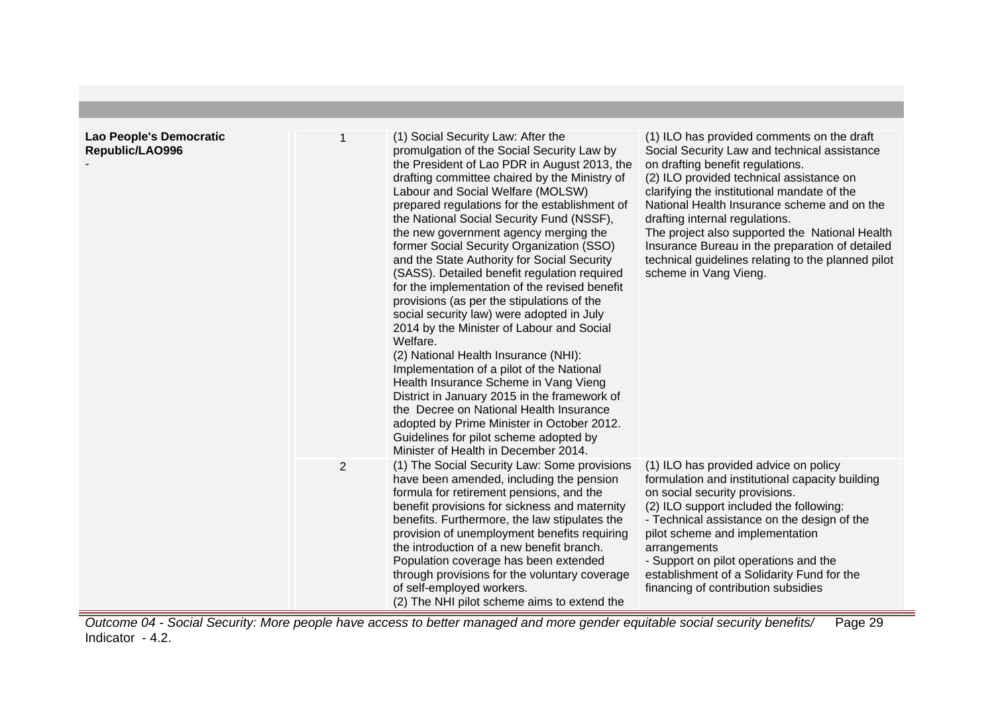| Lao People's Democratic<br>Republic/LAO996 |                | (1) Social Security Law: After the<br>promulgation of the Social Security Law by<br>the President of Lao PDR in August 2013, the<br>drafting committee chaired by the Ministry of<br>Labour and Social Welfare (MOLSW)<br>prepared regulations for the establishment of<br>the National Social Security Fund (NSSF),<br>the new government agency merging the<br>former Social Security Organization (SSO)<br>and the State Authority for Social Security<br>(SASS). Detailed benefit regulation required<br>for the implementation of the revised benefit<br>provisions (as per the stipulations of the<br>social security law) were adopted in July<br>2014 by the Minister of Labour and Social<br>Welfare.<br>(2) National Health Insurance (NHI):<br>Implementation of a pilot of the National<br>Health Insurance Scheme in Vang Vieng<br>District in January 2015 in the framework of<br>the Decree on National Health Insurance<br>adopted by Prime Minister in October 2012.<br>Guidelines for pilot scheme adopted by<br>Minister of Health in December 2014. | (1) ILO has provided comments on the draft<br>Social Security Law and technical assistance<br>on drafting benefit regulations.<br>(2) ILO provided technical assistance on<br>clarifying the institutional mandate of the<br>National Health Insurance scheme and on the<br>drafting internal regulations.<br>The project also supported the National Health<br>Insurance Bureau in the preparation of detailed<br>technical guidelines relating to the planned pilot<br>scheme in Vang Vieng. |
|--------------------------------------------|----------------|-------------------------------------------------------------------------------------------------------------------------------------------------------------------------------------------------------------------------------------------------------------------------------------------------------------------------------------------------------------------------------------------------------------------------------------------------------------------------------------------------------------------------------------------------------------------------------------------------------------------------------------------------------------------------------------------------------------------------------------------------------------------------------------------------------------------------------------------------------------------------------------------------------------------------------------------------------------------------------------------------------------------------------------------------------------------------|------------------------------------------------------------------------------------------------------------------------------------------------------------------------------------------------------------------------------------------------------------------------------------------------------------------------------------------------------------------------------------------------------------------------------------------------------------------------------------------------|
|                                            | $\overline{2}$ | (1) The Social Security Law: Some provisions<br>have been amended, including the pension<br>formula for retirement pensions, and the<br>benefit provisions for sickness and maternity<br>benefits. Furthermore, the law stipulates the<br>provision of unemployment benefits requiring<br>the introduction of a new benefit branch.<br>Population coverage has been extended<br>through provisions for the voluntary coverage<br>of self-employed workers.<br>(2) The NHI pilot scheme aims to extend the                                                                                                                                                                                                                                                                                                                                                                                                                                                                                                                                                               | (1) ILO has provided advice on policy<br>formulation and institutional capacity building<br>on social security provisions.<br>(2) ILO support included the following:<br>- Technical assistance on the design of the<br>pilot scheme and implementation<br>arrangements<br>- Support on pilot operations and the<br>establishment of a Solidarity Fund for the<br>financing of contribution subsidies                                                                                          |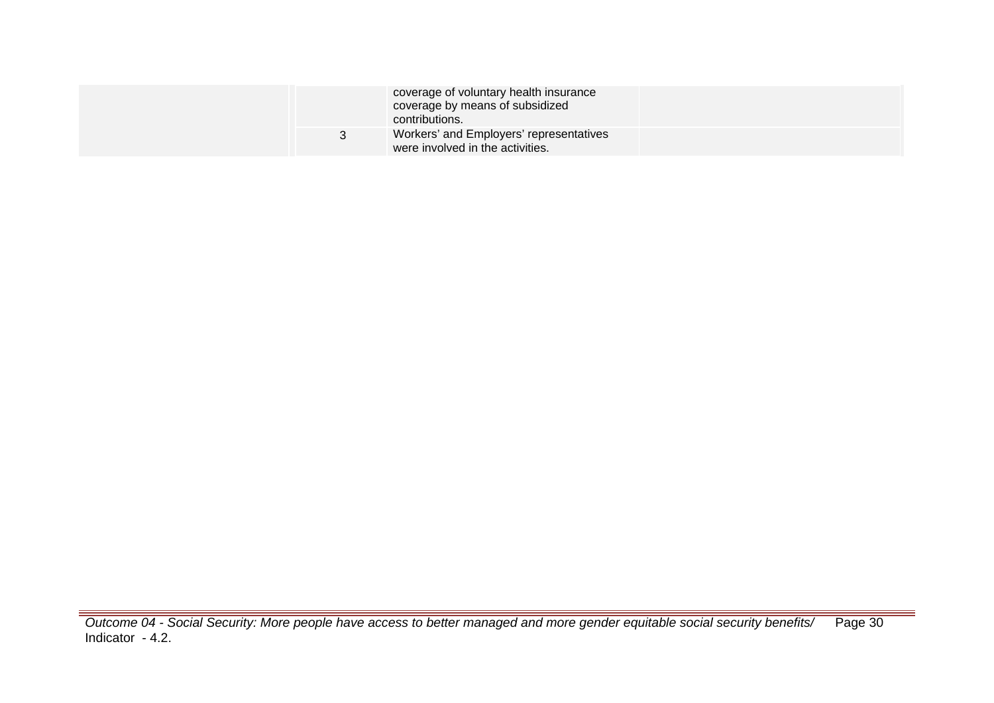|  | coverage of voluntary health insurance<br>coverage by means of subsidized<br>contributions. |  |
|--|---------------------------------------------------------------------------------------------|--|
|  | Workers' and Employers' representatives<br>were involved in the activities.                 |  |

Outcome 04 - Social Security: More people have access to better managed and more gender equitable social security benefits/ Indicator - 4.2. Page 30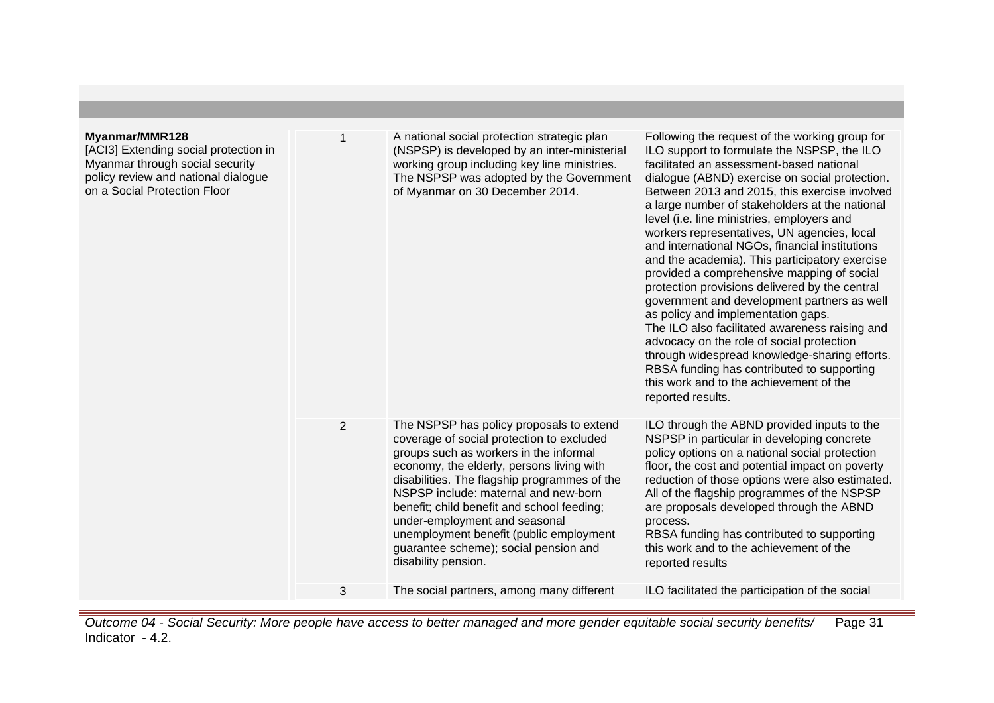| Myanmar/MMR128<br>[ACI3] Extending social protection in<br>Myanmar through social security<br>policy review and national dialogue<br>on a Social Protection Floor |                | A national social protection strategic plan<br>(NSPSP) is developed by an inter-ministerial<br>working group including key line ministries.<br>The NSPSP was adopted by the Government<br>of Myanmar on 30 December 2014.                                                                                                                                                                                                                                      | Following the request of the working group for<br>ILO support to formulate the NSPSP, the ILO<br>facilitated an assessment-based national<br>dialogue (ABND) exercise on social protection.<br>Between 2013 and 2015, this exercise involved<br>a large number of stakeholders at the national<br>level (i.e. line ministries, employers and<br>workers representatives, UN agencies, local<br>and international NGOs, financial institutions<br>and the academia). This participatory exercise<br>provided a comprehensive mapping of social<br>protection provisions delivered by the central<br>government and development partners as well<br>as policy and implementation gaps.<br>The ILO also facilitated awareness raising and<br>advocacy on the role of social protection<br>through widespread knowledge-sharing efforts.<br>RBSA funding has contributed to supporting<br>this work and to the achievement of the<br>reported results. |
|-------------------------------------------------------------------------------------------------------------------------------------------------------------------|----------------|----------------------------------------------------------------------------------------------------------------------------------------------------------------------------------------------------------------------------------------------------------------------------------------------------------------------------------------------------------------------------------------------------------------------------------------------------------------|----------------------------------------------------------------------------------------------------------------------------------------------------------------------------------------------------------------------------------------------------------------------------------------------------------------------------------------------------------------------------------------------------------------------------------------------------------------------------------------------------------------------------------------------------------------------------------------------------------------------------------------------------------------------------------------------------------------------------------------------------------------------------------------------------------------------------------------------------------------------------------------------------------------------------------------------------|
|                                                                                                                                                                   | $\overline{2}$ | The NSPSP has policy proposals to extend<br>coverage of social protection to excluded<br>groups such as workers in the informal<br>economy, the elderly, persons living with<br>disabilities. The flagship programmes of the<br>NSPSP include: maternal and new-born<br>benefit; child benefit and school feeding;<br>under-employment and seasonal<br>unemployment benefit (public employment<br>guarantee scheme); social pension and<br>disability pension. | ILO through the ABND provided inputs to the<br>NSPSP in particular in developing concrete<br>policy options on a national social protection<br>floor, the cost and potential impact on poverty<br>reduction of those options were also estimated.<br>All of the flagship programmes of the NSPSP<br>are proposals developed through the ABND<br>process.<br>RBSA funding has contributed to supporting<br>this work and to the achievement of the<br>reported results                                                                                                                                                                                                                                                                                                                                                                                                                                                                              |
|                                                                                                                                                                   | 3              | The social partners, among many different                                                                                                                                                                                                                                                                                                                                                                                                                      | ILO facilitated the participation of the social                                                                                                                                                                                                                                                                                                                                                                                                                                                                                                                                                                                                                                                                                                                                                                                                                                                                                                    |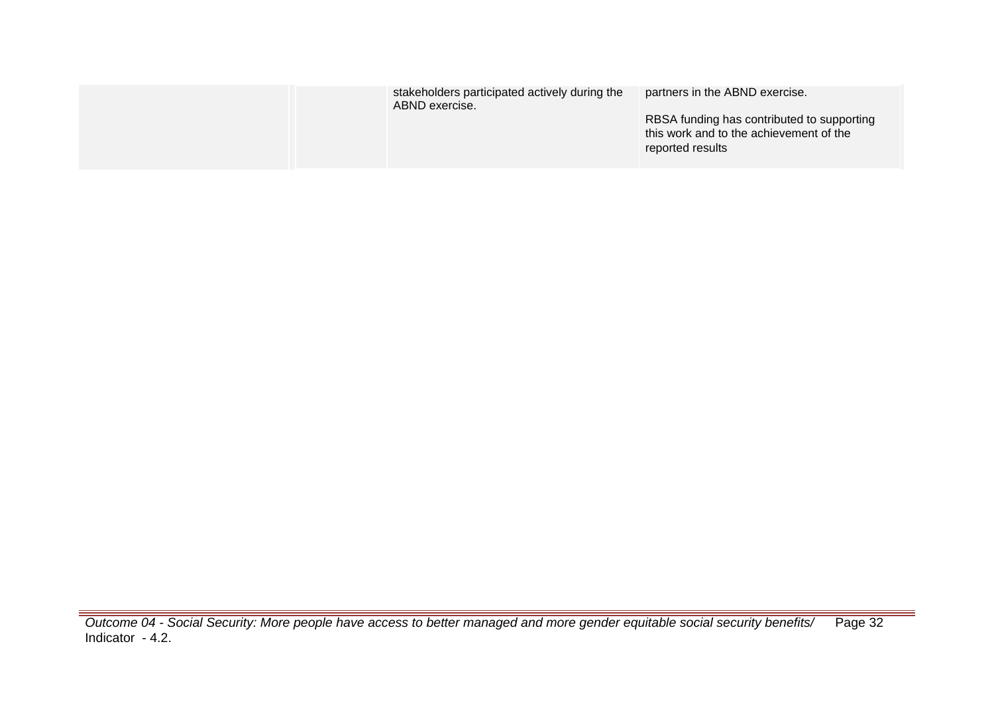| stakeholders participated actively during the<br>ABND exercise. | partners in the ABND exercise.<br>RBSA funding has contributed to supporting<br>this work and to the achievement of the<br>reported results |
|-----------------------------------------------------------------|---------------------------------------------------------------------------------------------------------------------------------------------|
|                                                                 |                                                                                                                                             |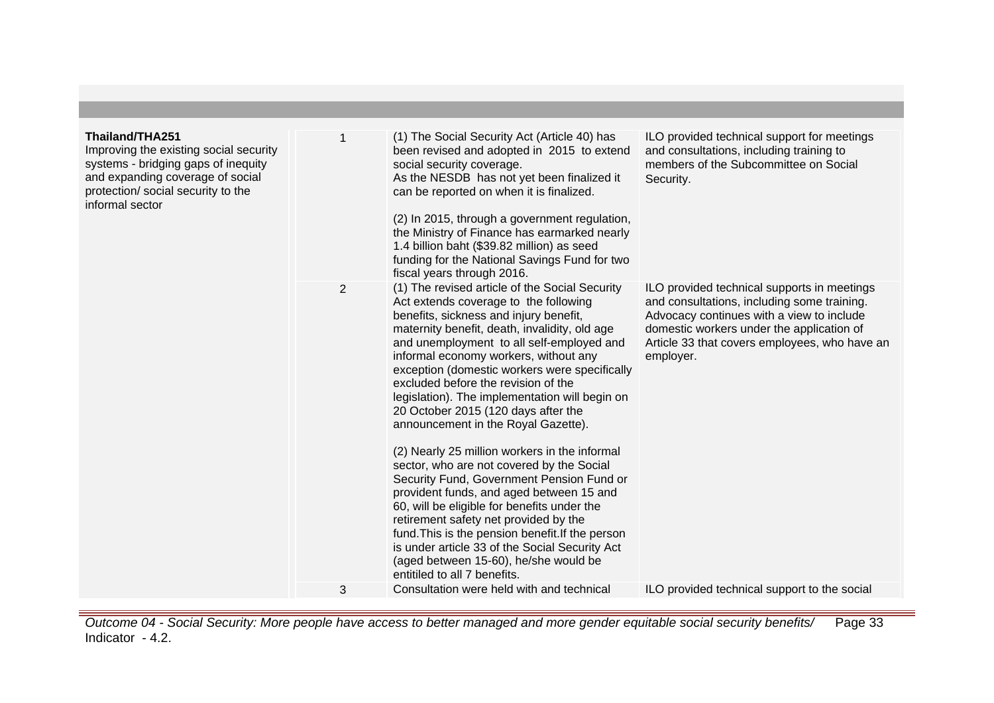| Thailand/THA251<br>Improving the existing social security<br>systems - bridging gaps of inequity<br>and expanding coverage of social<br>protection/ social security to the<br>informal sector |                | (1) The Social Security Act (Article 40) has<br>been revised and adopted in 2015 to extend<br>social security coverage.<br>As the NESDB has not yet been finalized it<br>can be reported on when it is finalized.<br>(2) In 2015, through a government regulation,<br>the Ministry of Finance has earmarked nearly<br>1.4 billion baht (\$39.82 million) as seed<br>funding for the National Savings Fund for two<br>fiscal years through 2016.                                                                                                                                                                                                                                                                                                                                 | ILO provided technical support for meetings<br>and consultations, including training to<br>members of the Subcommittee on Social<br>Security.                                                                                                      |
|-----------------------------------------------------------------------------------------------------------------------------------------------------------------------------------------------|----------------|---------------------------------------------------------------------------------------------------------------------------------------------------------------------------------------------------------------------------------------------------------------------------------------------------------------------------------------------------------------------------------------------------------------------------------------------------------------------------------------------------------------------------------------------------------------------------------------------------------------------------------------------------------------------------------------------------------------------------------------------------------------------------------|----------------------------------------------------------------------------------------------------------------------------------------------------------------------------------------------------------------------------------------------------|
|                                                                                                                                                                                               | $\overline{2}$ | (1) The revised article of the Social Security<br>Act extends coverage to the following<br>benefits, sickness and injury benefit,<br>maternity benefit, death, invalidity, old age<br>and unemployment to all self-employed and<br>informal economy workers, without any<br>exception (domestic workers were specifically<br>excluded before the revision of the<br>legislation). The implementation will begin on<br>20 October 2015 (120 days after the<br>announcement in the Royal Gazette).<br>(2) Nearly 25 million workers in the informal<br>sector, who are not covered by the Social<br>Security Fund, Government Pension Fund or<br>provident funds, and aged between 15 and<br>60, will be eligible for benefits under the<br>retirement safety net provided by the | ILO provided technical supports in meetings<br>and consultations, including some training.<br>Advocacy continues with a view to include<br>domestic workers under the application of<br>Article 33 that covers employees, who have an<br>employer. |
|                                                                                                                                                                                               | 3              | fund. This is the pension benefit. If the person<br>is under article 33 of the Social Security Act<br>(aged between 15-60), he/she would be<br>entitiled to all 7 benefits.<br>Consultation were held with and technical                                                                                                                                                                                                                                                                                                                                                                                                                                                                                                                                                        | ILO provided technical support to the social                                                                                                                                                                                                       |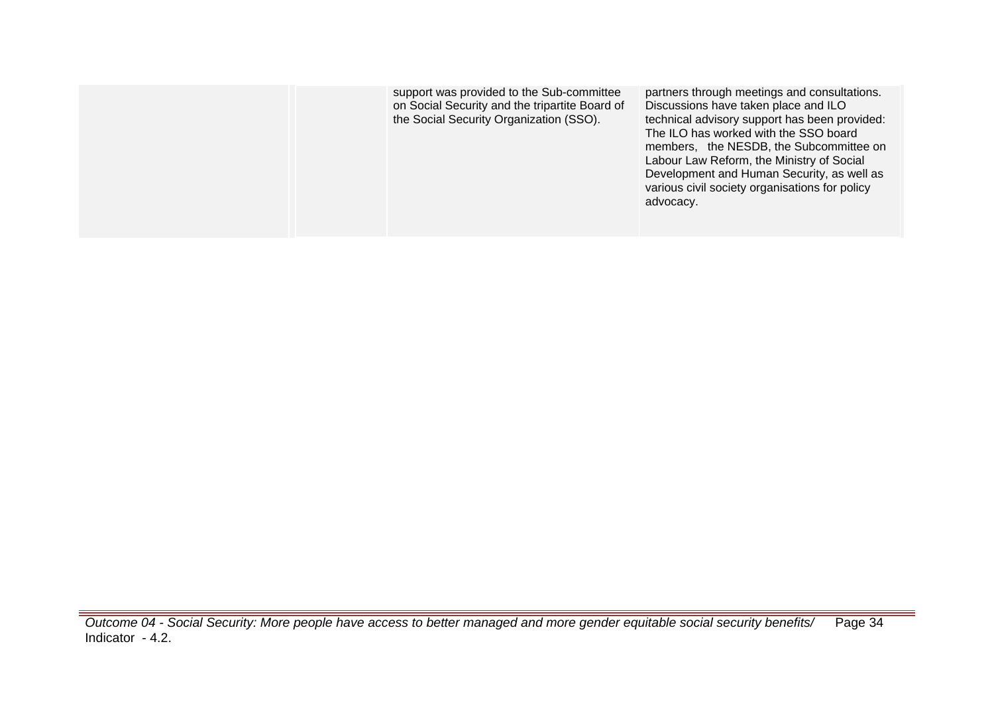| support was provided to the Sub-committee<br>on Social Security and the tripartite Board of<br>the Social Security Organization (SSO). | partners through meetings and consultations.<br>Discussions have taken place and ILO<br>technical advisory support has been provided:<br>The ILO has worked with the SSO board<br>members, the NESDB, the Subcommittee on<br>Labour Law Reform, the Ministry of Social<br>Development and Human Security, as well as<br>various civil society organisations for policy<br>advocacy. |
|----------------------------------------------------------------------------------------------------------------------------------------|-------------------------------------------------------------------------------------------------------------------------------------------------------------------------------------------------------------------------------------------------------------------------------------------------------------------------------------------------------------------------------------|
|                                                                                                                                        |                                                                                                                                                                                                                                                                                                                                                                                     |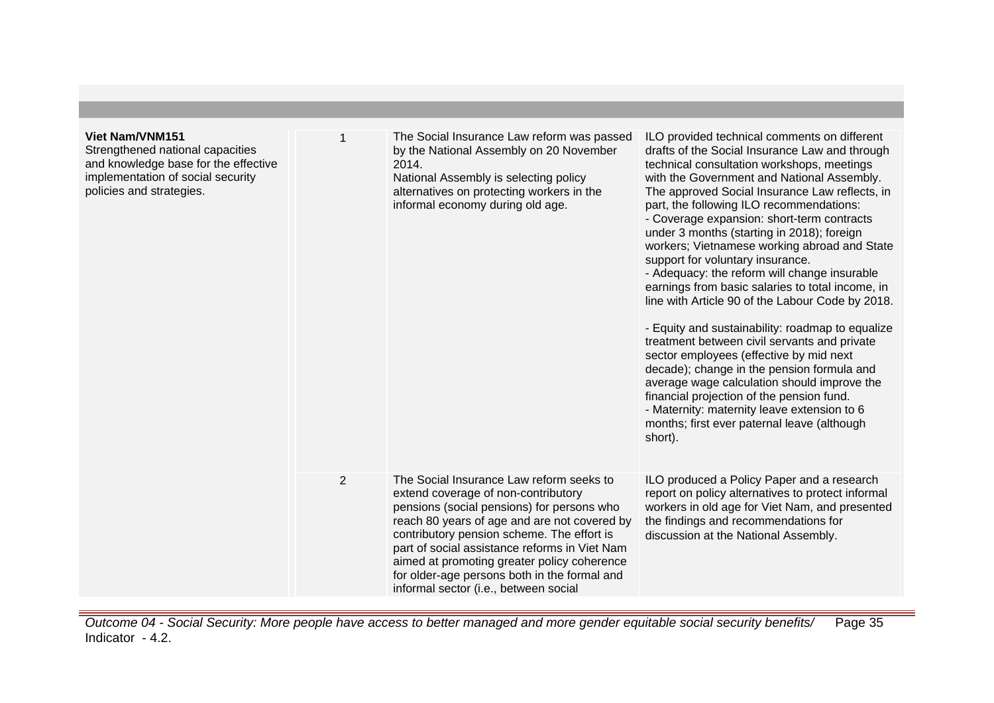| <b>Viet Nam/VNM151</b><br>Strengthened national capacities<br>and knowledge base for the effective<br>implementation of social security<br>policies and strategies. |                | The Social Insurance Law reform was passed<br>by the National Assembly on 20 November<br>2014.<br>National Assembly is selecting policy<br>alternatives on protecting workers in the<br>informal economy during old age.                                                                                                                                                                                             | ILO provided technical comments on different<br>drafts of the Social Insurance Law and through<br>technical consultation workshops, meetings<br>with the Government and National Assembly.<br>The approved Social Insurance Law reflects, in<br>part, the following ILO recommendations:<br>- Coverage expansion: short-term contracts<br>under 3 months (starting in 2018); foreign<br>workers; Vietnamese working abroad and State<br>support for voluntary insurance.<br>- Adequacy: the reform will change insurable<br>earnings from basic salaries to total income, in<br>line with Article 90 of the Labour Code by 2018.<br>- Equity and sustainability: roadmap to equalize<br>treatment between civil servants and private<br>sector employees (effective by mid next<br>decade); change in the pension formula and<br>average wage calculation should improve the<br>financial projection of the pension fund.<br>- Maternity: maternity leave extension to 6<br>months; first ever paternal leave (although<br>short). |
|---------------------------------------------------------------------------------------------------------------------------------------------------------------------|----------------|----------------------------------------------------------------------------------------------------------------------------------------------------------------------------------------------------------------------------------------------------------------------------------------------------------------------------------------------------------------------------------------------------------------------|------------------------------------------------------------------------------------------------------------------------------------------------------------------------------------------------------------------------------------------------------------------------------------------------------------------------------------------------------------------------------------------------------------------------------------------------------------------------------------------------------------------------------------------------------------------------------------------------------------------------------------------------------------------------------------------------------------------------------------------------------------------------------------------------------------------------------------------------------------------------------------------------------------------------------------------------------------------------------------------------------------------------------------|
|                                                                                                                                                                     | $\overline{2}$ | The Social Insurance Law reform seeks to<br>extend coverage of non-contributory<br>pensions (social pensions) for persons who<br>reach 80 years of age and are not covered by<br>contributory pension scheme. The effort is<br>part of social assistance reforms in Viet Nam<br>aimed at promoting greater policy coherence<br>for older-age persons both in the formal and<br>informal sector (i.e., between social | ILO produced a Policy Paper and a research<br>report on policy alternatives to protect informal<br>workers in old age for Viet Nam, and presented<br>the findings and recommendations for<br>discussion at the National Assembly.                                                                                                                                                                                                                                                                                                                                                                                                                                                                                                                                                                                                                                                                                                                                                                                                  |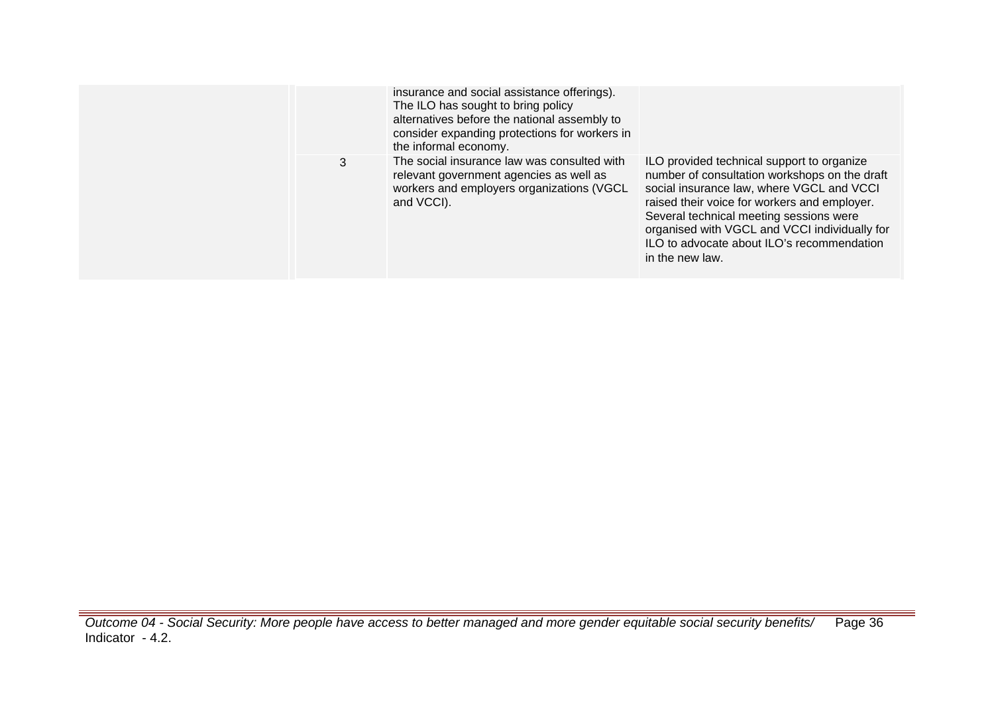|   | insurance and social assistance offerings).<br>The ILO has sought to bring policy<br>alternatives before the national assembly to<br>consider expanding protections for workers in<br>the informal economy. |                                                                                                                                                                                                                                                                                                                                                       |
|---|-------------------------------------------------------------------------------------------------------------------------------------------------------------------------------------------------------------|-------------------------------------------------------------------------------------------------------------------------------------------------------------------------------------------------------------------------------------------------------------------------------------------------------------------------------------------------------|
| 3 | The social insurance law was consulted with<br>relevant government agencies as well as<br>workers and employers organizations (VGCL<br>and VCCI).                                                           | ILO provided technical support to organize<br>number of consultation workshops on the draft<br>social insurance law, where VGCL and VCCI<br>raised their voice for workers and employer.<br>Several technical meeting sessions were<br>organised with VGCL and VCCI individually for<br>ILO to advocate about ILO's recommendation<br>in the new law. |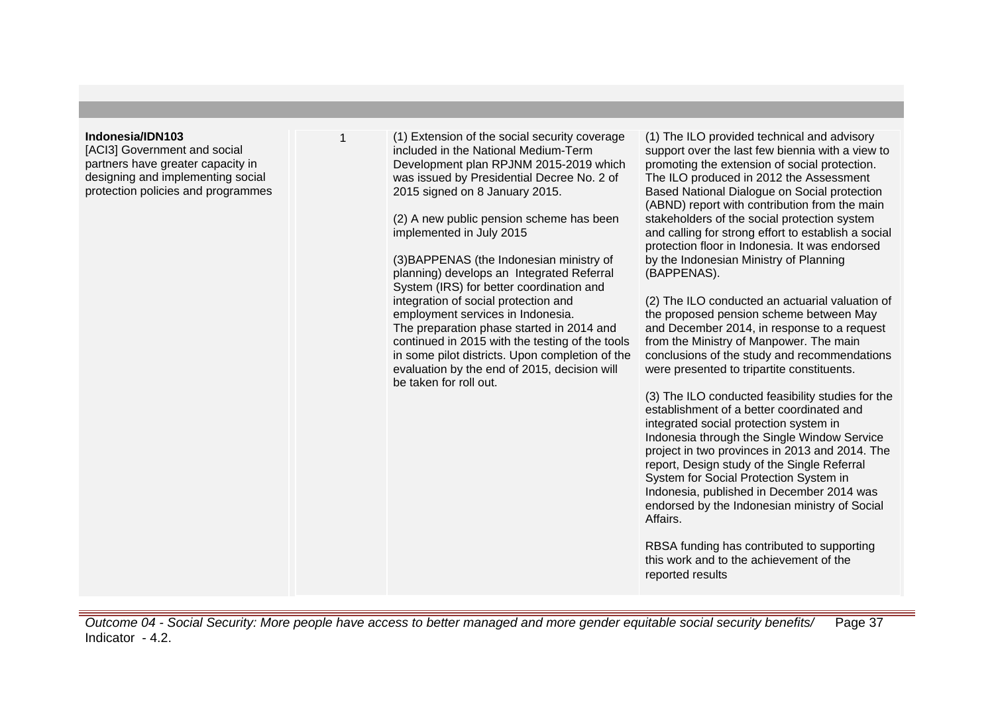#### **Indonesia/IDN103**

[ACI3] Government and social partners have greater capacity in designing and implementing social protection policies and programmes

1 (1) Extension of the social security coverage included in the National Medium-Term Development plan RPJNM 2015-2019 which was issued by Presidential Decree No. 2 of 2015 signed on 8 January 2015.

(2) A new public pension scheme has been implemented in July 2015

(3)BAPPENAS (the Indonesian ministry of planning) develops an Integrated Referral System (IRS) for better coordination and integration of social protection and employment services in Indonesia. The preparation phase started in 2014 and continued in 2015 with the testing of the tools in some pilot districts. Upon completion of the evaluation by the end of 2015, decision will be taken for roll out.

(1) The ILO provided technical and advisory support over the last few biennia with a view to promoting the extension of social protection. The ILO produced in 2012 the Assessment Based National Dialogue on Social protection (ABND) report with contribution from the main stakeholders of the social protection system and calling for strong effort to establish a social protection floor in Indonesia. It was endorsed by the Indonesian Ministry of Planning (BAPPENAS).

(2) The ILO conducted an actuarial valuation of the proposed pension scheme between May and December 2014, in response to a request from the Ministry of Manpower. The main conclusions of the study and recommendations were presented to tripartite constituents.

(3) The ILO conducted feasibility studies for the establishment of a better coordinated and integrated social protection system in Indonesia through the Single Window Service project in two provinces in 2013 and 2014. The report, Design study of the Single Referral System for Social Protection System in Indonesia, published in December 2014 was endorsed by the Indonesian ministry of Social Affairs.

RBSA funding has contributed to supporting this work and to the achievement of the reported results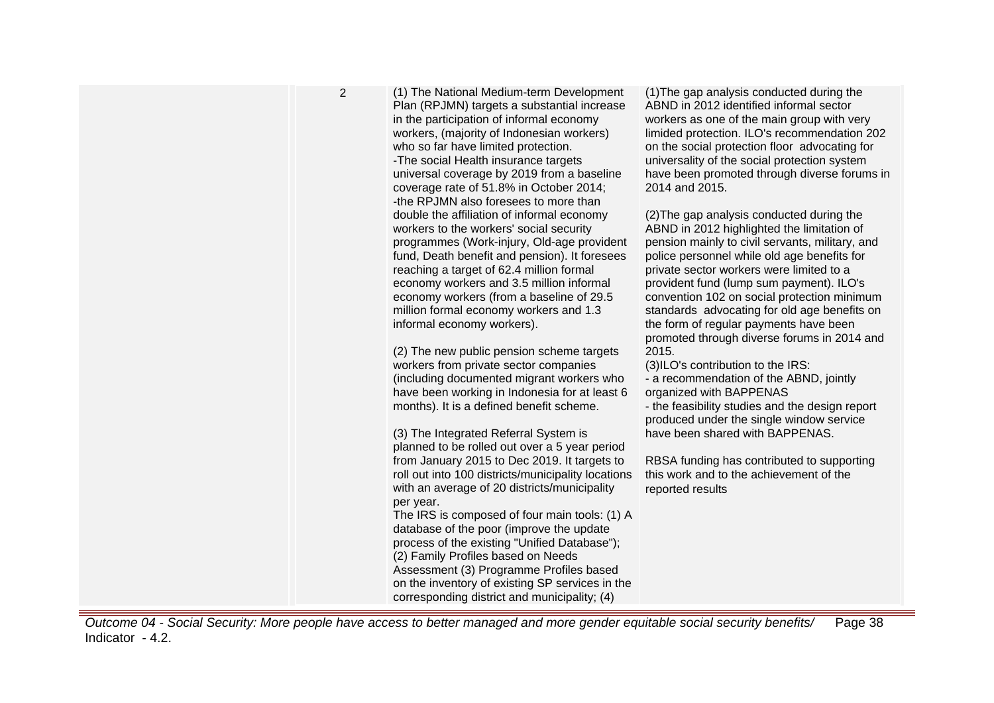| $\overline{2}$ | (1) The National Medium-term Development<br>Plan (RPJMN) targets a substantial increase<br>in the participation of informal economy<br>workers, (majority of Indonesian workers)<br>who so far have limited protection.<br>-The social Health insurance targets<br>universal coverage by 2019 from a baseline<br>coverage rate of 51.8% in October 2014;<br>-the RPJMN also foresees to more than<br>double the affiliation of informal economy<br>workers to the workers' social security<br>programmes (Work-injury, Old-age provident<br>fund, Death benefit and pension). It foresees<br>reaching a target of 62.4 million formal<br>economy workers and 3.5 million informal<br>economy workers (from a baseline of 29.5<br>million formal economy workers and 1.3<br>informal economy workers).<br>(2) The new public pension scheme targets<br>workers from private sector companies<br>(including documented migrant workers who<br>have been working in Indonesia for at least 6<br>months). It is a defined benefit scheme.<br>(3) The Integrated Referral System is<br>planned to be rolled out over a 5 year period<br>from January 2015 to Dec 2019. It targets to<br>roll out into 100 districts/municipality locations<br>with an average of 20 districts/municipality<br>per year.<br>The IRS is composed of four main tools: (1) A<br>database of the poor (improve the update<br>process of the existing "Unified Database");<br>(2) Family Profiles based on Needs<br>Assessment (3) Programme Profiles based<br>on the inventory of existing SP services in the<br>corresponding district and municipality; (4) | (1) The gap analysis conducted during the<br>ABND in 2012 identified informal sector<br>workers as one of the main group with very<br>limided protection. ILO's recommendation 202<br>on the social protection floor advocating for<br>universality of the social protection system<br>have been promoted through diverse forums in<br>2014 and 2015.<br>(2) The gap analysis conducted during the<br>ABND in 2012 highlighted the limitation of<br>pension mainly to civil servants, military, and<br>police personnel while old age benefits for<br>private sector workers were limited to a<br>provident fund (lump sum payment). ILO's<br>convention 102 on social protection minimum<br>standards advocating for old age benefits on<br>the form of regular payments have been<br>promoted through diverse forums in 2014 and<br>2015.<br>(3)ILO's contribution to the IRS:<br>- a recommendation of the ABND, jointly<br>organized with BAPPENAS<br>- the feasibility studies and the design report<br>produced under the single window service<br>have been shared with BAPPENAS.<br>RBSA funding has contributed to supporting<br>this work and to the achievement of the<br>reported results |
|----------------|-------------------------------------------------------------------------------------------------------------------------------------------------------------------------------------------------------------------------------------------------------------------------------------------------------------------------------------------------------------------------------------------------------------------------------------------------------------------------------------------------------------------------------------------------------------------------------------------------------------------------------------------------------------------------------------------------------------------------------------------------------------------------------------------------------------------------------------------------------------------------------------------------------------------------------------------------------------------------------------------------------------------------------------------------------------------------------------------------------------------------------------------------------------------------------------------------------------------------------------------------------------------------------------------------------------------------------------------------------------------------------------------------------------------------------------------------------------------------------------------------------------------------------------------------------------------------------------------------------------------------------------|-------------------------------------------------------------------------------------------------------------------------------------------------------------------------------------------------------------------------------------------------------------------------------------------------------------------------------------------------------------------------------------------------------------------------------------------------------------------------------------------------------------------------------------------------------------------------------------------------------------------------------------------------------------------------------------------------------------------------------------------------------------------------------------------------------------------------------------------------------------------------------------------------------------------------------------------------------------------------------------------------------------------------------------------------------------------------------------------------------------------------------------------------------------------------------------------------------|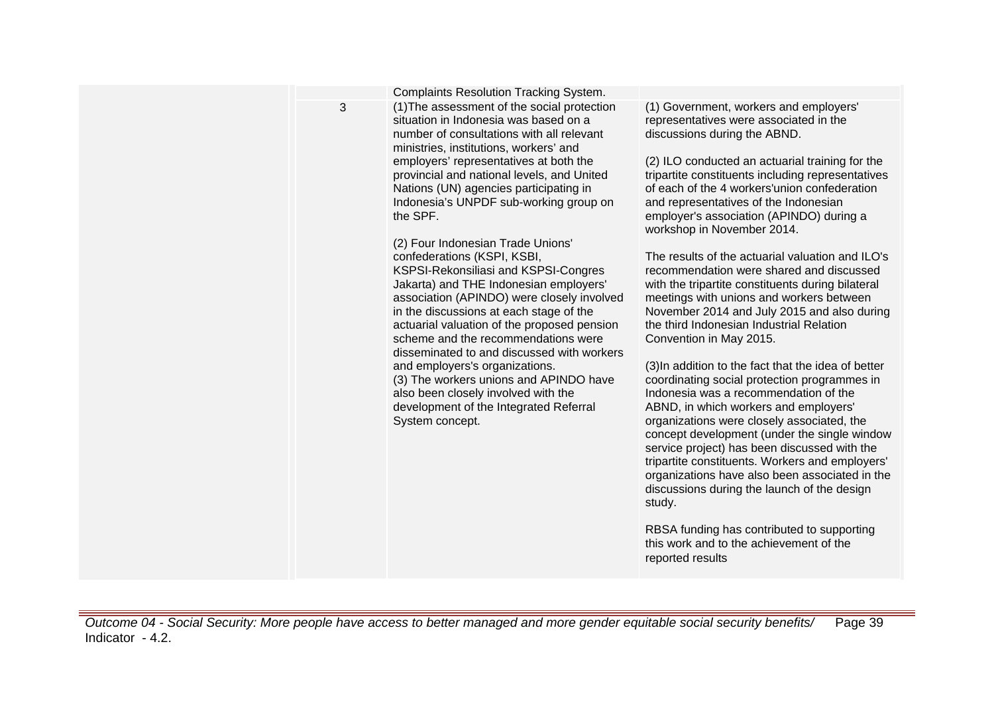|   | <b>Complaints Resolution Tracking System.</b>                                                                                                                                                                                                                                                                                                                                                                                                                                                                                                                                                                                                                                                                                                                                                                                                                                                                                          |                                                                                                                                                                                                                                                                                                                                                                                                                                                                                                                                                                                                                                                                                                                                                                                                                                                                                                                                                                                                                                                                                                                                                                                                                                                                                                                  |
|---|----------------------------------------------------------------------------------------------------------------------------------------------------------------------------------------------------------------------------------------------------------------------------------------------------------------------------------------------------------------------------------------------------------------------------------------------------------------------------------------------------------------------------------------------------------------------------------------------------------------------------------------------------------------------------------------------------------------------------------------------------------------------------------------------------------------------------------------------------------------------------------------------------------------------------------------|------------------------------------------------------------------------------------------------------------------------------------------------------------------------------------------------------------------------------------------------------------------------------------------------------------------------------------------------------------------------------------------------------------------------------------------------------------------------------------------------------------------------------------------------------------------------------------------------------------------------------------------------------------------------------------------------------------------------------------------------------------------------------------------------------------------------------------------------------------------------------------------------------------------------------------------------------------------------------------------------------------------------------------------------------------------------------------------------------------------------------------------------------------------------------------------------------------------------------------------------------------------------------------------------------------------|
| 3 | (1) The assessment of the social protection<br>situation in Indonesia was based on a<br>number of consultations with all relevant<br>ministries, institutions, workers' and<br>employers' representatives at both the<br>provincial and national levels, and United<br>Nations (UN) agencies participating in<br>Indonesia's UNPDF sub-working group on<br>the SPF.<br>(2) Four Indonesian Trade Unions'<br>confederations (KSPI, KSBI,<br>KSPSI-Rekonsiliasi and KSPSI-Congres<br>Jakarta) and THE Indonesian employers'<br>association (APINDO) were closely involved<br>in the discussions at each stage of the<br>actuarial valuation of the proposed pension<br>scheme and the recommendations were<br>disseminated to and discussed with workers<br>and employers's organizations.<br>(3) The workers unions and APINDO have<br>also been closely involved with the<br>development of the Integrated Referral<br>System concept. | (1) Government, workers and employers'<br>representatives were associated in the<br>discussions during the ABND.<br>(2) ILO conducted an actuarial training for the<br>tripartite constituents including representatives<br>of each of the 4 workers'union confederation<br>and representatives of the Indonesian<br>employer's association (APINDO) during a<br>workshop in November 2014.<br>The results of the actuarial valuation and ILO's<br>recommendation were shared and discussed<br>with the tripartite constituents during bilateral<br>meetings with unions and workers between<br>November 2014 and July 2015 and also during<br>the third Indonesian Industrial Relation<br>Convention in May 2015.<br>(3) In addition to the fact that the idea of better<br>coordinating social protection programmes in<br>Indonesia was a recommendation of the<br>ABND, in which workers and employers'<br>organizations were closely associated, the<br>concept development (under the single window<br>service project) has been discussed with the<br>tripartite constituents. Workers and employers'<br>organizations have also been associated in the<br>discussions during the launch of the design<br>study.<br>RBSA funding has contributed to supporting<br>this work and to the achievement of the |
|   |                                                                                                                                                                                                                                                                                                                                                                                                                                                                                                                                                                                                                                                                                                                                                                                                                                                                                                                                        | reported results                                                                                                                                                                                                                                                                                                                                                                                                                                                                                                                                                                                                                                                                                                                                                                                                                                                                                                                                                                                                                                                                                                                                                                                                                                                                                                 |
|   |                                                                                                                                                                                                                                                                                                                                                                                                                                                                                                                                                                                                                                                                                                                                                                                                                                                                                                                                        |                                                                                                                                                                                                                                                                                                                                                                                                                                                                                                                                                                                                                                                                                                                                                                                                                                                                                                                                                                                                                                                                                                                                                                                                                                                                                                                  |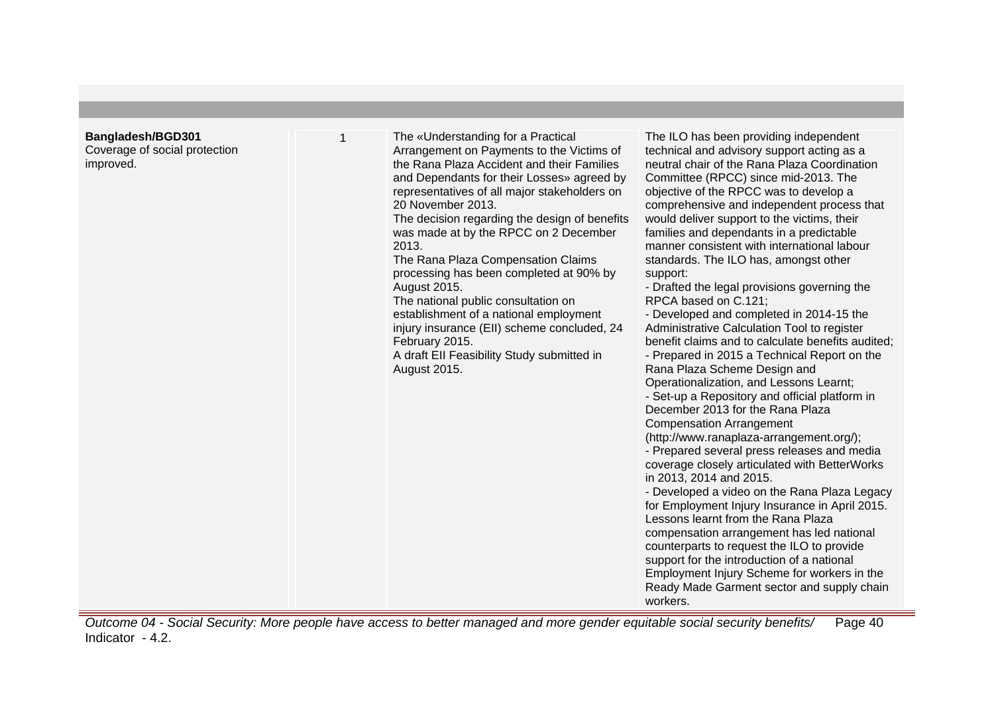# **Bangladesh/BGD301**

Coverage of social protection improved.

| 1 | The «Understanding for a Practical<br>Arrangement on Payments to the Victims of<br>the Rana Plaza Accident and their Families<br>and Dependants for their Losses» agreed by<br>representatives of all major stakeholders on<br>20 November 2013.<br>The decision regarding the design of benefits<br>was made at by the RPCC on 2 December<br>2013.<br>The Rana Plaza Compensation Claims<br>processing has been completed at 90% by<br>August 2015.<br>The national public consultation on<br>establishment of a national employment<br>injury insurance (EII) scheme concluded, 24<br>February 2015.<br>A draft EII Feasibility Study submitted in<br>August 2015. | The ILO has been providing independent<br>technical and advisory support acting as a<br>neutral chair of the Rana Plaza Coordination<br>Committee (RPCC) since mid-2013. The<br>objective of the RPCC was to develop a<br>comprehensive and independent process that<br>would deliver support to the victims, their<br>families and dependants in a predictable<br>manner consistent with international labour<br>standards. The ILO has, amongst other<br>support:<br>- Drafted the legal provisions governing the<br>RPCA based on C.121;<br>- Developed and completed in 2014-15 the<br>Administrative Calculation Tool to register<br>benefit claims and to calculate benefits audited;<br>- Prepared in 2015 a Technical Report on the<br>Rana Plaza Scheme Design and<br>Operationalization, and Lessons Learnt;<br>- Set-up a Repository and official platform in<br>December 2013 for the Rana Plaza<br><b>Compensation Arrangement</b><br>(http://www.ranaplaza-arrangement.org/);<br>- Prepared several press releases and media<br>coverage closely articulated with BetterWorks<br>in 2013, 2014 and 2015.<br>- Developed a video on the Rana Plaza Legacy<br>for Employment Injury Insurance in April 2015.<br>Lessons learnt from the Rana Plaza<br>compensation arrangement has led national<br>counterparts to request the ILO to provide<br>support for the introduction of a national<br>Employment Injury Scheme for workers in the<br>Ready Made Garment sector and supply chain<br>workers. |
|---|----------------------------------------------------------------------------------------------------------------------------------------------------------------------------------------------------------------------------------------------------------------------------------------------------------------------------------------------------------------------------------------------------------------------------------------------------------------------------------------------------------------------------------------------------------------------------------------------------------------------------------------------------------------------|------------------------------------------------------------------------------------------------------------------------------------------------------------------------------------------------------------------------------------------------------------------------------------------------------------------------------------------------------------------------------------------------------------------------------------------------------------------------------------------------------------------------------------------------------------------------------------------------------------------------------------------------------------------------------------------------------------------------------------------------------------------------------------------------------------------------------------------------------------------------------------------------------------------------------------------------------------------------------------------------------------------------------------------------------------------------------------------------------------------------------------------------------------------------------------------------------------------------------------------------------------------------------------------------------------------------------------------------------------------------------------------------------------------------------------------------------------------------------------------------------------------|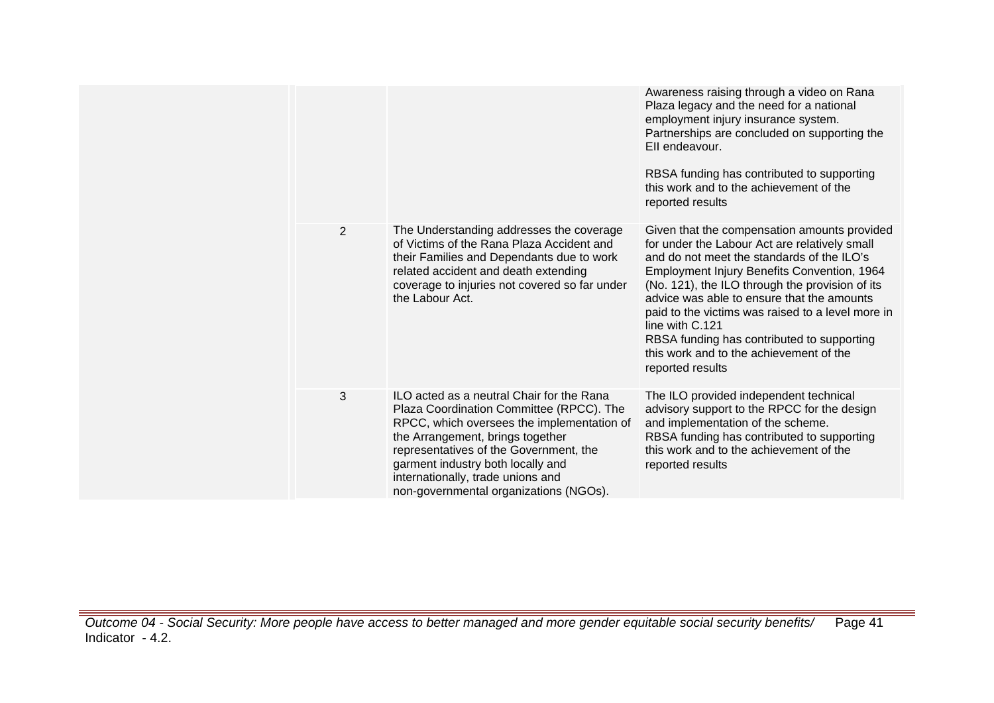|   |                                                                                                                                                                                                                                                                                                                                       | Awareness raising through a video on Rana<br>Plaza legacy and the need for a national<br>employment injury insurance system.<br>Partnerships are concluded on supporting the<br>Ell endeavour.<br>RBSA funding has contributed to supporting<br>this work and to the achievement of the<br>reported results                                                                                                                                                                      |
|---|---------------------------------------------------------------------------------------------------------------------------------------------------------------------------------------------------------------------------------------------------------------------------------------------------------------------------------------|----------------------------------------------------------------------------------------------------------------------------------------------------------------------------------------------------------------------------------------------------------------------------------------------------------------------------------------------------------------------------------------------------------------------------------------------------------------------------------|
| 2 | The Understanding addresses the coverage<br>of Victims of the Rana Plaza Accident and<br>their Families and Dependants due to work<br>related accident and death extending<br>coverage to injuries not covered so far under<br>the Labour Act.                                                                                        | Given that the compensation amounts provided<br>for under the Labour Act are relatively small<br>and do not meet the standards of the ILO's<br>Employment Injury Benefits Convention, 1964<br>(No. 121), the ILO through the provision of its<br>advice was able to ensure that the amounts<br>paid to the victims was raised to a level more in<br>line with C.121<br>RBSA funding has contributed to supporting<br>this work and to the achievement of the<br>reported results |
| 3 | ILO acted as a neutral Chair for the Rana<br>Plaza Coordination Committee (RPCC). The<br>RPCC, which oversees the implementation of<br>the Arrangement, brings together<br>representatives of the Government, the<br>garment industry both locally and<br>internationally, trade unions and<br>non-governmental organizations (NGOs). | The ILO provided independent technical<br>advisory support to the RPCC for the design<br>and implementation of the scheme.<br>RBSA funding has contributed to supporting<br>this work and to the achievement of the<br>reported results                                                                                                                                                                                                                                          |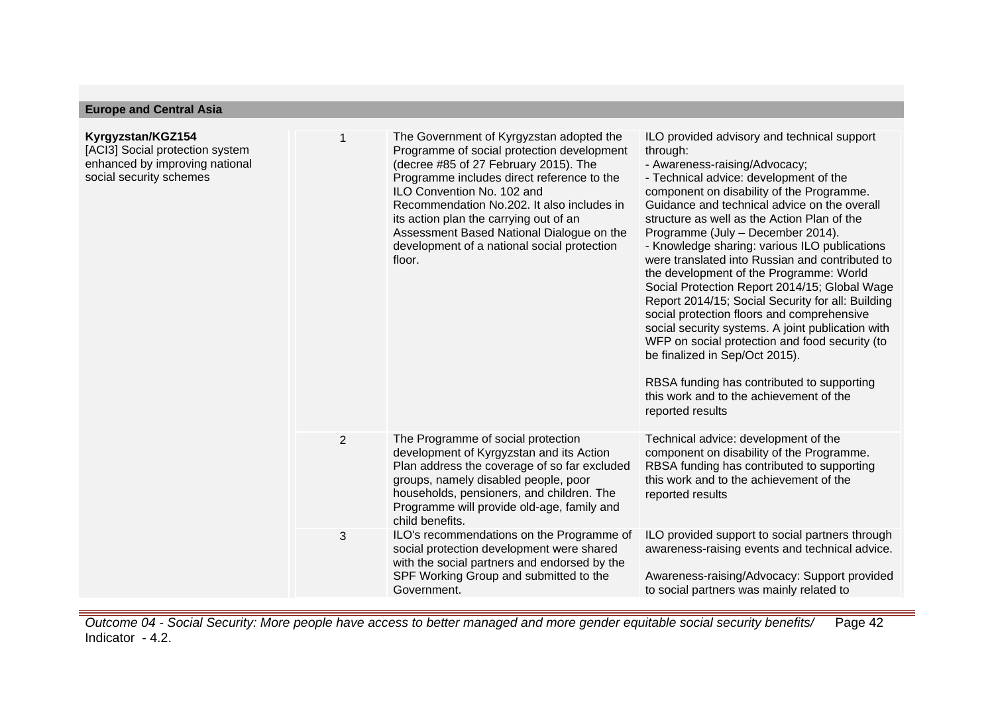| Kyrgyzstan/KGZ154<br>[ACI3] Social protection system<br>enhanced by improving national<br>social security schemes |                | The Government of Kyrgyzstan adopted the<br>Programme of social protection development<br>(decree #85 of 27 February 2015). The<br>Programme includes direct reference to the<br>ILO Convention No. 102 and<br>Recommendation No.202. It also includes in<br>its action plan the carrying out of an<br>Assessment Based National Dialogue on the<br>development of a national social protection<br>floor. | ILO provided advisory and technical support<br>through:<br>- Awareness-raising/Advocacy;<br>- Technical advice: development of the<br>component on disability of the Programme.<br>Guidance and technical advice on the overall<br>structure as well as the Action Plan of the<br>Programme (July - December 2014).<br>- Knowledge sharing: various ILO publications<br>were translated into Russian and contributed to<br>the development of the Programme: World<br>Social Protection Report 2014/15; Global Wage<br>Report 2014/15; Social Security for all: Building<br>social protection floors and comprehensive<br>social security systems. A joint publication with<br>WFP on social protection and food security (to<br>be finalized in Sep/Oct 2015).<br>RBSA funding has contributed to supporting<br>this work and to the achievement of the<br>reported results |
|-------------------------------------------------------------------------------------------------------------------|----------------|-----------------------------------------------------------------------------------------------------------------------------------------------------------------------------------------------------------------------------------------------------------------------------------------------------------------------------------------------------------------------------------------------------------|------------------------------------------------------------------------------------------------------------------------------------------------------------------------------------------------------------------------------------------------------------------------------------------------------------------------------------------------------------------------------------------------------------------------------------------------------------------------------------------------------------------------------------------------------------------------------------------------------------------------------------------------------------------------------------------------------------------------------------------------------------------------------------------------------------------------------------------------------------------------------|
|                                                                                                                   | $\overline{2}$ | The Programme of social protection<br>development of Kyrgyzstan and its Action<br>Plan address the coverage of so far excluded<br>groups, namely disabled people, poor<br>households, pensioners, and children. The<br>Programme will provide old-age, family and<br>child benefits.                                                                                                                      | Technical advice: development of the<br>component on disability of the Programme.<br>RBSA funding has contributed to supporting<br>this work and to the achievement of the<br>reported results                                                                                                                                                                                                                                                                                                                                                                                                                                                                                                                                                                                                                                                                               |
|                                                                                                                   | 3              | ILO's recommendations on the Programme of<br>social protection development were shared<br>with the social partners and endorsed by the<br>SPF Working Group and submitted to the<br>Government.                                                                                                                                                                                                           | ILO provided support to social partners through<br>awareness-raising events and technical advice.<br>Awareness-raising/Advocacy: Support provided<br>to social partners was mainly related to                                                                                                                                                                                                                                                                                                                                                                                                                                                                                                                                                                                                                                                                                |

**Europe and Central Asia**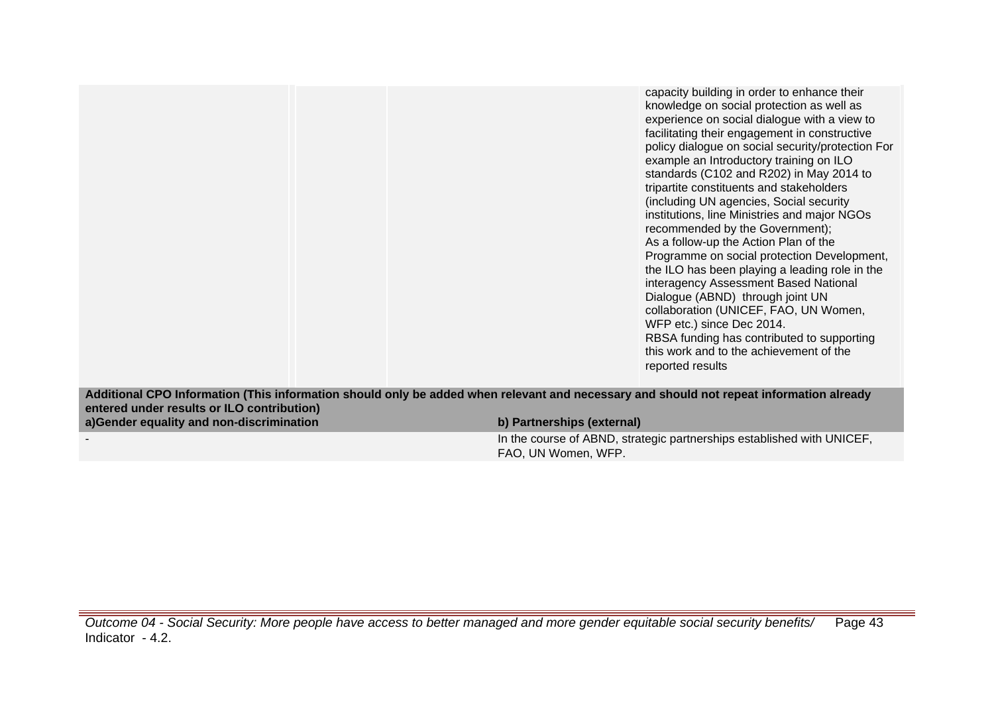capacity building in order to enhance their knowledge on social protection as well as experience on social dialogue with a view to facilitating their engagement in constructive policy dialogue on social security/protection For example an Introductory training on ILO standards (C102 and R202) in May 2014 to tripartite constituents and stakeholders (including UN agencies, Social security institutions, line Ministries and major NGOs recommended by the Government); As a follow-up the Action Plan of the Programme on social protection Development, the ILO has been playing a leading role in the interagency Assessment Based National Dialogue (ABND) through joint UN collaboration (UNICEF, FAO, UN Women, WFP etc.) since Dec 2014. RBSA funding has contributed to supporting this work and to the achievement of the reported results

**Additional CPO Information (This information should only be added when relevant and necessary and should not repeat information already entered under results or ILO contribution) a)Gender equality and non-discrimination b) Partnerships (external)**

- In the course of ABND, strategic partnerships established with UNICEF, FAO, UN Women, WFP.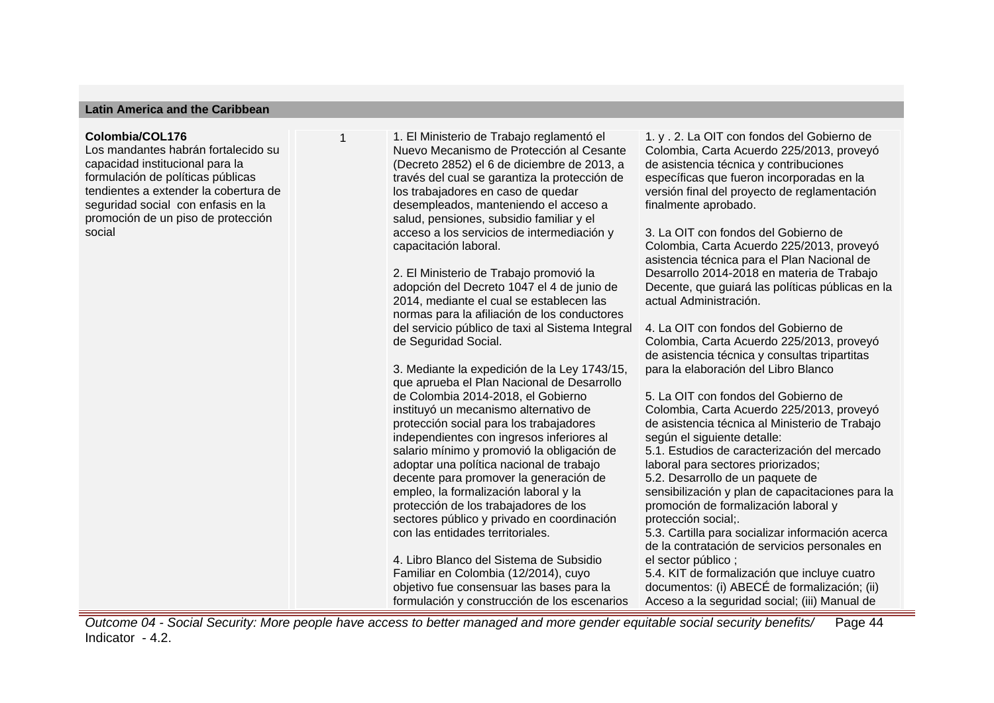### **Latin America and the Caribbean**

#### **Colombia/COL176**

Los mandantes habrán fortalecido su capacidad institucional para la formulación de políticas públicas tendientes a extender la cobertura de seguridad social con enfasis en la promoción de un piso de protección social

1 1. El Ministerio de Trabajo reglamentó el Nuevo Mecanismo de Protección al Cesante (Decreto 2852) el 6 de diciembre de 2013, a través del cual se garantiza la protección de los trabajadores en caso de quedar desempleados, manteniendo el acceso a salud, pensiones, subsidio familiar y el acceso a los servicios de intermediación y capacitación laboral.

> 2. El Ministerio de Trabajo promovió la adopción del Decreto 1047 el 4 de junio de 2014, mediante el cual se establecen las normas para la afiliación de los conductores del servicio público de taxi al Sistema Integral de Seguridad Social.

3. Mediante la expedición de la Ley 1743/15, que aprueba el Plan Nacional de Desarrollo de Colombia 2014-2018, el Gobierno instituyó un mecanismo alternativo de protección social para los trabajadores independientes con ingresos inferiores al salario mínimo y promovió la obligación de adoptar una política nacional de trabajo decente para promover la generación de empleo, la formalización laboral y la protección de los trabajadores de los sectores público y privado en coordinación con las entidades territoriales.

4. Libro Blanco del Sistema de Subsidio Familiar en Colombia (12/2014), cuyo objetivo fue consensuar las bases para la formulación y construcción de los escenarios 1. y . 2. La OIT con fondos del Gobierno de Colombia, Carta Acuerdo 225/2013, proveyó de asistencia técnica y contribuciones específicas que fueron incorporadas en la versión final del proyecto de reglamentación finalmente aprobado.

3. La OIT con fondos del Gobierno de Colombia, Carta Acuerdo 225/2013, proveyó asistencia técnica para el Plan Nacional de Desarrollo 2014-2018 en materia de Trabajo Decente, que guiará las políticas públicas en la actual Administración.

4. La OIT con fondos del Gobierno de Colombia, Carta Acuerdo 225/2013, proveyó de asistencia técnica y consultas tripartitas para la elaboración del Libro Blanco

5. La OIT con fondos del Gobierno de Colombia, Carta Acuerdo 225/2013, proveyó de asistencia técnica al Ministerio de Trabajo según el siguiente detalle: 5.1. Estudios de caracterización del mercado laboral para sectores priorizados; 5.2. Desarrollo de un paquete de sensibilización y plan de capacitaciones para la promoción de formalización laboral y protección social;. 5.3. Cartilla para socializar información acerca de la contratación de servicios personales en el sector público ; 5.4. KIT de formalización que incluye cuatro documentos: (i) ABECÉ de formalización; (ii) Acceso a la seguridad social; (iii) Manual de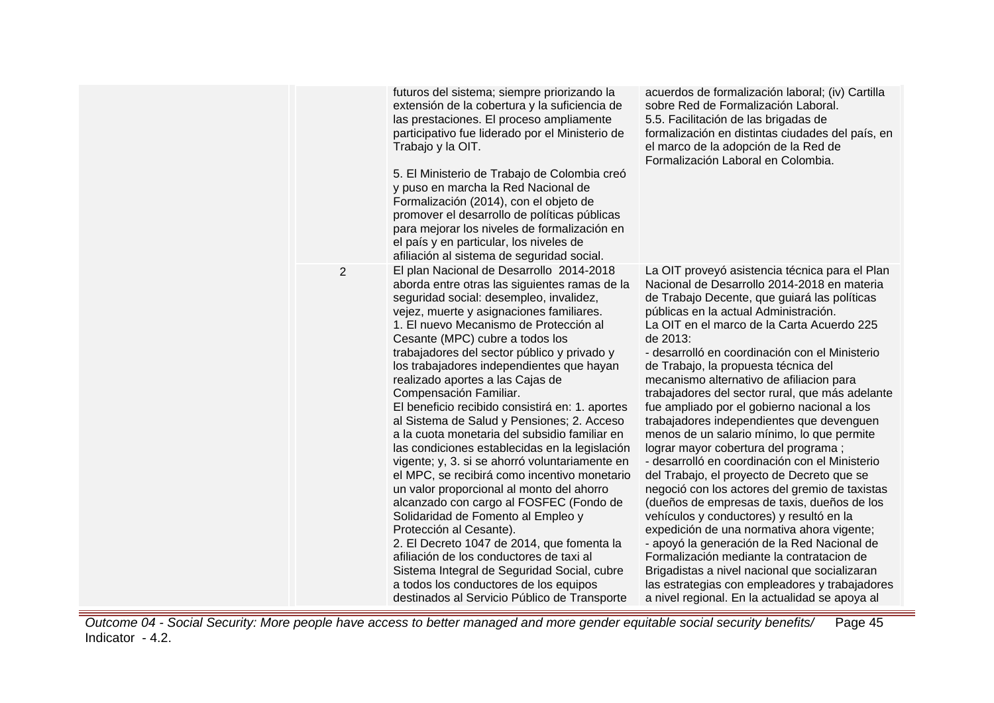|                | futuros del sistema; siempre priorizando la<br>extensión de la cobertura y la suficiencia de<br>las prestaciones. El proceso ampliamente<br>participativo fue liderado por el Ministerio de<br>Trabajo y la OIT.<br>5. El Ministerio de Trabajo de Colombia creó<br>y puso en marcha la Red Nacional de<br>Formalización (2014), con el objeto de<br>promover el desarrollo de políticas públicas<br>para mejorar los niveles de formalización en<br>el país y en particular, los niveles de<br>afiliación al sistema de seguridad social.                                                                                                                                                                                                                                                                                                                                                                                                                                                                                                                                                                                | acuerdos de formalización laboral; (iv) Cartilla<br>sobre Red de Formalización Laboral.<br>5.5. Facilitación de las brigadas de<br>formalización en distintas ciudades del país, en<br>el marco de la adopción de la Red de<br>Formalización Laboral en Colombia.                                                                                                                                                                                                                                                                                                                                                                                                                                                                                                                                                                                                                                                                                                                                                                                                                                                                                                       |
|----------------|---------------------------------------------------------------------------------------------------------------------------------------------------------------------------------------------------------------------------------------------------------------------------------------------------------------------------------------------------------------------------------------------------------------------------------------------------------------------------------------------------------------------------------------------------------------------------------------------------------------------------------------------------------------------------------------------------------------------------------------------------------------------------------------------------------------------------------------------------------------------------------------------------------------------------------------------------------------------------------------------------------------------------------------------------------------------------------------------------------------------------|-------------------------------------------------------------------------------------------------------------------------------------------------------------------------------------------------------------------------------------------------------------------------------------------------------------------------------------------------------------------------------------------------------------------------------------------------------------------------------------------------------------------------------------------------------------------------------------------------------------------------------------------------------------------------------------------------------------------------------------------------------------------------------------------------------------------------------------------------------------------------------------------------------------------------------------------------------------------------------------------------------------------------------------------------------------------------------------------------------------------------------------------------------------------------|
| $\overline{2}$ | El plan Nacional de Desarrollo 2014-2018<br>aborda entre otras las siguientes ramas de la<br>seguridad social: desempleo, invalidez,<br>vejez, muerte y asignaciones familiares.<br>1. El nuevo Mecanismo de Protección al<br>Cesante (MPC) cubre a todos los<br>trabajadores del sector público y privado y<br>los trabajadores independientes que hayan<br>realizado aportes a las Cajas de<br>Compensación Familiar.<br>El beneficio recibido consistirá en: 1. aportes<br>al Sistema de Salud y Pensiones; 2. Acceso<br>a la cuota monetaria del subsidio familiar en<br>las condiciones establecidas en la legislación<br>vigente; y, 3. si se ahorró voluntariamente en<br>el MPC, se recibirá como incentivo monetario<br>un valor proporcional al monto del ahorro<br>alcanzado con cargo al FOSFEC (Fondo de<br>Solidaridad de Fomento al Empleo y<br>Protección al Cesante).<br>2. El Decreto 1047 de 2014, que fomenta la<br>afiliación de los conductores de taxi al<br>Sistema Integral de Seguridad Social, cubre<br>a todos los conductores de los equipos<br>destinados al Servicio Público de Transporte | La OIT proveyó asistencia técnica para el Plan<br>Nacional de Desarrollo 2014-2018 en materia<br>de Trabajo Decente, que guiará las políticas<br>públicas en la actual Administración.<br>La OIT en el marco de la Carta Acuerdo 225<br>de 2013:<br>- desarrolló en coordinación con el Ministerio<br>de Trabajo, la propuesta técnica del<br>mecanismo alternativo de afiliacion para<br>trabajadores del sector rural, que más adelante<br>fue ampliado por el gobierno nacional a los<br>trabajadores independientes que devenguen<br>menos de un salario mínimo, lo que permite<br>lograr mayor cobertura del programa;<br>- desarrolló en coordinación con el Ministerio<br>del Trabajo, el proyecto de Decreto que se<br>negoció con los actores del gremio de taxistas<br>(dueños de empresas de taxis, dueños de los<br>vehículos y conductores) y resultó en la<br>expedición de una normativa ahora vigente;<br>- apoyó la generación de la Red Nacional de<br>Formalización mediante la contratacion de<br>Brigadistas a nivel nacional que socializaran<br>las estrategias con empleadores y trabajadores<br>a nivel regional. En la actualidad se apoya al |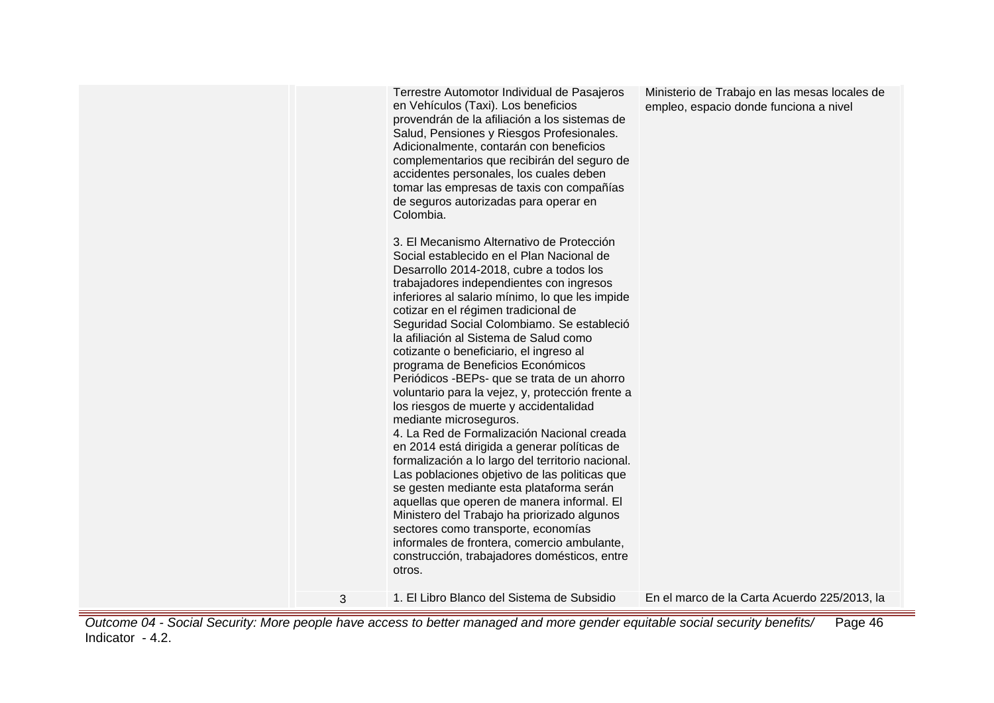|   | Terrestre Automotor Individual de Pasajeros<br>en Vehículos (Taxi). Los beneficios<br>provendrán de la afiliación a los sistemas de<br>Salud, Pensiones y Riesgos Profesionales.<br>Adicionalmente, contarán con beneficios<br>complementarios que recibirán del seguro de<br>accidentes personales, los cuales deben<br>tomar las empresas de taxis con compañías<br>de seguros autorizadas para operar en<br>Colombia.<br>3. El Mecanismo Alternativo de Protección<br>Social establecido en el Plan Nacional de<br>Desarrollo 2014-2018, cubre a todos los<br>trabajadores independientes con ingresos<br>inferiores al salario mínimo, lo que les impide<br>cotizar en el régimen tradicional de<br>Seguridad Social Colombiamo. Se estableció<br>la afiliación al Sistema de Salud como<br>cotizante o beneficiario, el ingreso al<br>programa de Beneficios Económicos<br>Periódicos - BEPs- que se trata de un ahorro<br>voluntario para la vejez, y, protección frente a<br>los riesgos de muerte y accidentalidad<br>mediante microseguros.<br>4. La Red de Formalización Nacional creada<br>en 2014 está dirigida a generar políticas de<br>formalización a lo largo del territorio nacional.<br>Las poblaciones objetivo de las politicas que<br>se gesten mediante esta plataforma serán<br>aquellas que operen de manera informal. El<br>Ministero del Trabajo ha priorizado algunos<br>sectores como transporte, economías<br>informales de frontera, comercio ambulante,<br>construcción, trabajadores domésticos, entre<br>otros. | Ministerio de Trabajo en las mesas locales de<br>empleo, espacio donde funciona a nivel |
|---|---------------------------------------------------------------------------------------------------------------------------------------------------------------------------------------------------------------------------------------------------------------------------------------------------------------------------------------------------------------------------------------------------------------------------------------------------------------------------------------------------------------------------------------------------------------------------------------------------------------------------------------------------------------------------------------------------------------------------------------------------------------------------------------------------------------------------------------------------------------------------------------------------------------------------------------------------------------------------------------------------------------------------------------------------------------------------------------------------------------------------------------------------------------------------------------------------------------------------------------------------------------------------------------------------------------------------------------------------------------------------------------------------------------------------------------------------------------------------------------------------------------------------------------------------|-----------------------------------------------------------------------------------------|
| 3 | 1. El Libro Blanco del Sistema de Subsidio                                                                                                                                                                                                                                                                                                                                                                                                                                                                                                                                                                                                                                                                                                                                                                                                                                                                                                                                                                                                                                                                                                                                                                                                                                                                                                                                                                                                                                                                                                        | En el marco de la Carta Acuerdo 225/2013, la                                            |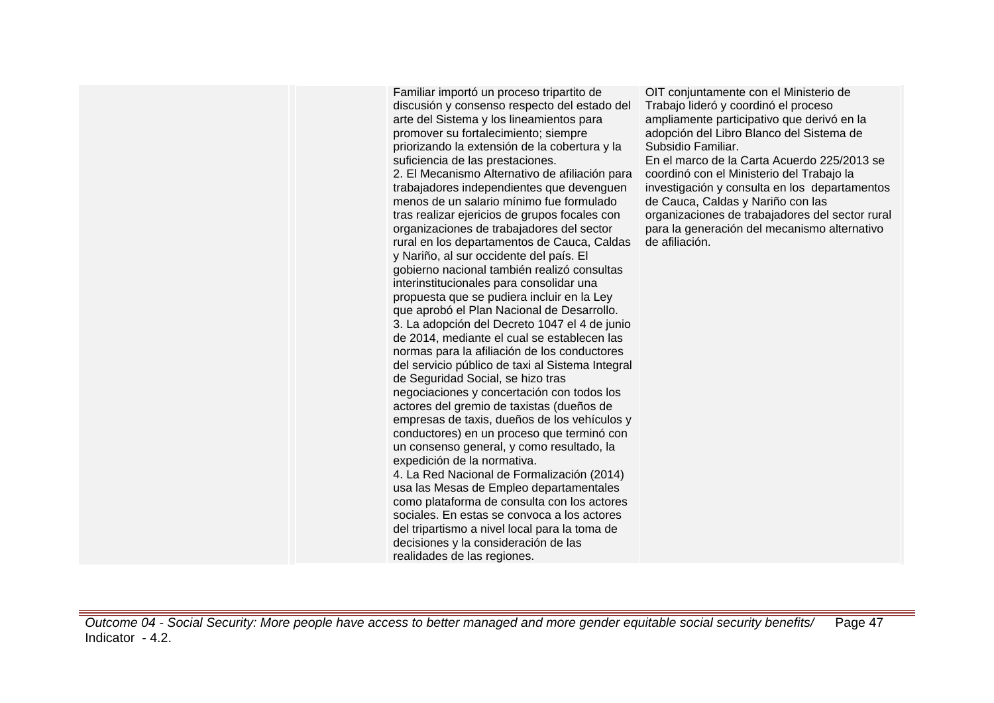Familiar importó un proceso tripartito de discusión y consenso respecto del estado del arte del Sistema y los lineamientos para promover su fortalecimiento; siempre priorizando la extensión de la cobertura y la suficiencia de las prestaciones. 2. El Mecanismo Alternativo de afiliación para trabajadores independientes que devenguen menos de un salario mínimo fue formulado tras realizar ejericios de grupos focales con organizaciones de trabajadores del sector rural en los departamentos de Cauca, Caldas y Nariño, al sur occidente del país. El gobierno nacional también realizó consultas interinstitucionales para consolidar una propuesta que se pudiera incluir en la Ley que aprobó el Plan Nacional de Desarrollo. 3. La adopción del Decreto 1047 el 4 de junio de 2014, mediante el cual se establecen las normas para la afiliación de los conductores del servicio público de taxi al Sistema Integral de Seguridad Social, se hizo tras negociaciones y concertación con todos los actores del gremio de taxistas (dueños de empresas de taxis, dueños de los vehículos y conductores) en un proceso que terminó con un consenso general, y como resultado, la expedición de la normativa. 4. La Red Nacional de Formalización (2014) usa las Mesas de Empleo departamentales como plataforma de consulta con los actores sociales. En estas se convoca a los actores del tripartismo a nivel local para la toma de decisiones y la consideración de las realidades de las regiones.

OIT conjuntamente con el Ministerio de Trabajo lideró y coordinó el proceso ampliamente participativo que derivó en la adopción del Libro Blanco del Sistema de Subsidio Familiar.

En el marco de la Carta Acuerdo 225/2013 se coordinó con el Ministerio del Trabajo la investigación y consulta en los departamentos de Cauca, Caldas y Nariño con las organizaciones de trabajadores del sector rural para la generación del mecanismo alternativo de afiliación.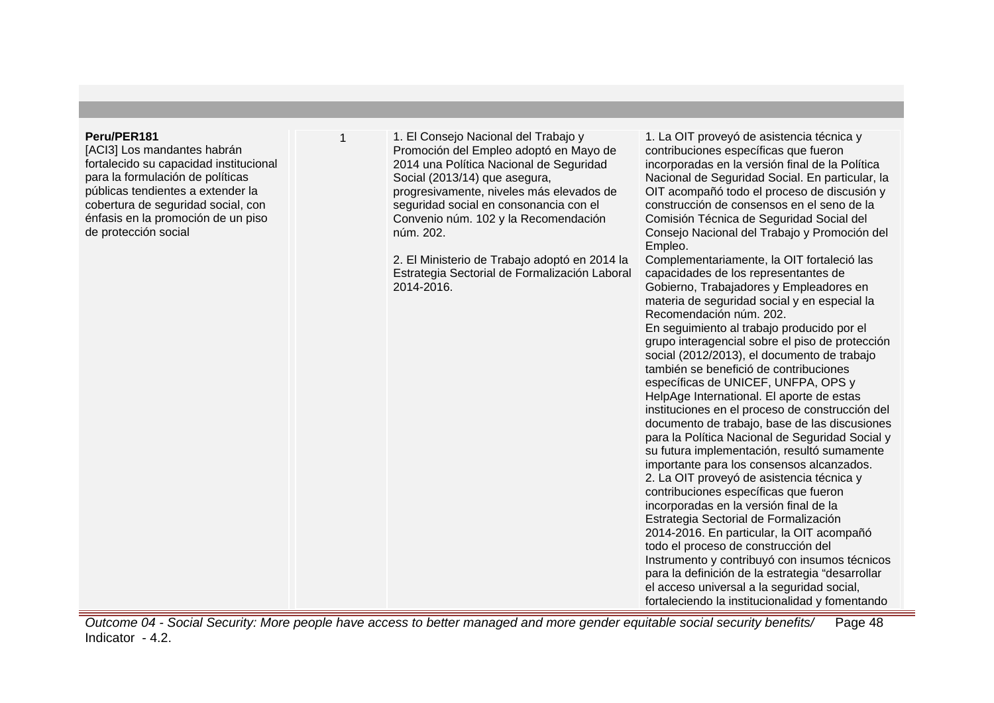### **Peru/PER181**

[ACI3] Los mandantes habrán fortalecido su capacidad institucional para la formulación de políticas públicas tendientes a extender la cobertura de seguridad social, con énfasis en la promoción de un piso de protección social

1 1. El Consejo Nacional del Trabajo y Promoción del Empleo adoptó en Mayo de 2014 una Política Nacional de Seguridad Social (2013/14) que asegura, progresivamente, niveles más elevados de seguridad social en consonancia con el Convenio núm. 102 y la Recomendación núm. 202.

2. El Ministerio de Trabajo adoptó en 2014 la Estrategia Sectorial de Formalización Laboral 2014-2016.

1. La OIT proveyó de asistencia técnica y contribuciones específicas que fueron incorporadas en la versión final de la Política Nacional de Seguridad Social. En particular, la OIT acompañó todo el proceso de discusión y construcción de consensos en el seno de la Comisión Técnica de Seguridad Social del Consejo Nacional del Trabajo y Promoción del Empleo.

Complementariamente, la OIT fortaleció las capacidades de los representantes de Gobierno, Trabajadores y Empleadores en materia de seguridad social y en especial la Recomendación núm. 202.

En seguimiento al trabajo producido por el grupo interagencial sobre el piso de protección social (2012/2013), el documento de trabajo también se benefició de contribuciones específicas de UNICEF, UNFPA, OPS y HelpAge International. El aporte de estas instituciones en el proceso de construcción del documento de trabajo, base de las discusiones para la Política Nacional de Seguridad Social y su futura implementación, resultó sumamente importante para los consensos alcanzados. 2. La OIT proveyó de asistencia técnica y contribuciones específicas que fueron incorporadas en la versión final de la Estrategia Sectorial de Formalización 2014-2016. En particular, la OIT acompañó todo el proceso de construcción del Instrumento y contribuyó con insumos técnicos para la definición de la estrategia "desarrollar el acceso universal a la seguridad social, fortaleciendo la institucionalidad y fomentando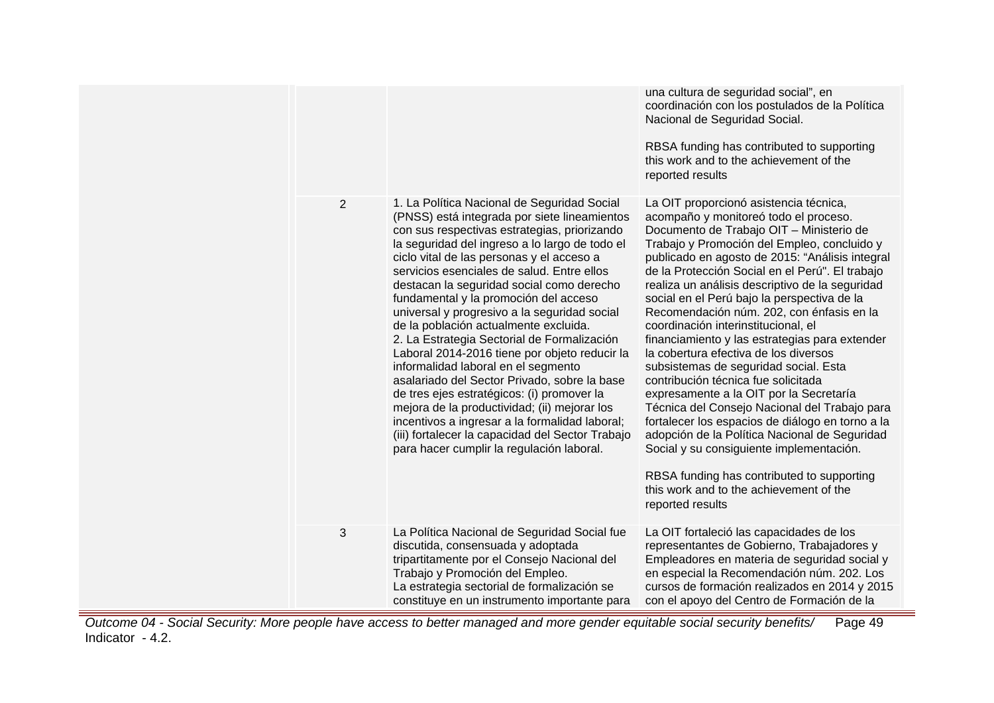|                |                                                                                                                                                                                                                                                                                                                                                                                                                                                                                                                                                                                                                                                                                                                                                                                                                                                                                                                 | una cultura de seguridad social", en<br>coordinación con los postulados de la Política<br>Nacional de Seguridad Social.<br>RBSA funding has contributed to supporting<br>this work and to the achievement of the<br>reported results                                                                                                                                                                                                                                                                                                                                                                                                                                                                                                                                                                                                                                                                                                                                                                        |
|----------------|-----------------------------------------------------------------------------------------------------------------------------------------------------------------------------------------------------------------------------------------------------------------------------------------------------------------------------------------------------------------------------------------------------------------------------------------------------------------------------------------------------------------------------------------------------------------------------------------------------------------------------------------------------------------------------------------------------------------------------------------------------------------------------------------------------------------------------------------------------------------------------------------------------------------|-------------------------------------------------------------------------------------------------------------------------------------------------------------------------------------------------------------------------------------------------------------------------------------------------------------------------------------------------------------------------------------------------------------------------------------------------------------------------------------------------------------------------------------------------------------------------------------------------------------------------------------------------------------------------------------------------------------------------------------------------------------------------------------------------------------------------------------------------------------------------------------------------------------------------------------------------------------------------------------------------------------|
| $\overline{2}$ | 1. La Política Nacional de Seguridad Social<br>(PNSS) está integrada por siete lineamientos<br>con sus respectivas estrategias, priorizando<br>la seguridad del ingreso a lo largo de todo el<br>ciclo vital de las personas y el acceso a<br>servicios esenciales de salud. Entre ellos<br>destacan la seguridad social como derecho<br>fundamental y la promoción del acceso<br>universal y progresivo a la seguridad social<br>de la población actualmente excluida.<br>2. La Estrategia Sectorial de Formalización<br>Laboral 2014-2016 tiene por objeto reducir la<br>informalidad laboral en el segmento<br>asalariado del Sector Privado, sobre la base<br>de tres ejes estratégicos: (i) promover la<br>mejora de la productividad; (ii) mejorar los<br>incentivos a ingresar a la formalidad laboral;<br>(iii) fortalecer la capacidad del Sector Trabajo<br>para hacer cumplir la regulación laboral. | La OIT proporcionó asistencia técnica,<br>acompaño y monitoreó todo el proceso.<br>Documento de Trabajo OIT - Ministerio de<br>Trabajo y Promoción del Empleo, concluido y<br>publicado en agosto de 2015: "Análisis integral<br>de la Protección Social en el Perú". El trabajo<br>realiza un análisis descriptivo de la seguridad<br>social en el Perú bajo la perspectiva de la<br>Recomendación núm. 202, con énfasis en la<br>coordinación interinstitucional, el<br>financiamiento y las estrategias para extender<br>la cobertura efectiva de los diversos<br>subsistemas de seguridad social. Esta<br>contribución técnica fue solicitada<br>expresamente a la OIT por la Secretaría<br>Técnica del Consejo Nacional del Trabajo para<br>fortalecer los espacios de diálogo en torno a la<br>adopción de la Política Nacional de Seguridad<br>Social y su consiguiente implementación.<br>RBSA funding has contributed to supporting<br>this work and to the achievement of the<br>reported results |
| 3              | La Política Nacional de Seguridad Social fue<br>discutida, consensuada y adoptada<br>tripartitamente por el Consejo Nacional del<br>Trabajo y Promoción del Empleo.<br>La estrategia sectorial de formalización se<br>constituye en un instrumento importante para                                                                                                                                                                                                                                                                                                                                                                                                                                                                                                                                                                                                                                              | La OIT fortaleció las capacidades de los<br>representantes de Gobierno, Trabajadores y<br>Empleadores en materia de seguridad social y<br>en especial la Recomendación núm. 202. Los<br>cursos de formación realizados en 2014 y 2015<br>con el apoyo del Centro de Formación de la                                                                                                                                                                                                                                                                                                                                                                                                                                                                                                                                                                                                                                                                                                                         |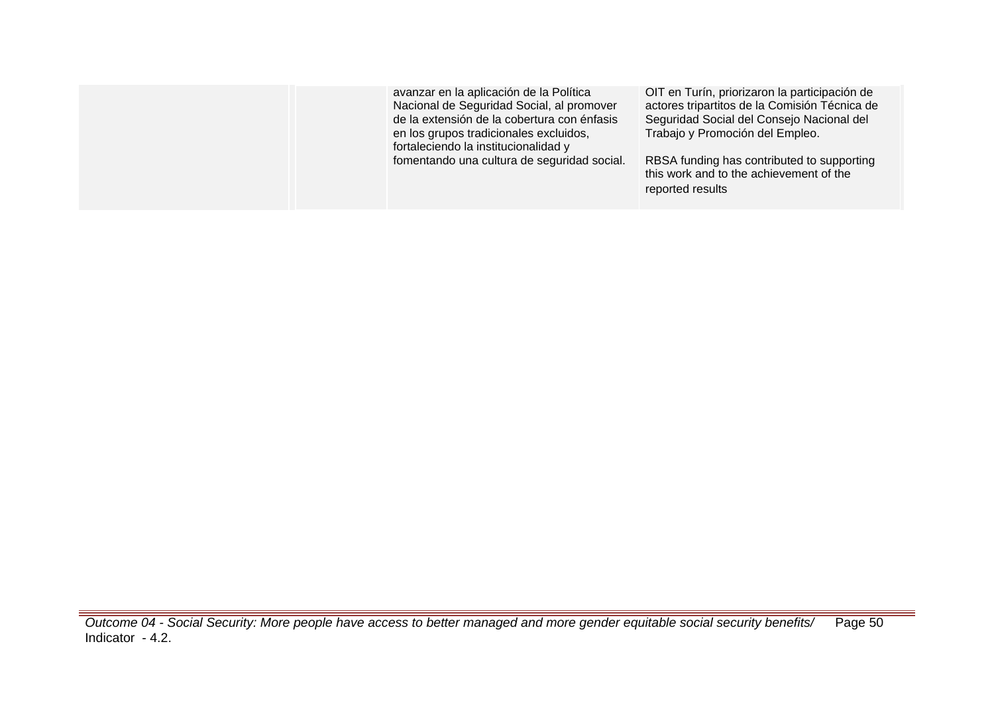| OIT en Turín, priorizaron la participación de<br>avanzar en la aplicación de la Política<br>Nacional de Seguridad Social, al promover<br>actores tripartitos de la Comisión Técnica de<br>de la extensión de la cobertura con énfasis<br>Seguridad Social del Consejo Nacional del<br>Trabajo y Promoción del Empleo.<br>en los grupos tradicionales excluidos,<br>fortaleciendo la institucionalidad y<br>fomentando una cultura de seguridad social.<br>RBSA funding has contributed to supporting<br>this work and to the achievement of the<br>reported results |
|---------------------------------------------------------------------------------------------------------------------------------------------------------------------------------------------------------------------------------------------------------------------------------------------------------------------------------------------------------------------------------------------------------------------------------------------------------------------------------------------------------------------------------------------------------------------|
|---------------------------------------------------------------------------------------------------------------------------------------------------------------------------------------------------------------------------------------------------------------------------------------------------------------------------------------------------------------------------------------------------------------------------------------------------------------------------------------------------------------------------------------------------------------------|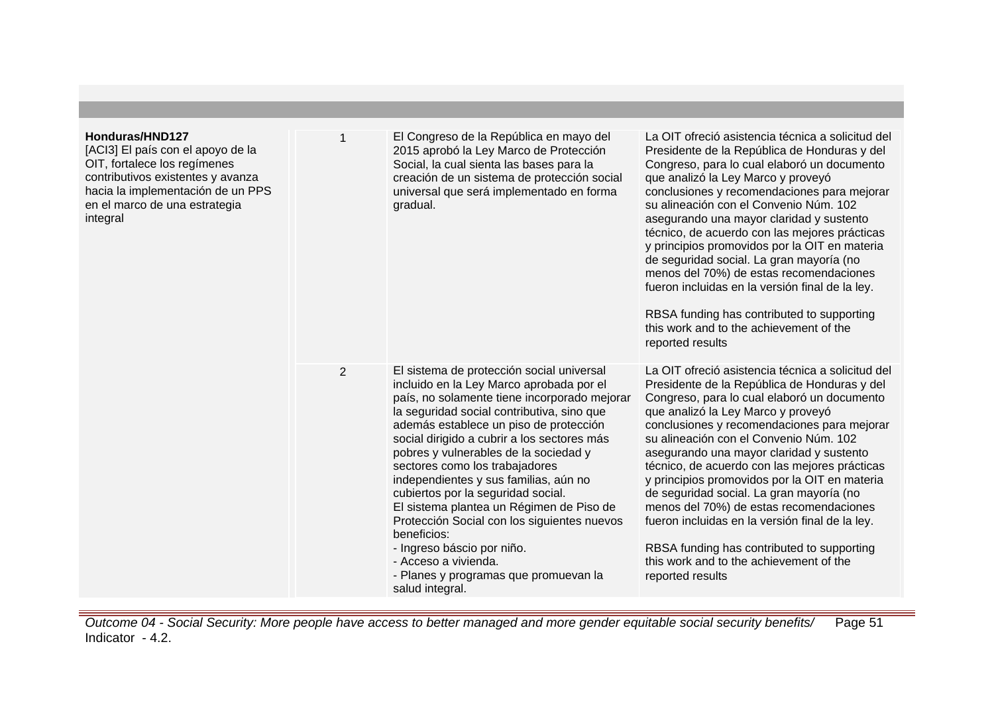| Honduras/HND127<br>[ACI3] El país con el apoyo de la<br>OIT, fortalece los regímenes<br>contributivos existentes y avanza<br>hacia la implementación de un PPS<br>en el marco de una estrategia<br>integral |                | El Congreso de la República en mayo del<br>2015 aprobó la Ley Marco de Protección<br>Social, la cual sienta las bases para la<br>creación de un sistema de protección social<br>universal que será implementado en forma<br>gradual.                                                                                                                                                                                                                                                                                                                                                                                                                               | La OIT ofreció asistencia técnica a solicitud del<br>Presidente de la República de Honduras y del<br>Congreso, para lo cual elaboró un documento<br>que analizó la Ley Marco y proveyó<br>conclusiones y recomendaciones para mejorar<br>su alineación con el Convenio Núm. 102<br>asegurando una mayor claridad y sustento<br>técnico, de acuerdo con las mejores prácticas<br>y principios promovidos por la OIT en materia<br>de seguridad social. La gran mayoría (no<br>menos del 70%) de estas recomendaciones<br>fueron incluidas en la versión final de la ley.<br>RBSA funding has contributed to supporting<br>this work and to the achievement of the<br>reported results |
|-------------------------------------------------------------------------------------------------------------------------------------------------------------------------------------------------------------|----------------|--------------------------------------------------------------------------------------------------------------------------------------------------------------------------------------------------------------------------------------------------------------------------------------------------------------------------------------------------------------------------------------------------------------------------------------------------------------------------------------------------------------------------------------------------------------------------------------------------------------------------------------------------------------------|--------------------------------------------------------------------------------------------------------------------------------------------------------------------------------------------------------------------------------------------------------------------------------------------------------------------------------------------------------------------------------------------------------------------------------------------------------------------------------------------------------------------------------------------------------------------------------------------------------------------------------------------------------------------------------------|
|                                                                                                                                                                                                             | $\overline{2}$ | El sistema de protección social universal<br>incluido en la Ley Marco aprobada por el<br>país, no solamente tiene incorporado mejorar<br>la seguridad social contributiva, sino que<br>además establece un piso de protección<br>social dirigido a cubrir a los sectores más<br>pobres y vulnerables de la sociedad y<br>sectores como los trabajadores<br>independientes y sus familias, aún no<br>cubiertos por la seguridad social.<br>El sistema plantea un Régimen de Piso de<br>Protección Social con los siguientes nuevos<br>beneficios:<br>- Ingreso báscio por niño.<br>- Acceso a vivienda.<br>- Planes y programas que promuevan la<br>salud integral. | La OIT ofreció asistencia técnica a solicitud del<br>Presidente de la República de Honduras y del<br>Congreso, para lo cual elaboró un documento<br>que analizó la Ley Marco y proveyó<br>conclusiones y recomendaciones para mejorar<br>su alineación con el Convenio Núm. 102<br>asegurando una mayor claridad y sustento<br>técnico, de acuerdo con las mejores prácticas<br>y principios promovidos por la OIT en materia<br>de seguridad social. La gran mayoría (no<br>menos del 70%) de estas recomendaciones<br>fueron incluidas en la versión final de la ley.<br>RBSA funding has contributed to supporting<br>this work and to the achievement of the<br>reported results |

Outcome 04 - Social Security: More people have access to better managed and more gender equitable social security benefits/ Indicator - 4.2. Page 51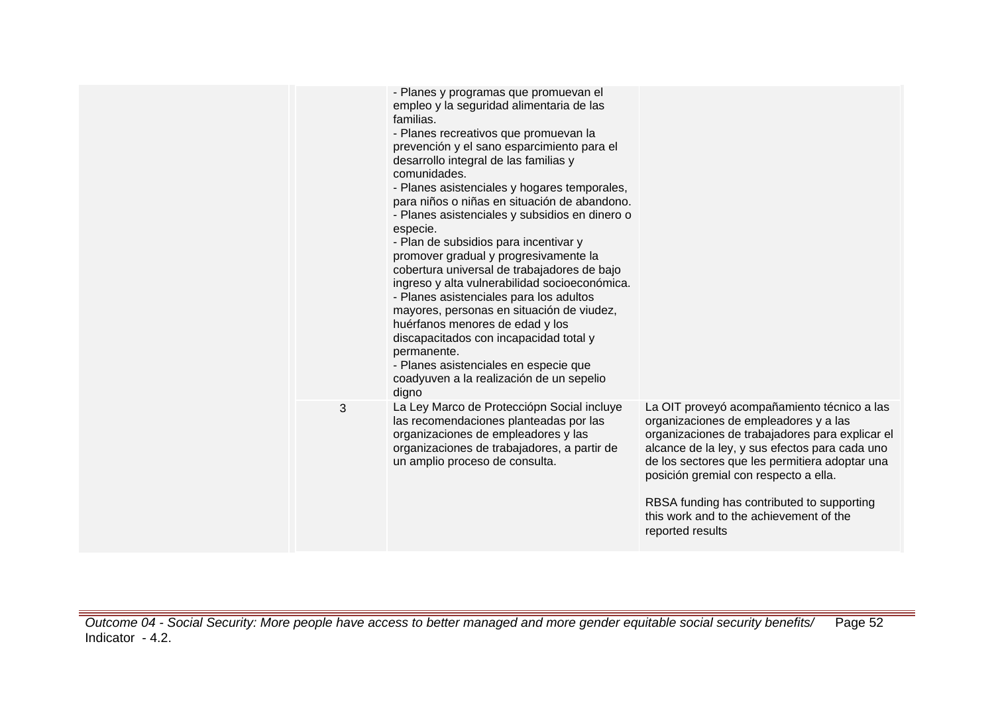|   | - Planes y programas que promuevan el<br>empleo y la seguridad alimentaria de las<br>familias.<br>- Planes recreativos que promuevan la<br>prevención y el sano esparcimiento para el<br>desarrollo integral de las familias y<br>comunidades.<br>- Planes asistenciales y hogares temporales,<br>para niños o niñas en situación de abandono.<br>- Planes asistenciales y subsidios en dinero o<br>especie.<br>- Plan de subsidios para incentivar y<br>promover gradual y progresivamente la<br>cobertura universal de trabajadores de bajo<br>ingreso y alta vulnerabilidad socioeconómica.<br>- Planes asistenciales para los adultos<br>mayores, personas en situación de viudez,<br>huérfanos menores de edad y los<br>discapacitados con incapacidad total y<br>permanente.<br>- Planes asistenciales en especie que<br>coadyuven a la realización de un sepelio<br>digno |                                                                                                                                                                                                                                                                                                                                                                                                   |
|---|----------------------------------------------------------------------------------------------------------------------------------------------------------------------------------------------------------------------------------------------------------------------------------------------------------------------------------------------------------------------------------------------------------------------------------------------------------------------------------------------------------------------------------------------------------------------------------------------------------------------------------------------------------------------------------------------------------------------------------------------------------------------------------------------------------------------------------------------------------------------------------|---------------------------------------------------------------------------------------------------------------------------------------------------------------------------------------------------------------------------------------------------------------------------------------------------------------------------------------------------------------------------------------------------|
| 3 | La Ley Marco de Protecciópn Social incluye<br>las recomendaciones planteadas por las<br>organizaciones de empleadores y las<br>organizaciones de trabajadores, a partir de<br>un amplio proceso de consulta.                                                                                                                                                                                                                                                                                                                                                                                                                                                                                                                                                                                                                                                                     | La OIT proveyó acompañamiento técnico a las<br>organizaciones de empleadores y a las<br>organizaciones de trabajadores para explicar el<br>alcance de la ley, y sus efectos para cada uno<br>de los sectores que les permitiera adoptar una<br>posición gremial con respecto a ella.<br>RBSA funding has contributed to supporting<br>this work and to the achievement of the<br>reported results |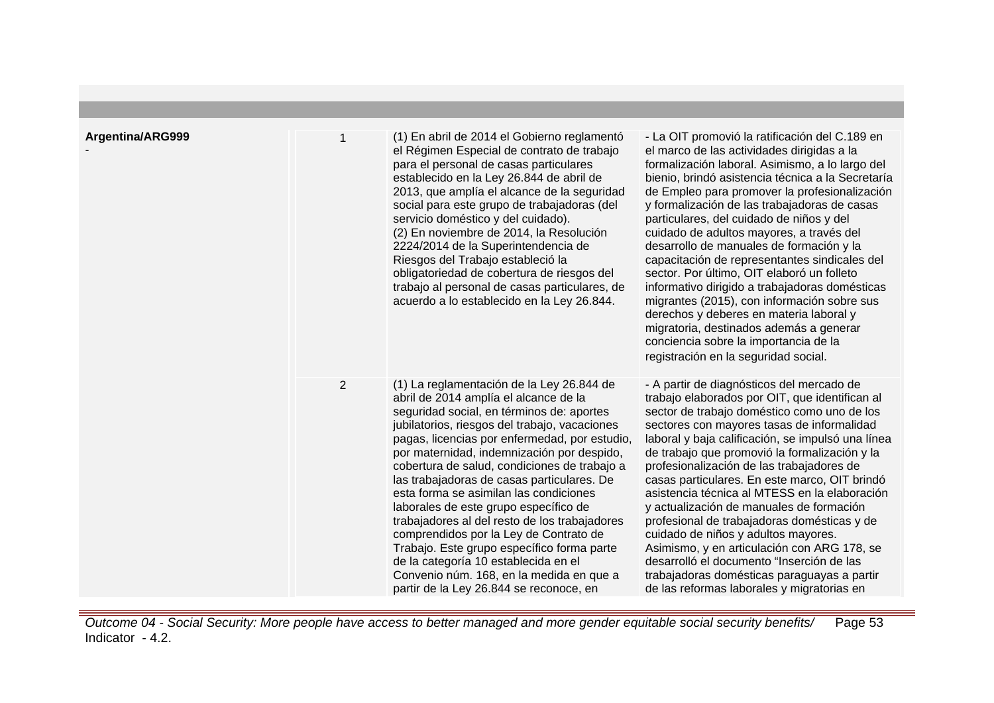| Argentina/ARG999 |                | (1) En abril de 2014 el Gobierno reglamentó<br>el Régimen Especial de contrato de trabajo<br>para el personal de casas particulares<br>establecido en la Ley 26.844 de abril de<br>2013, que amplía el alcance de la seguridad<br>social para este grupo de trabajadoras (del<br>servicio doméstico y del cuidado).<br>(2) En noviembre de 2014, la Resolución<br>2224/2014 de la Superintendencia de<br>Riesgos del Trabajo estableció la<br>obligatoriedad de cobertura de riesgos del<br>trabajo al personal de casas particulares, de<br>acuerdo a lo establecido en la Ley 26.844.                                                                                                                                                  | - La OIT promovió la ratificación del C.189 en<br>el marco de las actividades dirigidas a la<br>formalización laboral. Asimismo, a lo largo del<br>bienio, brindó asistencia técnica a la Secretaría<br>de Empleo para promover la profesionalización<br>y formalización de las trabajadoras de casas<br>particulares, del cuidado de niños y del<br>cuidado de adultos mayores, a través del<br>desarrollo de manuales de formación y la<br>capacitación de representantes sindicales del<br>sector. Por último, OIT elaboró un folleto<br>informativo dirigido a trabajadoras domésticas<br>migrantes (2015), con información sobre sus<br>derechos y deberes en materia laboral y<br>migratoria, destinados además a generar<br>conciencia sobre la importancia de la<br>registración en la seguridad social. |
|------------------|----------------|------------------------------------------------------------------------------------------------------------------------------------------------------------------------------------------------------------------------------------------------------------------------------------------------------------------------------------------------------------------------------------------------------------------------------------------------------------------------------------------------------------------------------------------------------------------------------------------------------------------------------------------------------------------------------------------------------------------------------------------|------------------------------------------------------------------------------------------------------------------------------------------------------------------------------------------------------------------------------------------------------------------------------------------------------------------------------------------------------------------------------------------------------------------------------------------------------------------------------------------------------------------------------------------------------------------------------------------------------------------------------------------------------------------------------------------------------------------------------------------------------------------------------------------------------------------|
|                  | $\overline{2}$ | (1) La reglamentación de la Ley 26.844 de<br>abril de 2014 amplía el alcance de la<br>seguridad social, en términos de: aportes<br>jubilatorios, riesgos del trabajo, vacaciones<br>pagas, licencias por enfermedad, por estudio,<br>por maternidad, indemnización por despido,<br>cobertura de salud, condiciones de trabajo a<br>las trabajadoras de casas particulares. De<br>esta forma se asimilan las condiciones<br>laborales de este grupo específico de<br>trabajadores al del resto de los trabajadores<br>comprendidos por la Ley de Contrato de<br>Trabajo. Este grupo específico forma parte<br>de la categoría 10 establecida en el<br>Convenio núm. 168, en la medida en que a<br>partir de la Ley 26.844 se reconoce, en | - A partir de diagnósticos del mercado de<br>trabajo elaborados por OIT, que identifican al<br>sector de trabajo doméstico como uno de los<br>sectores con mayores tasas de informalidad<br>laboral y baja calificación, se impulsó una línea<br>de trabajo que promovió la formalización y la<br>profesionalización de las trabajadores de<br>casas particulares. En este marco, OIT brindó<br>asistencia técnica al MTESS en la elaboración<br>y actualización de manuales de formación<br>profesional de trabajadoras domésticas y de<br>cuidado de niños y adultos mayores.<br>Asimismo, y en articulación con ARG 178, se<br>desarrolló el documento "Inserción de las<br>trabajadoras domésticas paraguayas a partir<br>de las reformas laborales y migratorias en                                         |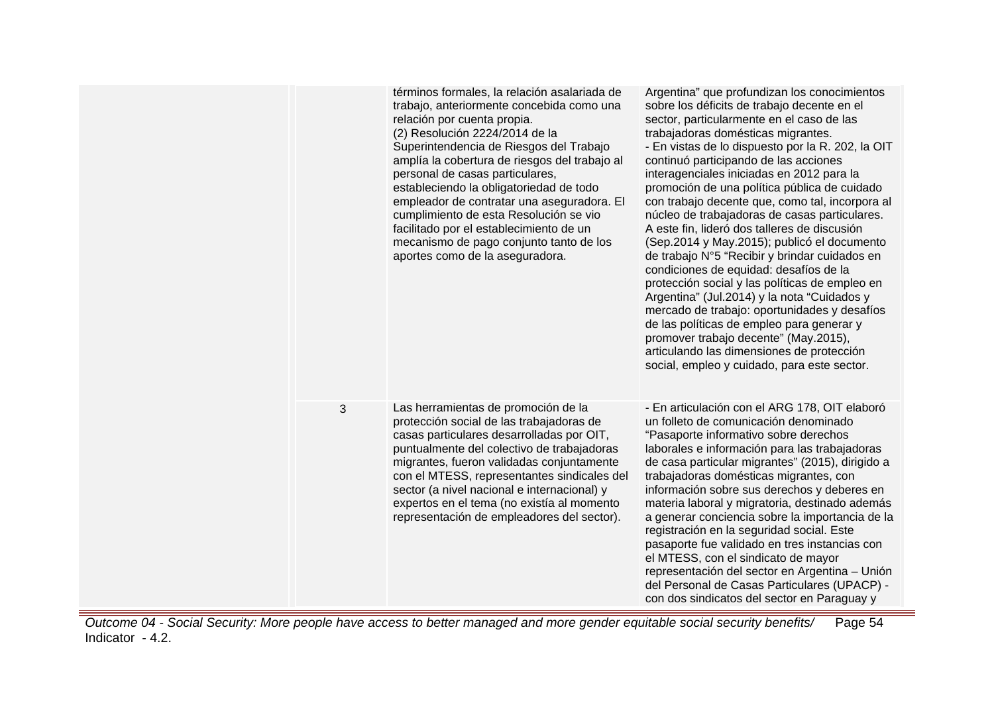|   | términos formales, la relación asalariada de<br>trabajo, anteriormente concebida como una<br>relación por cuenta propia.<br>(2) Resolución 2224/2014 de la<br>Superintendencia de Riesgos del Trabajo<br>amplía la cobertura de riesgos del trabajo al<br>personal de casas particulares,<br>estableciendo la obligatoriedad de todo<br>empleador de contratar una aseguradora. El<br>cumplimiento de esta Resolución se vio<br>facilitado por el establecimiento de un<br>mecanismo de pago conjunto tanto de los<br>aportes como de la aseguradora. | Argentina" que profundizan los conocimientos<br>sobre los déficits de trabajo decente en el<br>sector, particularmente en el caso de las<br>trabajadoras domésticas migrantes.<br>- En vistas de lo dispuesto por la R. 202, la OIT<br>continuó participando de las acciones<br>interagenciales iniciadas en 2012 para la<br>promoción de una política pública de cuidado<br>con trabajo decente que, como tal, incorpora al<br>núcleo de trabajadoras de casas particulares.<br>A este fin, lideró dos talleres de discusión<br>(Sep.2014 y May.2015); publicó el documento<br>de trabajo N°5 "Recibir y brindar cuidados en<br>condiciones de equidad: desafíos de la<br>protección social y las políticas de empleo en<br>Argentina" (Jul.2014) y la nota "Cuidados y<br>mercado de trabajo: oportunidades y desafíos<br>de las políticas de empleo para generar y<br>promover trabajo decente" (May.2015),<br>articulando las dimensiones de protección<br>social, empleo y cuidado, para este sector. |
|---|-------------------------------------------------------------------------------------------------------------------------------------------------------------------------------------------------------------------------------------------------------------------------------------------------------------------------------------------------------------------------------------------------------------------------------------------------------------------------------------------------------------------------------------------------------|------------------------------------------------------------------------------------------------------------------------------------------------------------------------------------------------------------------------------------------------------------------------------------------------------------------------------------------------------------------------------------------------------------------------------------------------------------------------------------------------------------------------------------------------------------------------------------------------------------------------------------------------------------------------------------------------------------------------------------------------------------------------------------------------------------------------------------------------------------------------------------------------------------------------------------------------------------------------------------------------------------|
| 3 | Las herramientas de promoción de la<br>protección social de las trabajadoras de<br>casas particulares desarrolladas por OIT,<br>puntualmente del colectivo de trabajadoras<br>migrantes, fueron validadas conjuntamente<br>con el MTESS, representantes sindicales del<br>sector (a nivel nacional e internacional) y<br>expertos en el tema (no existía al momento<br>representación de empleadores del sector).                                                                                                                                     | - En articulación con el ARG 178, OIT elaboró<br>un folleto de comunicación denominado<br>"Pasaporte informativo sobre derechos<br>laborales e información para las trabajadoras<br>de casa particular migrantes" (2015), dirigido a<br>trabajadoras domésticas migrantes, con<br>información sobre sus derechos y deberes en<br>materia laboral y migratoria, destinado además<br>a generar conciencia sobre la importancia de la<br>registración en la seguridad social. Este<br>pasaporte fue validado en tres instancias con<br>el MTESS, con el sindicato de mayor<br>representación del sector en Argentina - Unión<br>del Personal de Casas Particulares (UPACP) -<br>con dos sindicatos del sector en Paraguay y                                                                                                                                                                                                                                                                                   |

Outcome 04 - Social Security: More people have access to better managed and more gender equitable social security benefits/ Indicator - 4.2. Page 54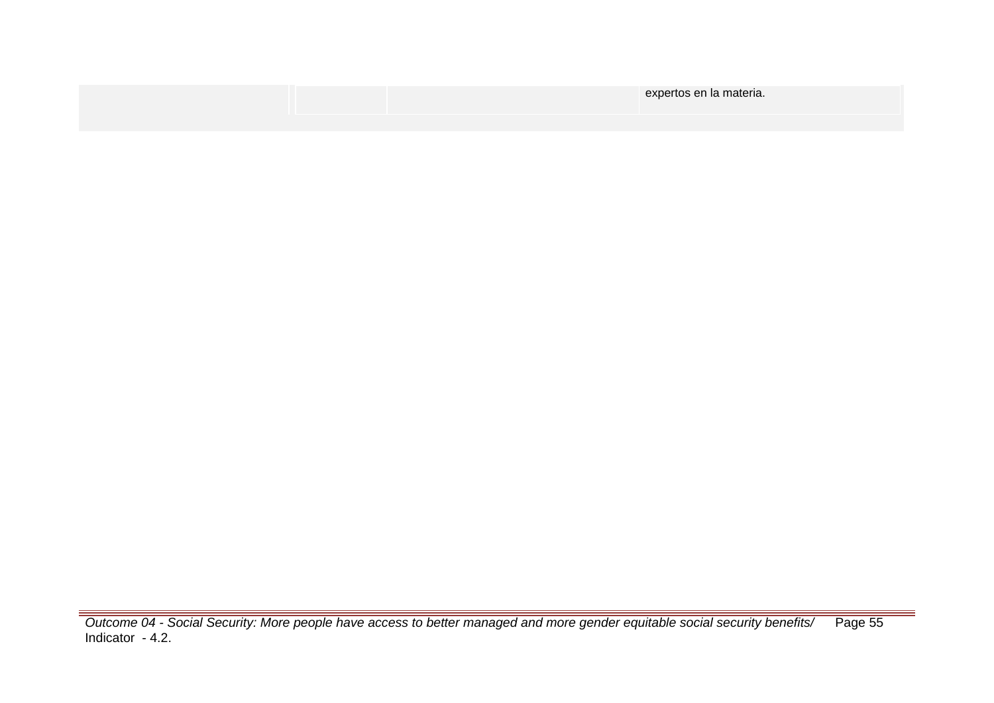|  | expertos en la materia. |
|--|-------------------------|
|  |                         |

Outcome 04 - Social Security: More people have access to better managed and more gender equitable social security benefits/ Indicator - 4.2. Page 55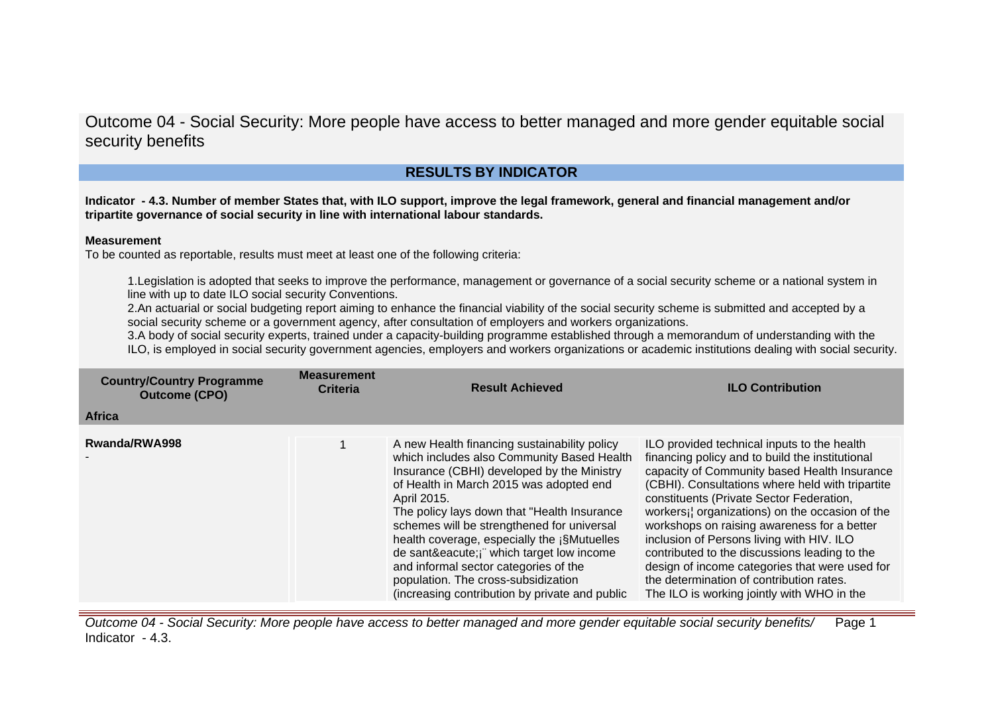## **RESULTS BY INDICATOR**

**Indicator - 4.3. Number of member States that, with ILO support, improve the legal framework, general and financial management and/or tripartite governance of social security in line with international labour standards.**

#### **Measurement**

To be counted as reportable, results must meet at least one of the following criteria:

1.Legislation is adopted that seeks to improve the performance, management or governance of a social security scheme or a national system in line with up to date ILO social security Conventions.

2.An actuarial or social budgeting report aiming to enhance the financial viability of the social security scheme is submitted and accepted by a social security scheme or a government agency, after consultation of employers and workers organizations.

3.A body of social security experts, trained under a capacity-building programme established through a memorandum of understanding with the ILO, is employed in social security government agencies, employers and workers organizations or academic institutions dealing with social security.

| <b>Country/Country Programme</b><br><b>Outcome (CPO)</b> | <b>Measurement</b><br>Criteria | <b>Result Achieved</b>                                                                                                                                                                                                                                                                                                                                                                                                                                                                                                 | <b>ILO Contribution</b>                                                                                                                                                                                                                                                                                                                                                                                                                                                                                                                                                                   |
|----------------------------------------------------------|--------------------------------|------------------------------------------------------------------------------------------------------------------------------------------------------------------------------------------------------------------------------------------------------------------------------------------------------------------------------------------------------------------------------------------------------------------------------------------------------------------------------------------------------------------------|-------------------------------------------------------------------------------------------------------------------------------------------------------------------------------------------------------------------------------------------------------------------------------------------------------------------------------------------------------------------------------------------------------------------------------------------------------------------------------------------------------------------------------------------------------------------------------------------|
| <b>Africa</b>                                            |                                |                                                                                                                                                                                                                                                                                                                                                                                                                                                                                                                        |                                                                                                                                                                                                                                                                                                                                                                                                                                                                                                                                                                                           |
| Rwanda/RWA998                                            |                                | A new Health financing sustainability policy<br>which includes also Community Based Health<br>Insurance (CBHI) developed by the Ministry<br>of Health in March 2015 was adopted end<br>April 2015.<br>The policy lays down that "Health Insurance"<br>schemes will be strengthened for universal<br>health coverage, especially the ¡§Mutuelles<br>de santé¡ which target low income<br>and informal sector categories of the<br>population. The cross-subsidization<br>(increasing contribution by private and public | ILO provided technical inputs to the health<br>financing policy and to build the institutional<br>capacity of Community based Health Insurance<br>(CBHI). Consultations where held with tripartite<br>constituents (Private Sector Federation,<br>workers; organizations) on the occasion of the<br>workshops on raising awareness for a better<br>inclusion of Persons living with HIV. ILO<br>contributed to the discussions leading to the<br>design of income categories that were used for<br>the determination of contribution rates.<br>The ILO is working jointly with WHO in the |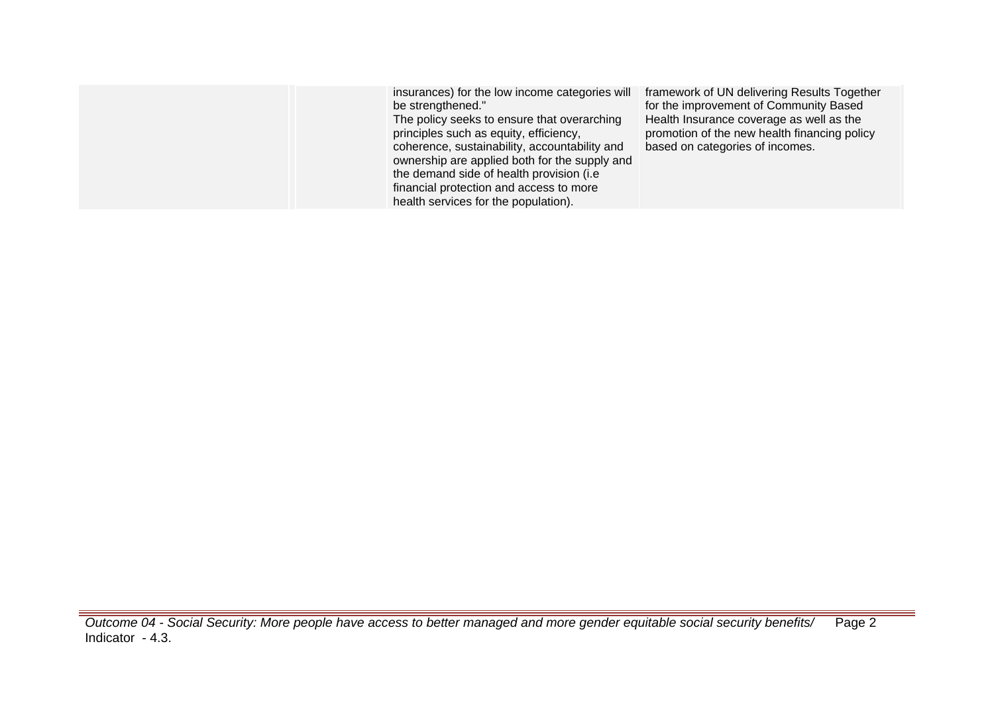| insurances) for the low income categories will<br>be strengthened."<br>The policy seeks to ensure that overarching<br>principles such as equity, efficiency,<br>coherence, sustainability, accountability and<br>ownership are applied both for the supply and<br>the demand side of health provision (i.e.<br>financial protection and access to more<br>health services for the population). | framework of UN delivering Results Together<br>for the improvement of Community Based<br>Health Insurance coverage as well as the<br>promotion of the new health financing policy<br>based on categories of incomes. |
|------------------------------------------------------------------------------------------------------------------------------------------------------------------------------------------------------------------------------------------------------------------------------------------------------------------------------------------------------------------------------------------------|----------------------------------------------------------------------------------------------------------------------------------------------------------------------------------------------------------------------|
|                                                                                                                                                                                                                                                                                                                                                                                                |                                                                                                                                                                                                                      |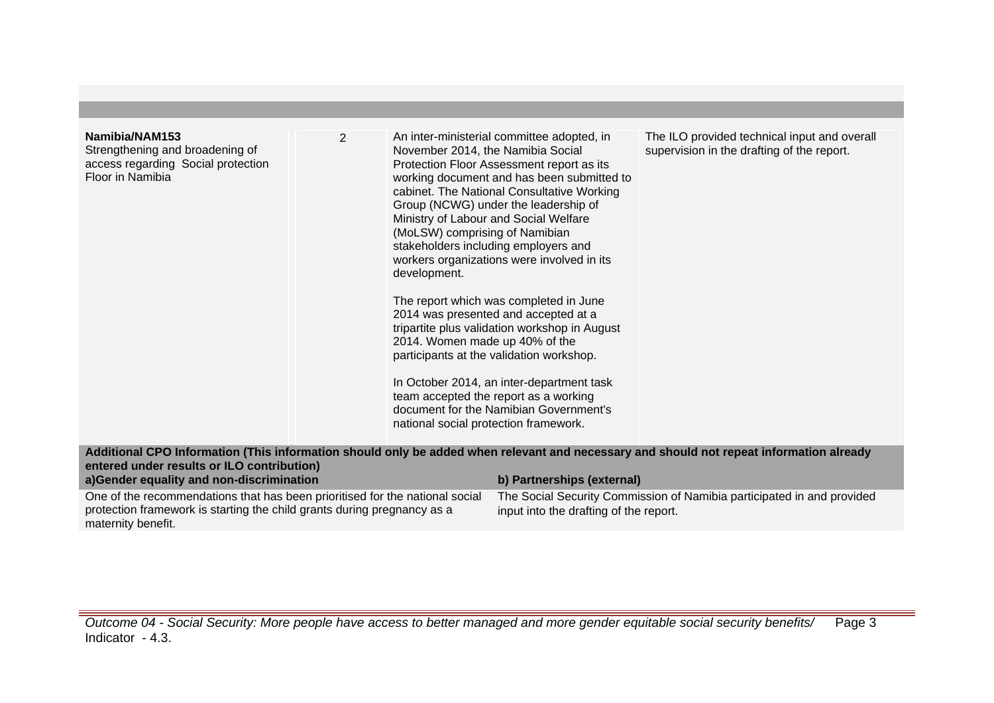| Namibia/NAM153<br>Strengthening and broadening of<br>access regarding Social protection<br>Floor in Namibia                                                                   | $\overline{2}$ | November 2014, the Namibia Social<br>Ministry of Labour and Social Welfare<br>(MoLSW) comprising of Namibian<br>development.<br>2014. Women made up 40% of the<br>national social protection framework. | An inter-ministerial committee adopted, in<br>Protection Floor Assessment report as its<br>working document and has been submitted to<br>cabinet. The National Consultative Working<br>Group (NCWG) under the leadership of<br>stakeholders including employers and<br>workers organizations were involved in its<br>The report which was completed in June<br>2014 was presented and accepted at a<br>tripartite plus validation workshop in August<br>participants at the validation workshop.<br>In October 2014, an inter-department task<br>team accepted the report as a working<br>document for the Namibian Government's | The ILO provided technical input and overall<br>supervision in the drafting of the report. |
|-------------------------------------------------------------------------------------------------------------------------------------------------------------------------------|----------------|---------------------------------------------------------------------------------------------------------------------------------------------------------------------------------------------------------|----------------------------------------------------------------------------------------------------------------------------------------------------------------------------------------------------------------------------------------------------------------------------------------------------------------------------------------------------------------------------------------------------------------------------------------------------------------------------------------------------------------------------------------------------------------------------------------------------------------------------------|--------------------------------------------------------------------------------------------|
| Additional CPO Information (This information should only be added when relevant and necessary and should not repeat information already                                       |                |                                                                                                                                                                                                         |                                                                                                                                                                                                                                                                                                                                                                                                                                                                                                                                                                                                                                  |                                                                                            |
| entered under results or ILO contribution)                                                                                                                                    |                |                                                                                                                                                                                                         |                                                                                                                                                                                                                                                                                                                                                                                                                                                                                                                                                                                                                                  |                                                                                            |
| a)Gender equality and non-discrimination                                                                                                                                      |                |                                                                                                                                                                                                         | b) Partnerships (external)                                                                                                                                                                                                                                                                                                                                                                                                                                                                                                                                                                                                       |                                                                                            |
| One of the recommendations that has been prioritised for the national social<br>protection framework is starting the child grants during pregnancy as a<br>maternity benefit. |                | The Social Security Commission of Namibia participated in and provided<br>input into the drafting of the report.                                                                                        |                                                                                                                                                                                                                                                                                                                                                                                                                                                                                                                                                                                                                                  |                                                                                            |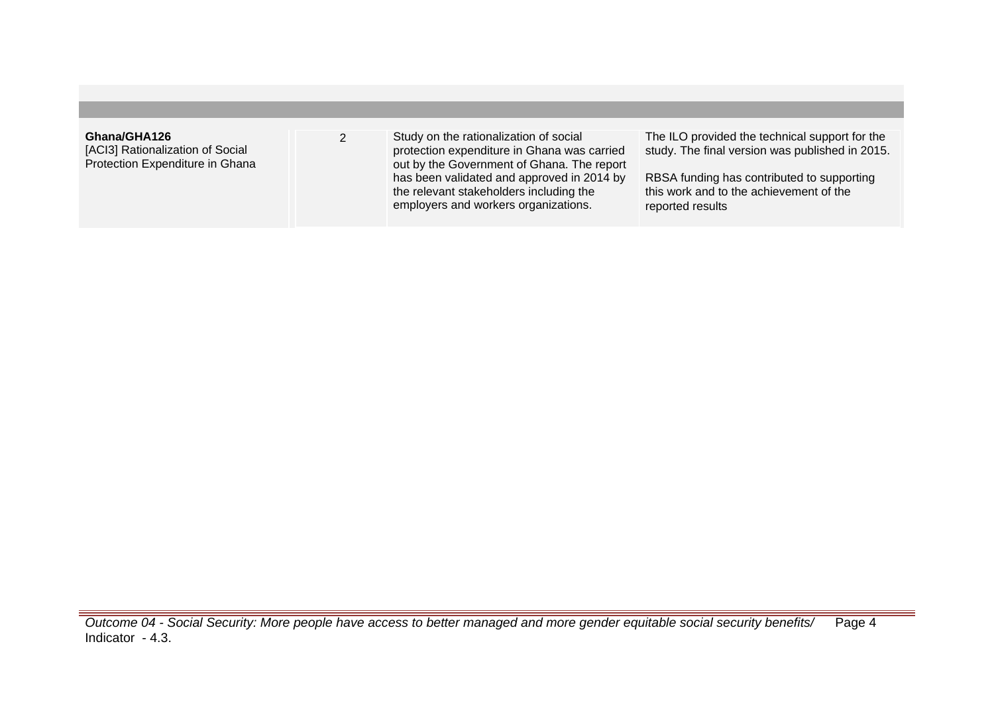| Ghana/GHA126<br>[ACI3] Rationalization of Social<br>Protection Expenditure in Ghana | Study on the rationalization of social<br>protection expenditure in Ghana was carried<br>out by the Government of Ghana. The report<br>has been validated and approved in 2014 by<br>the relevant stakeholders including the<br>employers and workers organizations. | The ILO provided the technical support for the<br>study. The final version was published in 2015.<br>RBSA funding has contributed to supporting<br>this work and to the achievement of the<br>reported results |
|-------------------------------------------------------------------------------------|----------------------------------------------------------------------------------------------------------------------------------------------------------------------------------------------------------------------------------------------------------------------|----------------------------------------------------------------------------------------------------------------------------------------------------------------------------------------------------------------|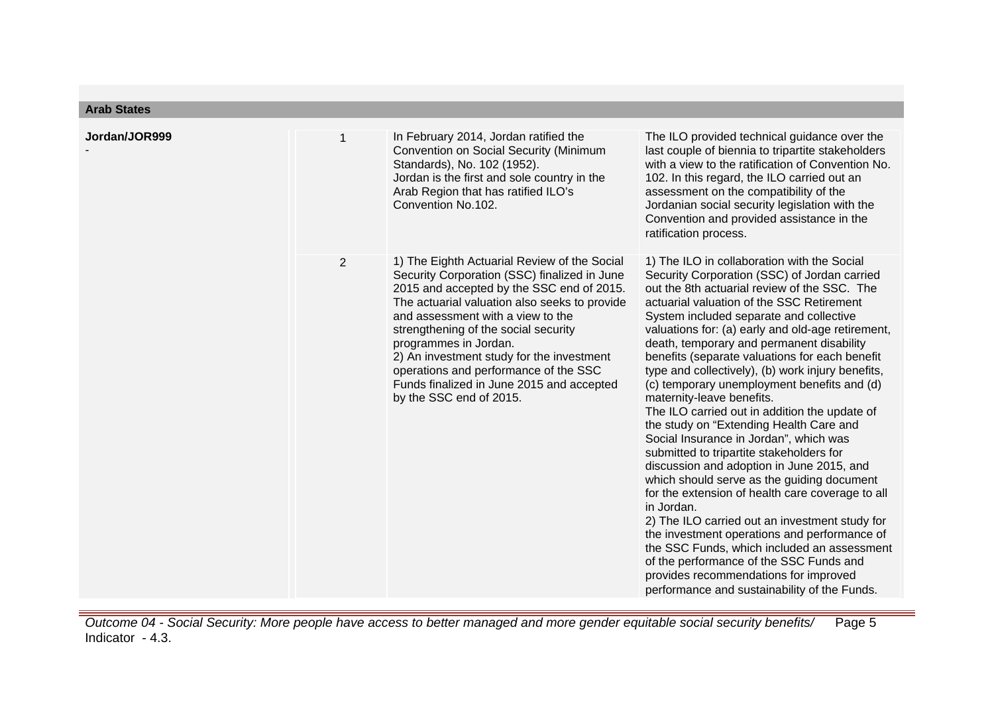| <b>Arab States</b> |                |                                                                                                                                                                                                                                                                                                                                                                                                                                                                |                                                                                                                                                                                                                                                                                                                                                                                                                                                                                                                                                                                                                                                                                                                                                                                                                                                                                                                                                                                                                                                                                                                                                              |
|--------------------|----------------|----------------------------------------------------------------------------------------------------------------------------------------------------------------------------------------------------------------------------------------------------------------------------------------------------------------------------------------------------------------------------------------------------------------------------------------------------------------|--------------------------------------------------------------------------------------------------------------------------------------------------------------------------------------------------------------------------------------------------------------------------------------------------------------------------------------------------------------------------------------------------------------------------------------------------------------------------------------------------------------------------------------------------------------------------------------------------------------------------------------------------------------------------------------------------------------------------------------------------------------------------------------------------------------------------------------------------------------------------------------------------------------------------------------------------------------------------------------------------------------------------------------------------------------------------------------------------------------------------------------------------------------|
| Jordan/JOR999      | $\mathbf{1}$   | In February 2014, Jordan ratified the<br>Convention on Social Security (Minimum<br>Standards), No. 102 (1952).<br>Jordan is the first and sole country in the<br>Arab Region that has ratified ILO's<br>Convention No.102.                                                                                                                                                                                                                                     | The ILO provided technical guidance over the<br>last couple of biennia to tripartite stakeholders<br>with a view to the ratification of Convention No.<br>102. In this regard, the ILO carried out an<br>assessment on the compatibility of the<br>Jordanian social security legislation with the<br>Convention and provided assistance in the<br>ratification process.                                                                                                                                                                                                                                                                                                                                                                                                                                                                                                                                                                                                                                                                                                                                                                                      |
|                    | $\overline{2}$ | 1) The Eighth Actuarial Review of the Social<br>Security Corporation (SSC) finalized in June<br>2015 and accepted by the SSC end of 2015.<br>The actuarial valuation also seeks to provide<br>and assessment with a view to the<br>strengthening of the social security<br>programmes in Jordan.<br>2) An investment study for the investment<br>operations and performance of the SSC<br>Funds finalized in June 2015 and accepted<br>by the SSC end of 2015. | 1) The ILO in collaboration with the Social<br>Security Corporation (SSC) of Jordan carried<br>out the 8th actuarial review of the SSC. The<br>actuarial valuation of the SSC Retirement<br>System included separate and collective<br>valuations for: (a) early and old-age retirement,<br>death, temporary and permanent disability<br>benefits (separate valuations for each benefit<br>type and collectively), (b) work injury benefits,<br>(c) temporary unemployment benefits and (d)<br>maternity-leave benefits.<br>The ILO carried out in addition the update of<br>the study on "Extending Health Care and<br>Social Insurance in Jordan", which was<br>submitted to tripartite stakeholders for<br>discussion and adoption in June 2015, and<br>which should serve as the guiding document<br>for the extension of health care coverage to all<br>in Jordan.<br>2) The ILO carried out an investment study for<br>the investment operations and performance of<br>the SSC Funds, which included an assessment<br>of the performance of the SSC Funds and<br>provides recommendations for improved<br>performance and sustainability of the Funds. |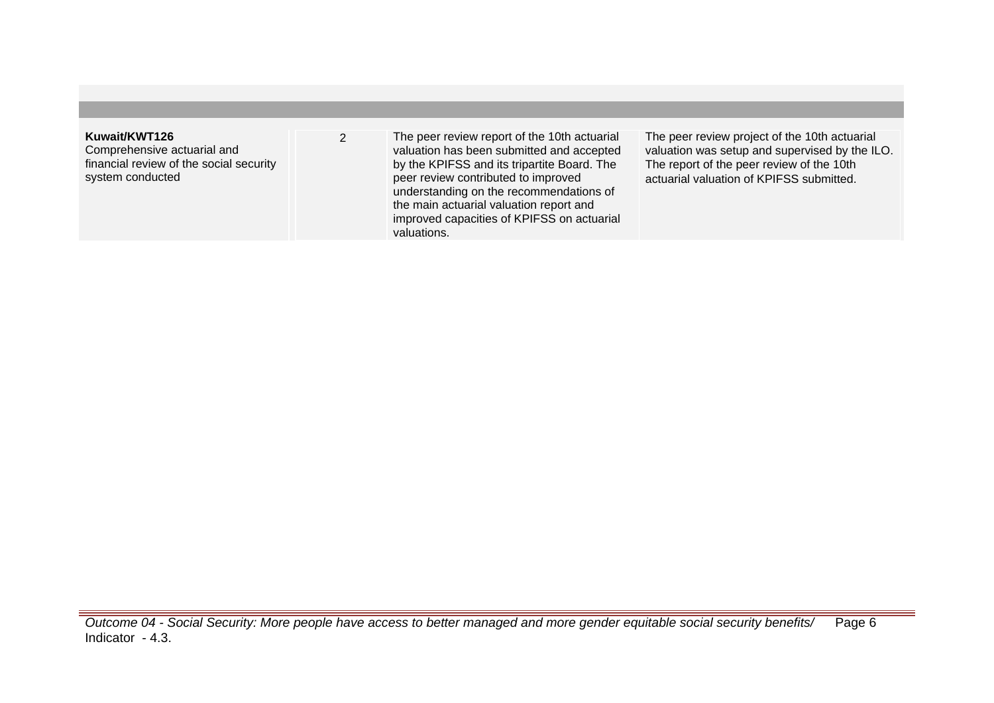## **Kuwait/KWT126**

Comprehensive actuarial and financial review of the social security system conducted

2 The peer review report of the 10th actuarial valuation has been submitted and accepted by the KPIFSS and its tripartite Board. The peer review contributed to improved understanding on the recommendations of the main actuarial valuation report and improved capacities of KPIFSS on actuarial valuations.

The peer review project of the 10th actuarial valuation was setup and supervised by the ILO. The report of the peer review of the 10th actuarial valuation of KPIFSS submitted.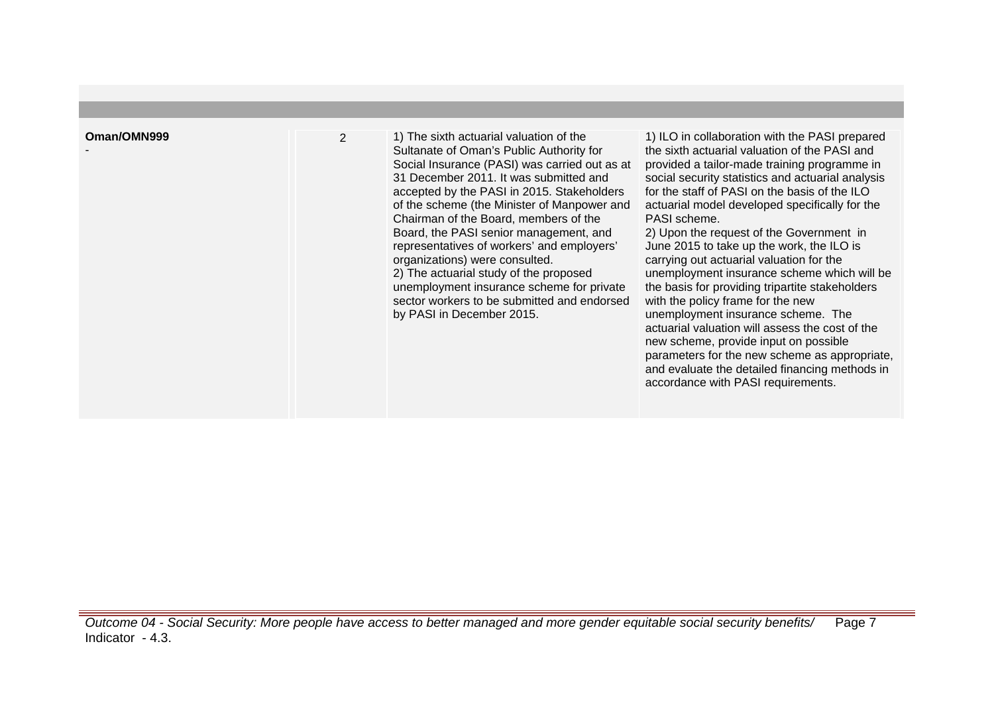-

2 1) The sixth actuarial valuation of the Sultanate of Oman's Public Authority for Social Insurance (PASI) was carried out as at 31 December 2011. It was submitted and accepted by the PASI in 2015. Stakeholders of the scheme (the Minister of Manpower and Chairman of the Board, members of the Board, the PASI senior management, and representatives of workers' and employers' organizations) were consulted. 2) The actuarial study of the proposed unemployment insurance scheme for private sector workers to be submitted and endorsed by PASI in December 2015.

1) ILO in collaboration with the PASI prepared the sixth actuarial valuation of the PASI and provided a tailor-made training programme in social security statistics and actuarial analysis for the staff of PASI on the basis of the ILO actuarial model developed specifically for the PASI scheme.

2) Upon the request of the Government in June 2015 to take up the work, the ILO is carrying out actuarial valuation for the unemployment insurance scheme which will be the basis for providing tripartite stakeholders with the policy frame for the new unemployment insurance scheme. The actuarial valuation will assess the cost of the new scheme, provide input on possible parameters for the new scheme as appropriate, and evaluate the detailed financing methods in accordance with PASI requirements.

Outcome 04 - Social Security: More people have access to better managed and more gender equitable social security benefits/ Indicator - 4.3. Page 7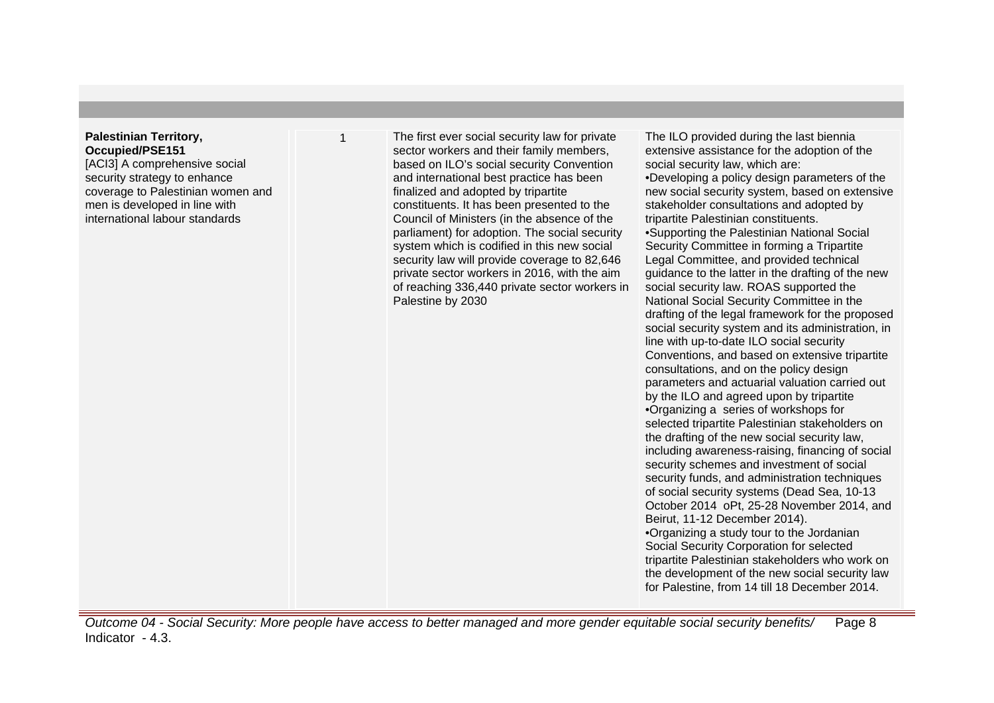## **Palestinian Territory, Occupied/PSE151**

[ACI3] A comprehensive social security strategy to enhance coverage to Palestinian women and men is developed in line with international labour standards

The first ever social security law for private sector workers and their family members, based on ILO's social security Convention and international best practice has been finalized and adopted by tripartite constituents. It has been presented to the Council of Ministers (in the absence of the parliament) for adoption. The social security system which is codified in this new social security law will provide coverage to 82,646 private sector workers in 2016, with the aim of reaching 336,440 private sector workers in Palestine by 2030

The ILO provided during the last biennia extensive assistance for the adoption of the social security law, which are:

• Developing a policy design parameters of the new social security system, based on extensive stakeholder consultations and adopted by tripartite Palestinian constituents.

• Supporting the Palestinian National Social Security Committee in forming a Tripartite Legal Committee, and provided technical guidance to the latter in the drafting of the new social security law. ROAS supported the National Social Security Committee in the drafting of the legal framework for the proposed social security system and its administration, in line with up-to-date ILO social security Conventions, and based on extensive tripartite consultations, and on the policy design parameters and actuarial valuation carried out by the ILO and agreed upon by tripartite • Organizing a series of workshops for selected tripartite Palestinian stakeholders on the drafting of the new social security law, including awareness-raising, financing of social security schemes and investment of social security funds, and administration techniques of social security systems (Dead Sea, 10-13 October 2014 oPt, 25-28 November 2014, and Beirut, 11-12 December 2014). • Organizing a study tour to the Jordanian

Social Security Corporation for selected tripartite Palestinian stakeholders who work on the development of the new social security law for Palestine, from 14 till 18 December 2014.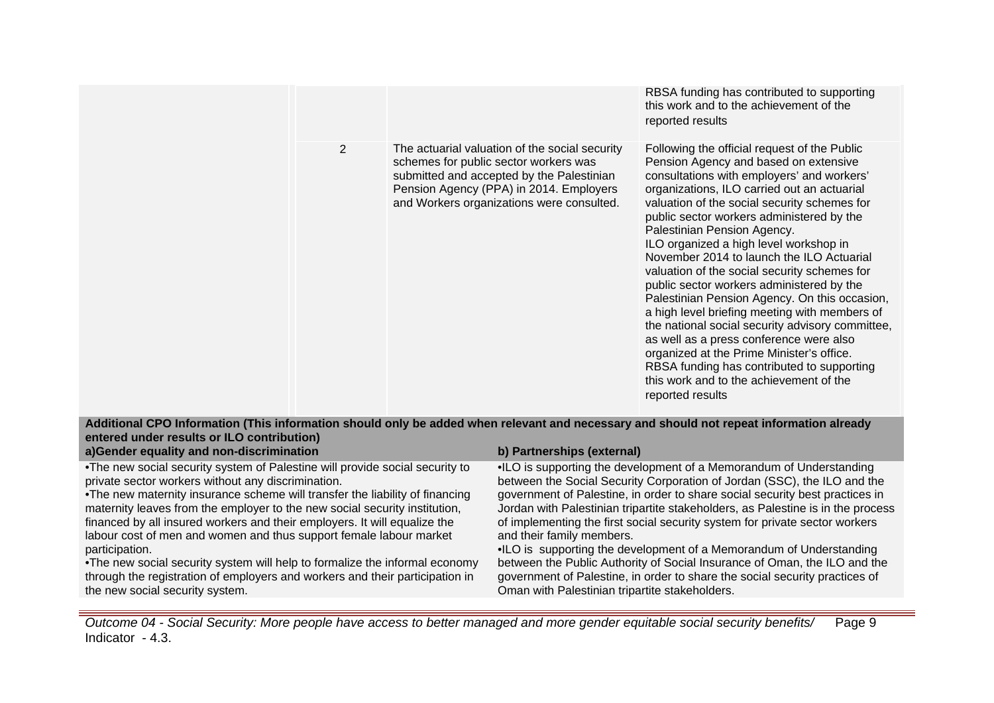|                |                                                                                                                                                                                                                              | RBSA funding has contributed to supporting<br>this work and to the achievement of the<br>reported results                                                                                                                                                                                                                                                                                                                                                                                                                                                                                                                                                                                                                                                                                                                                                     |
|----------------|------------------------------------------------------------------------------------------------------------------------------------------------------------------------------------------------------------------------------|---------------------------------------------------------------------------------------------------------------------------------------------------------------------------------------------------------------------------------------------------------------------------------------------------------------------------------------------------------------------------------------------------------------------------------------------------------------------------------------------------------------------------------------------------------------------------------------------------------------------------------------------------------------------------------------------------------------------------------------------------------------------------------------------------------------------------------------------------------------|
| $\overline{2}$ | The actuarial valuation of the social security<br>schemes for public sector workers was<br>submitted and accepted by the Palestinian<br>Pension Agency (PPA) in 2014. Employers<br>and Workers organizations were consulted. | Following the official request of the Public<br>Pension Agency and based on extensive<br>consultations with employers' and workers'<br>organizations, ILO carried out an actuarial<br>valuation of the social security schemes for<br>public sector workers administered by the<br>Palestinian Pension Agency.<br>ILO organized a high level workshop in<br>November 2014 to launch the ILO Actuarial<br>valuation of the social security schemes for<br>public sector workers administered by the<br>Palestinian Pension Agency. On this occasion,<br>a high level briefing meeting with members of<br>the national social security advisory committee,<br>as well as a press conference were also<br>organized at the Prime Minister's office.<br>RBSA funding has contributed to supporting<br>this work and to the achievement of the<br>reported results |

**Additional CPO Information (This information should only be added when relevant and necessary and should not repeat information already entered under results or ILO contribution)**

**a)Gender equality and non-discrimination b) Partnerships (external)**

• The new social security system of Palestine will provide social security to private sector workers without any discrimination.

• The new maternity insurance scheme will transfer the liability of financing maternity leaves from the employer to the new social security institution, financed by all insured workers and their employers. It will equalize the labour cost of men and women and thus support female labour market participation.

• The new social security system will help to formalize the informal economy through the registration of employers and workers and their participation in the new social security system.

•ILO is supporting the development of a Memorandum of Understanding between the Social Security Corporation of Jordan (SSC), the ILO and the government of Palestine, in order to share social security best practices in Jordan with Palestinian tripartite stakeholders, as Palestine is in the process of implementing the first social security system for private sector workers and their family members.

•ILO is supporting the development of a Memorandum of Understanding between the Public Authority of Social Insurance of Oman, the ILO and the government of Palestine, in order to share the social security practices of Oman with Palestinian tripartite stakeholders.

Outcome 04 - Social Security: More people have access to better managed and more gender equitable social security benefits/ Indicator - 4.3. Page 9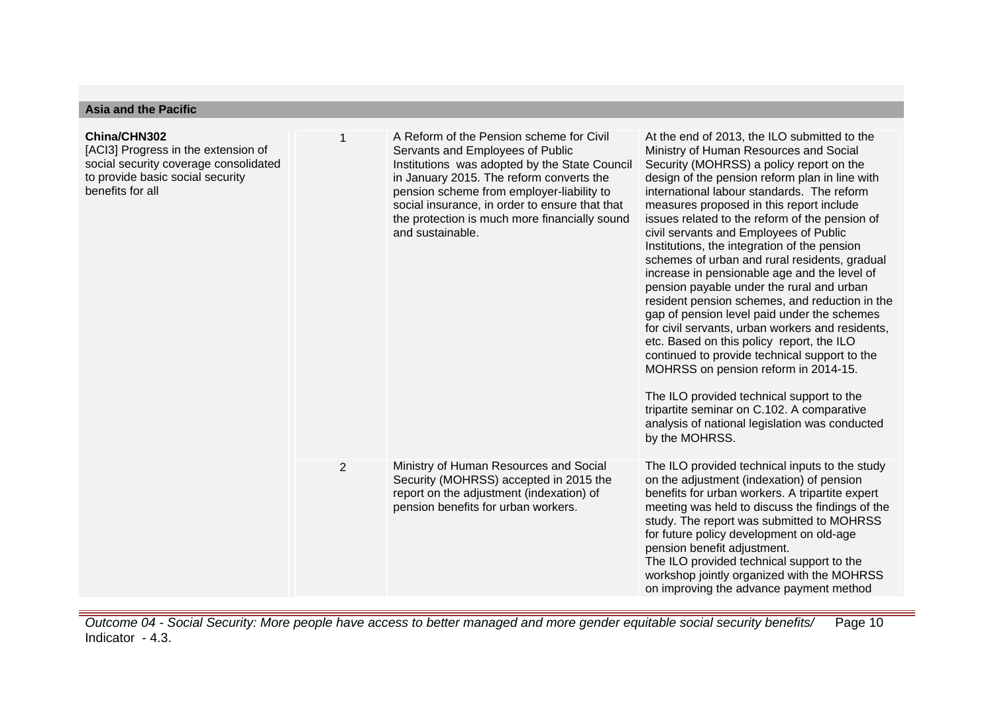| <b>Asia and the Pacific</b>                                                                                                                          |                |                                                                                                                                                                                                                                                                                                                                               |                                                                                                                                                                                                                                                                                                                                                                                                                                                                                                                                                                                                                                                                                                                                                                                                                                                                                                                                                                                                                                    |  |  |  |
|------------------------------------------------------------------------------------------------------------------------------------------------------|----------------|-----------------------------------------------------------------------------------------------------------------------------------------------------------------------------------------------------------------------------------------------------------------------------------------------------------------------------------------------|------------------------------------------------------------------------------------------------------------------------------------------------------------------------------------------------------------------------------------------------------------------------------------------------------------------------------------------------------------------------------------------------------------------------------------------------------------------------------------------------------------------------------------------------------------------------------------------------------------------------------------------------------------------------------------------------------------------------------------------------------------------------------------------------------------------------------------------------------------------------------------------------------------------------------------------------------------------------------------------------------------------------------------|--|--|--|
| China/CHN302<br>[ACI3] Progress in the extension of<br>social security coverage consolidated<br>to provide basic social security<br>benefits for all | 1              | A Reform of the Pension scheme for Civil<br>Servants and Employees of Public<br>Institutions was adopted by the State Council<br>in January 2015. The reform converts the<br>pension scheme from employer-liability to<br>social insurance, in order to ensure that that<br>the protection is much more financially sound<br>and sustainable. | At the end of 2013, the ILO submitted to the<br>Ministry of Human Resources and Social<br>Security (MOHRSS) a policy report on the<br>design of the pension reform plan in line with<br>international labour standards. The reform<br>measures proposed in this report include<br>issues related to the reform of the pension of<br>civil servants and Employees of Public<br>Institutions, the integration of the pension<br>schemes of urban and rural residents, gradual<br>increase in pensionable age and the level of<br>pension payable under the rural and urban<br>resident pension schemes, and reduction in the<br>gap of pension level paid under the schemes<br>for civil servants, urban workers and residents,<br>etc. Based on this policy report, the ILO<br>continued to provide technical support to the<br>MOHRSS on pension reform in 2014-15.<br>The ILO provided technical support to the<br>tripartite seminar on C.102. A comparative<br>analysis of national legislation was conducted<br>by the MOHRSS. |  |  |  |
|                                                                                                                                                      | $\overline{2}$ | Ministry of Human Resources and Social<br>Security (MOHRSS) accepted in 2015 the<br>report on the adjustment (indexation) of<br>pension benefits for urban workers.                                                                                                                                                                           | The ILO provided technical inputs to the study<br>on the adjustment (indexation) of pension<br>benefits for urban workers. A tripartite expert<br>meeting was held to discuss the findings of the<br>study. The report was submitted to MOHRSS<br>for future policy development on old-age<br>pension benefit adjustment.<br>The ILO provided technical support to the<br>workshop jointly organized with the MOHRSS<br>on improving the advance payment method                                                                                                                                                                                                                                                                                                                                                                                                                                                                                                                                                                    |  |  |  |

Outcome 04 - Social Security: More people have access to better managed and more gender equitable social security benefits/ Indicator - 4.3. Page 10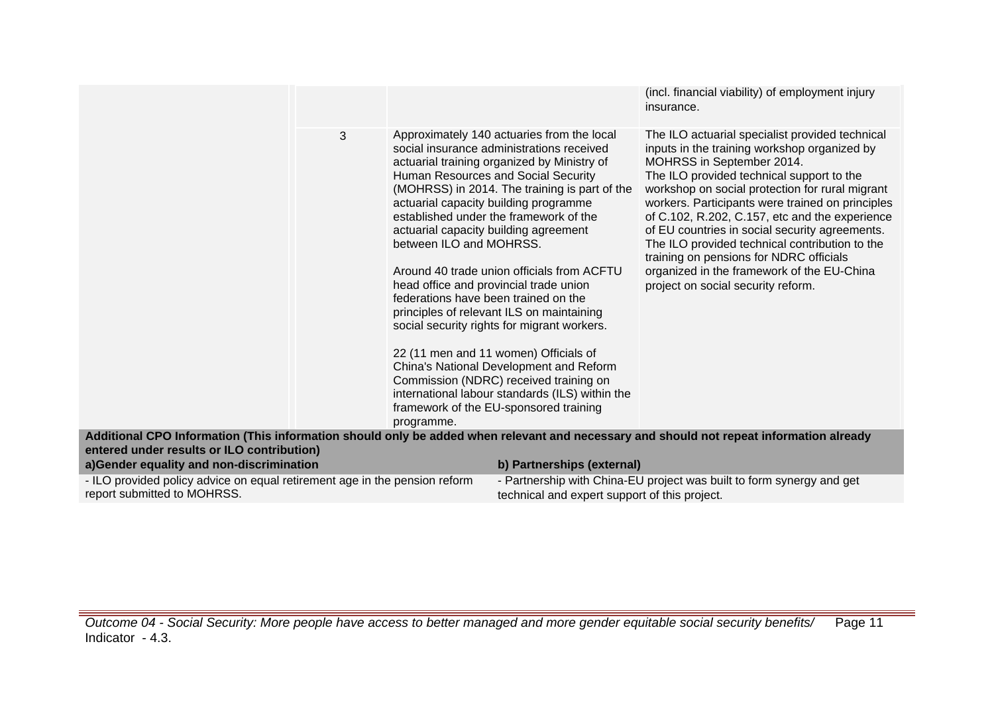|                                                                                                                                                                                       |                                                                                                                                                                  |                                                                                                                                                                                                                                                                                                                                                                                                                                                                                                                                                                                                                                                                                        | (incl. financial viability) of employment injury<br>insurance.                                                                                                                                                                                                                                                                                                                                                                                                                                                                                                        |
|---------------------------------------------------------------------------------------------------------------------------------------------------------------------------------------|------------------------------------------------------------------------------------------------------------------------------------------------------------------|----------------------------------------------------------------------------------------------------------------------------------------------------------------------------------------------------------------------------------------------------------------------------------------------------------------------------------------------------------------------------------------------------------------------------------------------------------------------------------------------------------------------------------------------------------------------------------------------------------------------------------------------------------------------------------------|-----------------------------------------------------------------------------------------------------------------------------------------------------------------------------------------------------------------------------------------------------------------------------------------------------------------------------------------------------------------------------------------------------------------------------------------------------------------------------------------------------------------------------------------------------------------------|
| 3                                                                                                                                                                                     | actuarial capacity building agreement<br>between ILO and MOHRSS.<br>head office and provincial trade union<br>federations have been trained on the<br>programme. | Approximately 140 actuaries from the local<br>social insurance administrations received<br>actuarial training organized by Ministry of<br>Human Resources and Social Security<br>(MOHRSS) in 2014. The training is part of the<br>actuarial capacity building programme<br>established under the framework of the<br>Around 40 trade union officials from ACFTU<br>principles of relevant ILS on maintaining<br>social security rights for migrant workers.<br>22 (11 men and 11 women) Officials of<br>China's National Development and Reform<br>Commission (NDRC) received training on<br>international labour standards (ILS) within the<br>framework of the EU-sponsored training | The ILO actuarial specialist provided technical<br>inputs in the training workshop organized by<br>MOHRSS in September 2014.<br>The ILO provided technical support to the<br>workshop on social protection for rural migrant<br>workers. Participants were trained on principles<br>of C.102, R.202, C.157, etc and the experience<br>of EU countries in social security agreements.<br>The ILO provided technical contribution to the<br>training on pensions for NDRC officials<br>organized in the framework of the EU-China<br>project on social security reform. |
| Additional CPO Information (This information should only be added when relevant and necessary and should not repeat information already<br>entered under results or ILO contribution) |                                                                                                                                                                  |                                                                                                                                                                                                                                                                                                                                                                                                                                                                                                                                                                                                                                                                                        |                                                                                                                                                                                                                                                                                                                                                                                                                                                                                                                                                                       |
| a)Gender equality and non-discrimination                                                                                                                                              |                                                                                                                                                                  | b) Partnerships (external)                                                                                                                                                                                                                                                                                                                                                                                                                                                                                                                                                                                                                                                             |                                                                                                                                                                                                                                                                                                                                                                                                                                                                                                                                                                       |
| - ILO provided policy advice on equal retirement age in the pension reform<br>report submitted to MOHRSS.                                                                             |                                                                                                                                                                  | technical and expert support of this project.                                                                                                                                                                                                                                                                                                                                                                                                                                                                                                                                                                                                                                          | - Partnership with China-EU project was built to form synergy and get                                                                                                                                                                                                                                                                                                                                                                                                                                                                                                 |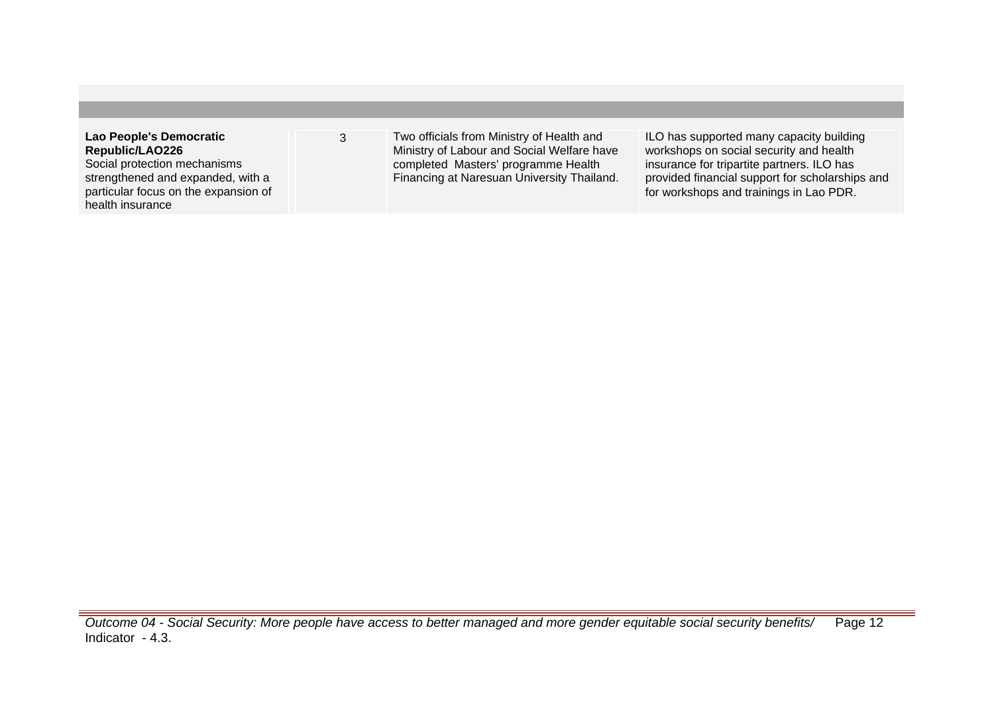| Lao People's Democratic                                  | Two officials from Ministry of Health and  | ILO has supported many capacity building        |
|----------------------------------------------------------|--------------------------------------------|-------------------------------------------------|
| Republic/LAO226                                          | Ministry of Labour and Social Welfare have | workshops on social security and health         |
| Social protection mechanisms                             | completed Masters' programme Health        | insurance for tripartite partners. ILO has      |
| strengthened and expanded, with a                        | Financing at Naresuan University Thailand. | provided financial support for scholarships and |
| particular focus on the expansion of<br>health insurance |                                            | for workshops and trainings in Lao PDR.         |
|                                                          |                                            |                                                 |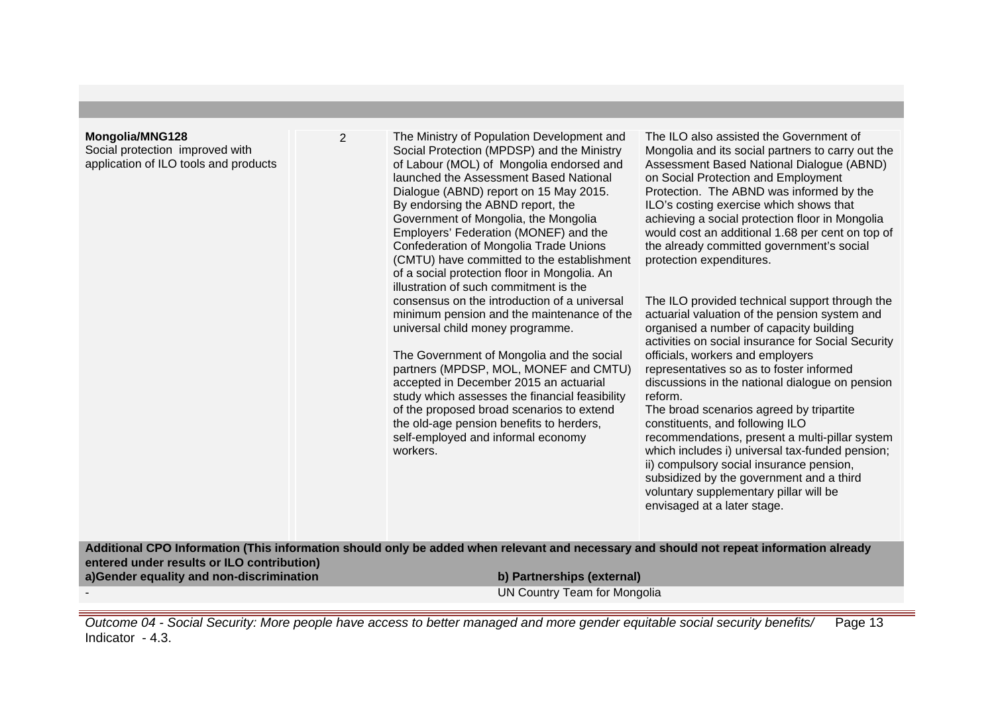## **Mongolia/MNG128**

Social protection improved with application of ILO tools and products 2 The Ministry of Population Development and Social Protection (MPDSP) and the Ministry of Labour (MOL) of Mongolia endorsed and launched the Assessment Based National Dialogue (ABND) report on 15 May 2015. By endorsing the ABND report, the Government of Mongolia, the Mongolia Employers' Federation (MONEF) and the Confederation of Mongolia Trade Unions (CMTU) have committed to the establishment of a social protection floor in Mongolia. An illustration of such commitment is the consensus on the introduction of a universal minimum pension and the maintenance of the universal child money programme.

> The Government of Mongolia and the social partners (MPDSP, MOL, MONEF and CMTU) accepted in December 2015 an actuarial study which assesses the financial feasibility of the proposed broad scenarios to extend the old-age pension benefits to herders, self-employed and informal economy workers.

The ILO also assisted the Government of Mongolia and its social partners to carry out the Assessment Based National Dialogue (ABND) on Social Protection and Employment Protection. The ABND was informed by the ILO's costing exercise which shows that achieving a social protection floor in Mongolia would cost an additional 1.68 per cent on top of the already committed government's social protection expenditures.

The ILO provided technical support through the actuarial valuation of the pension system and organised a number of capacity building activities on social insurance for Social Security officials, workers and employers representatives so as to foster informed discussions in the national dialogue on pension reform.

The broad scenarios agreed by tripartite constituents, and following ILO recommendations, present a multi-pillar system which includes i) universal tax-funded pension; ii) compulsory social insurance pension, subsidized by the government and a third voluntary supplementary pillar will be envisaged at a later stage.

**Additional CPO Information (This information should only be added when relevant and necessary and should not repeat information already entered under results or ILO contribution) a)Gender equality and non-discrimination b) Partnerships (external)**

UN Country Team for Mongolia

Outcome 04 - Social Security: More people have access to better managed and more gender equitable social security benefits/ Indicator - 4.3. Page 13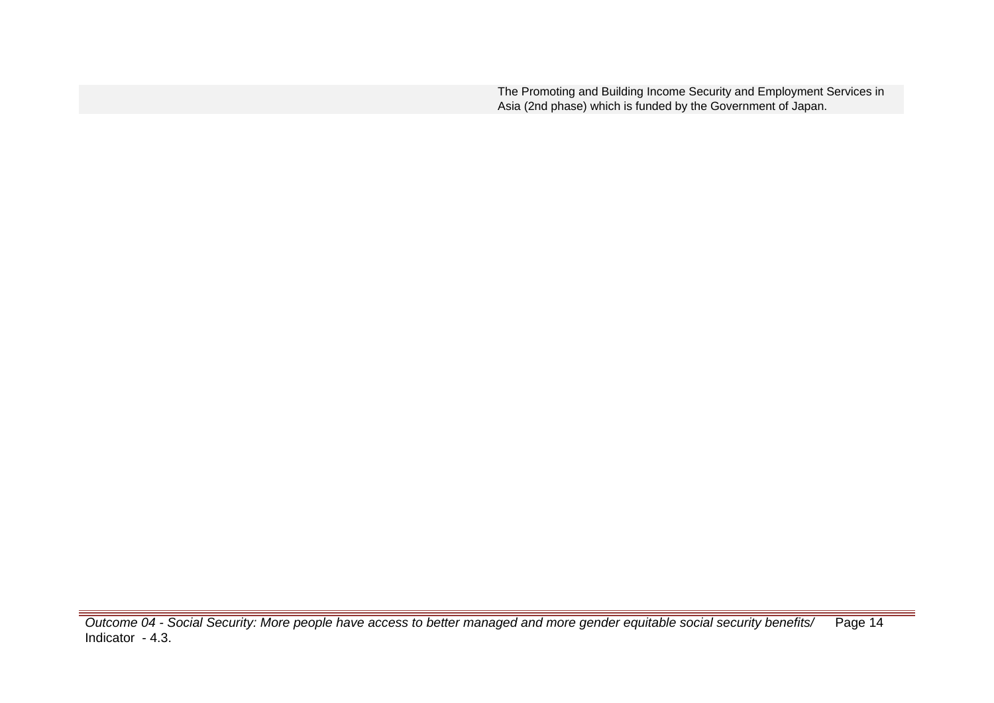The Promoting and Building Income Security and Employment Services in Asia (2nd phase) which is funded by the Government of Japan.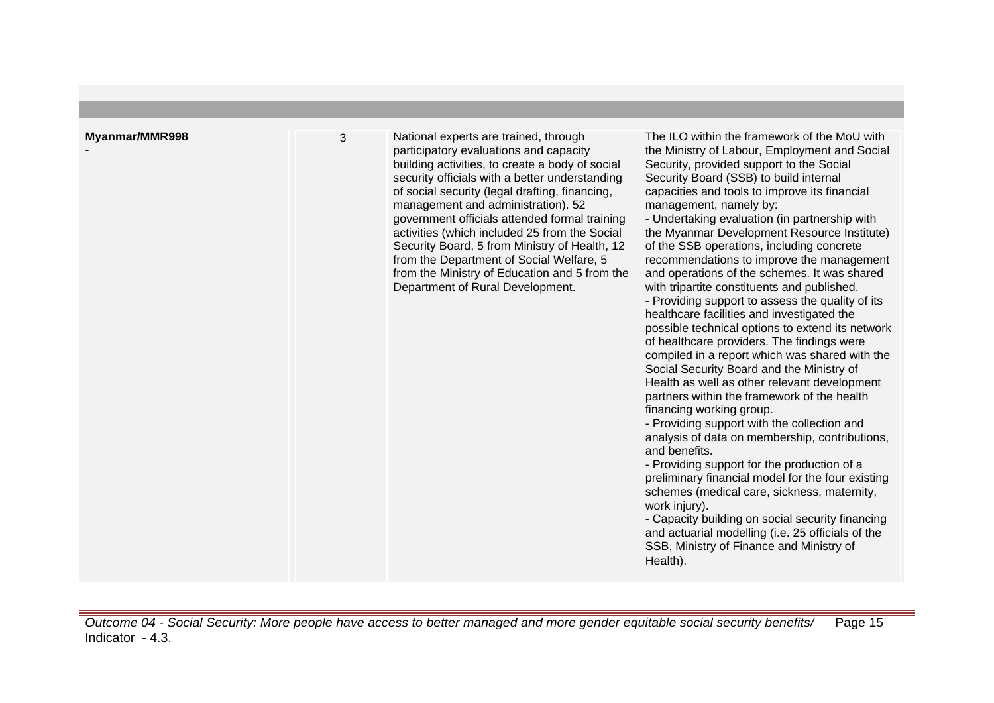| healthcare facilities and investigated the<br>possible technical options to extend its network<br>of healthcare providers. The findings were<br>compiled in a report which was shared with the<br>Social Security Board and the Ministry of<br>Health as well as other relevant development<br>partners within the framework of the health<br>financing working group.<br>- Providing support with the collection and<br>analysis of data on membership, contributions,<br>and benefits.<br>- Providing support for the production of a<br>preliminary financial model for the four existing<br>schemes (medical care, sickness, maternity,<br>work injury).<br>- Capacity building on social security financing<br>and actuarial modelling (i.e. 25 officials of the<br>SSB, Ministry of Finance and Ministry of<br>Health). |
|-------------------------------------------------------------------------------------------------------------------------------------------------------------------------------------------------------------------------------------------------------------------------------------------------------------------------------------------------------------------------------------------------------------------------------------------------------------------------------------------------------------------------------------------------------------------------------------------------------------------------------------------------------------------------------------------------------------------------------------------------------------------------------------------------------------------------------|
|-------------------------------------------------------------------------------------------------------------------------------------------------------------------------------------------------------------------------------------------------------------------------------------------------------------------------------------------------------------------------------------------------------------------------------------------------------------------------------------------------------------------------------------------------------------------------------------------------------------------------------------------------------------------------------------------------------------------------------------------------------------------------------------------------------------------------------|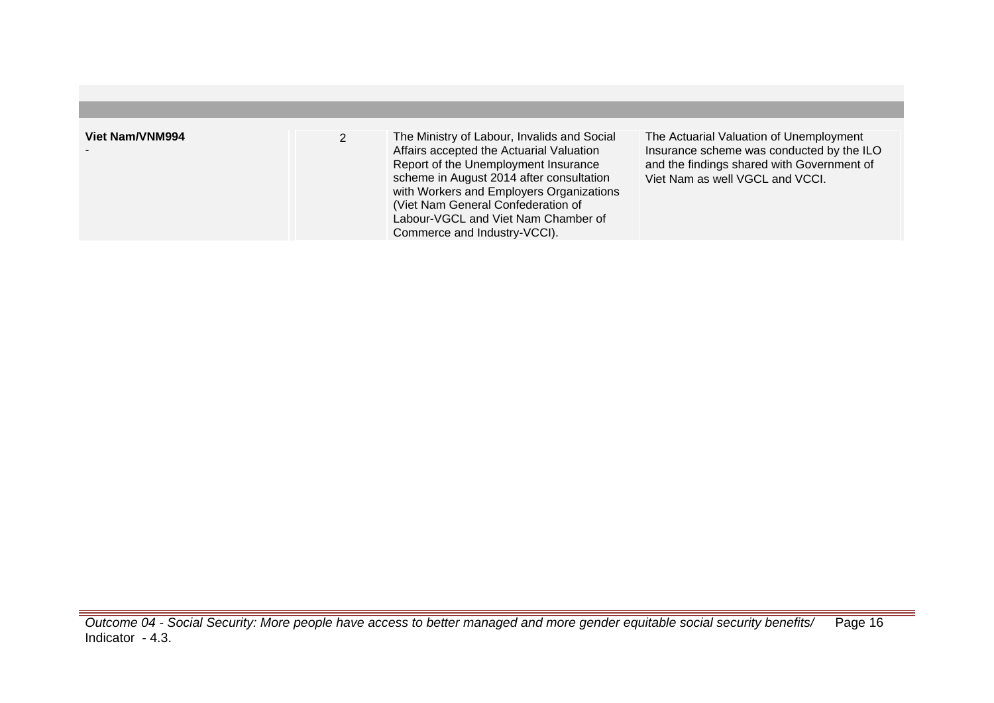| Viet Nam/VNM994 | The Ministry of Labour, Invalids and Social<br>Affairs accepted the Actuarial Valuation<br>Report of the Unemployment Insurance<br>scheme in August 2014 after consultation<br>with Workers and Employers Organizations<br>(Viet Nam General Confederation of<br>Labour-VGCL and Viet Nam Chamber of<br>Commerce and Industry-VCCI). | The Actuarial Valuation of Unemployment<br>Insurance scheme was conducted by the ILO<br>and the findings shared with Government of<br>Viet Nam as well VGCL and VCCI. |
|-----------------|--------------------------------------------------------------------------------------------------------------------------------------------------------------------------------------------------------------------------------------------------------------------------------------------------------------------------------------|-----------------------------------------------------------------------------------------------------------------------------------------------------------------------|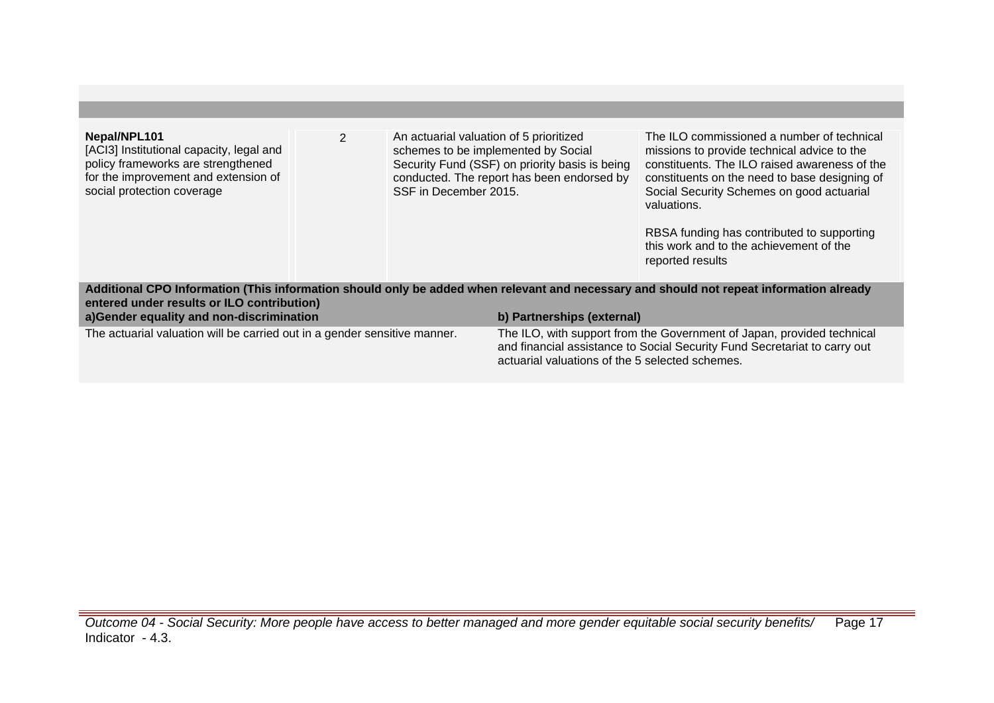| Nepal/NPL101<br>[ACl3] Institutional capacity, legal and<br>policy frameworks are strengthened<br>for the improvement and extension of<br>social protection coverage                                                                                            | $\overline{2}$ | An actuarial valuation of 5 prioritized<br>SSF in December 2015. | schemes to be implemented by Social<br>Security Fund (SSF) on priority basis is being<br>conducted. The report has been endorsed by                                                                    | The ILO commissioned a number of technical<br>missions to provide technical advice to the<br>constituents. The ILO raised awareness of the<br>constituents on the need to base designing of<br>Social Security Schemes on good actuarial<br>valuations.<br>RBSA funding has contributed to supporting<br>this work and to the achievement of the<br>reported results |  |
|-----------------------------------------------------------------------------------------------------------------------------------------------------------------------------------------------------------------------------------------------------------------|----------------|------------------------------------------------------------------|--------------------------------------------------------------------------------------------------------------------------------------------------------------------------------------------------------|----------------------------------------------------------------------------------------------------------------------------------------------------------------------------------------------------------------------------------------------------------------------------------------------------------------------------------------------------------------------|--|
| Additional CPO Information (This information should only be added when relevant and necessary and should not repeat information already<br>entered under results or ILO contribution)<br>a)Gender equality and non-discrimination<br>b) Partnerships (external) |                |                                                                  |                                                                                                                                                                                                        |                                                                                                                                                                                                                                                                                                                                                                      |  |
| The actuarial valuation will be carried out in a gender sensitive manner.                                                                                                                                                                                       |                |                                                                  | The ILO, with support from the Government of Japan, provided technical<br>and financial assistance to Social Security Fund Secretariat to carry out<br>actuarial valuations of the 5 selected schemes. |                                                                                                                                                                                                                                                                                                                                                                      |  |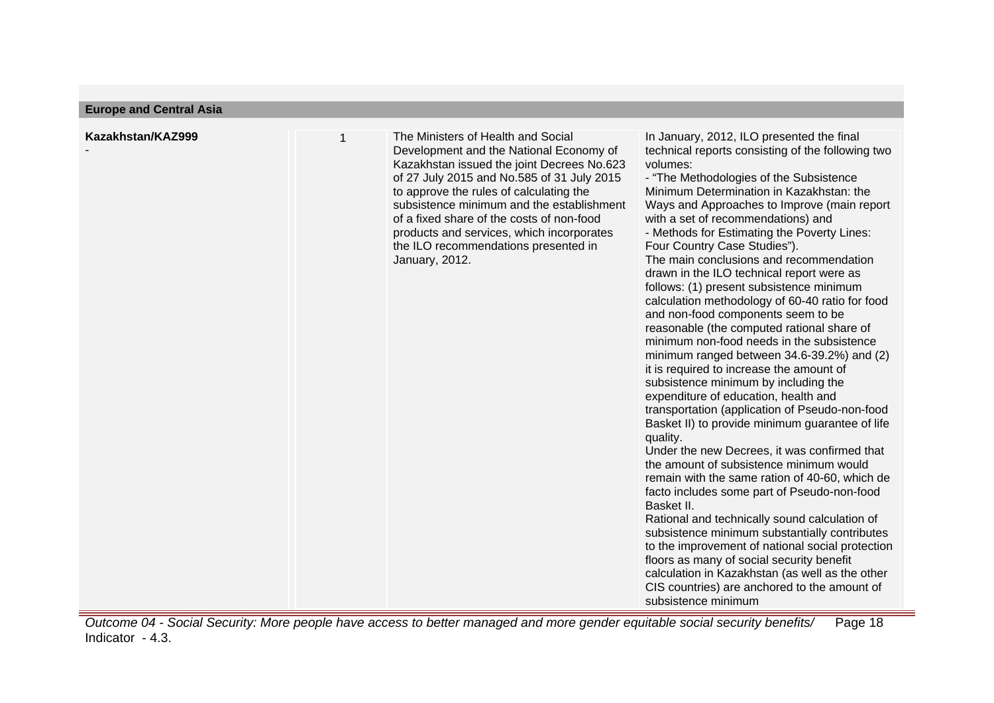| <b>Europe and Central Asia</b> |  |  |  |
|--------------------------------|--|--|--|
|--------------------------------|--|--|--|

| Kazakhstan/KAZ999 | The Ministers of Health and Social<br>Development and the National Economy of<br>Kazakhstan issued the joint Decrees No.623<br>of 27 July 2015 and No.585 of 31 July 2015<br>to approve the rules of calculating the<br>subsistence minimum and the establishment<br>of a fixed share of the costs of non-food<br>products and services, which incorporates<br>the ILO recommendations presented in<br>January, 2012. | In January, 2012, ILO presented the final<br>technical reports consisting of the following two<br>volumes:<br>- "The Methodologies of the Subsistence<br>Minimum Determination in Kazakhstan: the<br>Ways and Approaches to Improve (main report<br>with a set of recommendations) and<br>- Methods for Estimating the Poverty Lines:<br>Four Country Case Studies").<br>The main conclusions and recommendation<br>drawn in the ILO technical report were as<br>follows: (1) present subsistence minimum<br>calculation methodology of 60-40 ratio for food<br>and non-food components seem to be<br>reasonable (the computed rational share of<br>minimum non-food needs in the subsistence<br>minimum ranged between 34.6-39.2%) and (2)<br>it is required to increase the amount of<br>subsistence minimum by including the<br>expenditure of education, health and<br>transportation (application of Pseudo-non-food<br>Basket II) to provide minimum guarantee of life |
|-------------------|-----------------------------------------------------------------------------------------------------------------------------------------------------------------------------------------------------------------------------------------------------------------------------------------------------------------------------------------------------------------------------------------------------------------------|------------------------------------------------------------------------------------------------------------------------------------------------------------------------------------------------------------------------------------------------------------------------------------------------------------------------------------------------------------------------------------------------------------------------------------------------------------------------------------------------------------------------------------------------------------------------------------------------------------------------------------------------------------------------------------------------------------------------------------------------------------------------------------------------------------------------------------------------------------------------------------------------------------------------------------------------------------------------------|
|-------------------|-----------------------------------------------------------------------------------------------------------------------------------------------------------------------------------------------------------------------------------------------------------------------------------------------------------------------------------------------------------------------------------------------------------------------|------------------------------------------------------------------------------------------------------------------------------------------------------------------------------------------------------------------------------------------------------------------------------------------------------------------------------------------------------------------------------------------------------------------------------------------------------------------------------------------------------------------------------------------------------------------------------------------------------------------------------------------------------------------------------------------------------------------------------------------------------------------------------------------------------------------------------------------------------------------------------------------------------------------------------------------------------------------------------|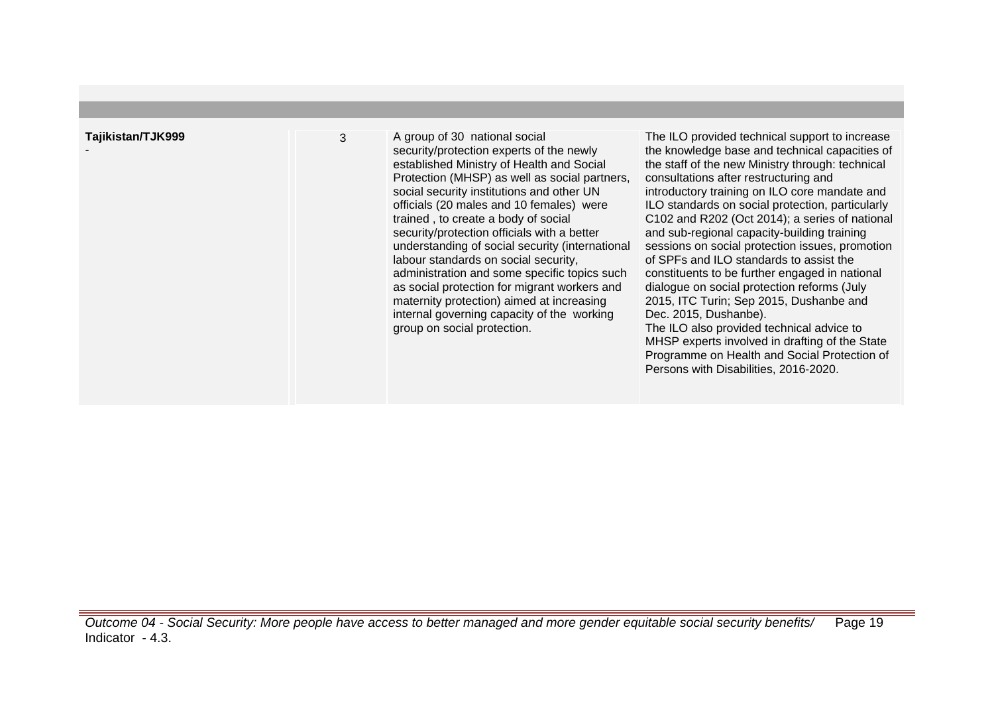-

3 A group of 30 national social security/protection experts of the newly established Ministry of Health and Social Protection (MHSP) as well as social partners, social security institutions and other UN officials (20 males and 10 females) were trained , to create a body of social security/protection officials with a better understanding of social security (international labour standards on social security, administration and some specific topics such as social protection for migrant workers and maternity protection) aimed at increasing internal governing capacity of the working group on social protection.

The ILO provided technical support to increase the knowledge base and technical capacities of the staff of the new Ministry through: technical consultations after restructuring and introductory training on ILO core mandate and ILO standards on social protection, particularly C102 and R202 (Oct 2014); a series of national and sub-regional capacity-building training sessions on social protection issues, promotion of SPFs and ILO standards to assist the constituents to be further engaged in national dialogue on social protection reforms (July 2015, ITC Turin; Sep 2015, Dushanbe and Dec. 2015, Dushanbe). The ILO also provided technical advice to

MHSP experts involved in drafting of the State Programme on Health and Social Protection of Persons with Disabilities, 2016-2020.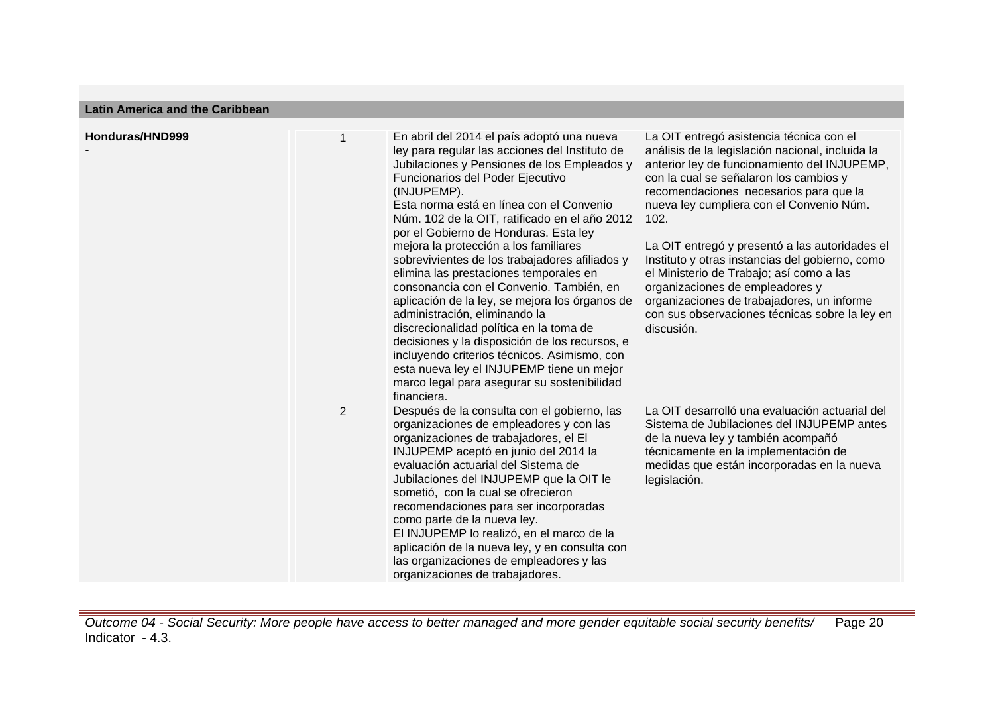**Latin America and the Caribbean**

| Honduras/HND999 |                | En abril del 2014 el país adoptó una nueva<br>ley para regular las acciones del Instituto de<br>Jubilaciones y Pensiones de los Empleados y<br>Funcionarios del Poder Ejecutivo<br>(INJUPEMP).<br>Esta norma está en línea con el Convenio<br>Núm. 102 de la OIT, ratificado en el año 2012<br>por el Gobierno de Honduras. Esta ley<br>mejora la protección a los familiares<br>sobrevivientes de los trabajadores afiliados y<br>elimina las prestaciones temporales en<br>consonancia con el Convenio. También, en<br>aplicación de la ley, se mejora los órganos de<br>administración, eliminando la<br>discrecionalidad política en la toma de<br>decisiones y la disposición de los recursos, e<br>incluyendo criterios técnicos. Asimismo, con<br>esta nueva ley el INJUPEMP tiene un mejor<br>marco legal para asegurar su sostenibilidad<br>financiera. | La OIT entregó asistencia técnica con el<br>análisis de la legislación nacional, incluida la<br>anterior ley de funcionamiento del INJUPEMP,<br>con la cual se señalaron los cambios y<br>recomendaciones necesarios para que la<br>nueva ley cumpliera con el Convenio Núm.<br>102.<br>La OIT entregó y presentó a las autoridades el<br>Instituto y otras instancias del gobierno, como<br>el Ministerio de Trabajo; así como a las<br>organizaciones de empleadores y<br>organizaciones de trabajadores, un informe<br>con sus observaciones técnicas sobre la ley en<br>discusión. |
|-----------------|----------------|------------------------------------------------------------------------------------------------------------------------------------------------------------------------------------------------------------------------------------------------------------------------------------------------------------------------------------------------------------------------------------------------------------------------------------------------------------------------------------------------------------------------------------------------------------------------------------------------------------------------------------------------------------------------------------------------------------------------------------------------------------------------------------------------------------------------------------------------------------------|----------------------------------------------------------------------------------------------------------------------------------------------------------------------------------------------------------------------------------------------------------------------------------------------------------------------------------------------------------------------------------------------------------------------------------------------------------------------------------------------------------------------------------------------------------------------------------------|
|                 | $\overline{2}$ | Después de la consulta con el gobierno, las<br>organizaciones de empleadores y con las<br>organizaciones de trabajadores, el El<br>INJUPEMP aceptó en junio del 2014 la<br>evaluación actuarial del Sistema de<br>Jubilaciones del INJUPEMP que la OIT le<br>sometió, con la cual se ofrecieron<br>recomendaciones para ser incorporadas<br>como parte de la nueva ley.<br>El INJUPEMP lo realizó, en el marco de la<br>aplicación de la nueva ley, y en consulta con<br>las organizaciones de empleadores y las<br>organizaciones de trabajadores.                                                                                                                                                                                                                                                                                                              | La OIT desarrolló una evaluación actuarial del<br>Sistema de Jubilaciones del INJUPEMP antes<br>de la nueva ley y también acompañó<br>técnicamente en la implementación de<br>medidas que están incorporadas en la nueva<br>legislación.                                                                                                                                                                                                                                                                                                                                               |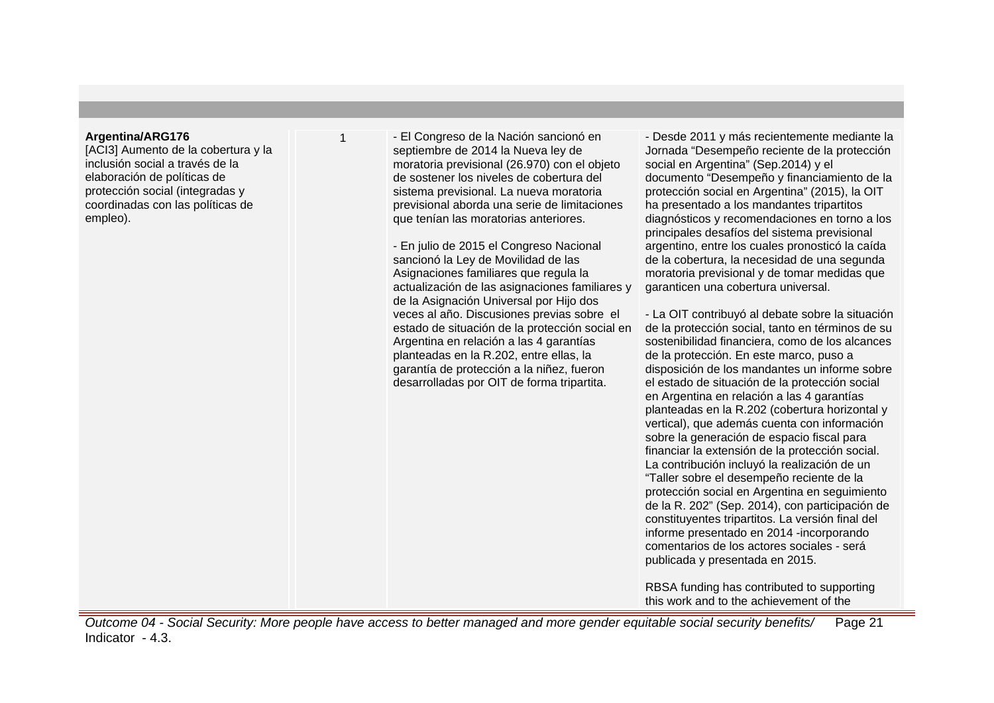## **Argentina/ARG176**

[ACI3] Aumento de la cobertura y la inclusión social a través de la elaboración de políticas de protección social (integradas y coordinadas con las políticas de empleo).

1 - El Congreso de la Nación sancionó en septiembre de 2014 la Nueva ley de moratoria previsional (26.970) con el objeto de sostener los niveles de cobertura del sistema previsional. La nueva moratoria previsional aborda una serie de limitaciones que tenían las moratorias anteriores.

- En julio de 2015 el Congreso Nacional sancionó la Ley de Movilidad de las Asignaciones familiares que regula la actualización de las asignaciones familiares y de la Asignación Universal por Hijo dos veces al año. Discusiones previas sobre el estado de situación de la protección social en Argentina en relación a las 4 garantías planteadas en la R.202, entre ellas, la garantía de protección a la niñez, fueron desarrolladas por OIT de forma tripartita.

- Desde 2011 y más recientemente mediante la Jornada "Desempeño reciente de la protección social en Argentina" (Sep.2014) y el documento "Desempeño y financiamiento de la protección social en Argentina" (2015), la OIT ha presentado a los mandantes tripartitos diagnósticos y recomendaciones en torno a los principales desafíos del sistema previsional argentino, entre los cuales pronosticó la caída de la cobertura, la necesidad de una segunda moratoria previsional y de tomar medidas que garanticen una cobertura universal.

- La OIT contribuyó al debate sobre la situación de la protección social, tanto en términos de su sostenibilidad financiera, como de los alcances de la protección. En este marco, puso a disposición de los mandantes un informe sobre el estado de situación de la protección social en Argentina en relación a las 4 garantías planteadas en la R.202 (cobertura horizontal y vertical), que además cuenta con información sobre la generación de espacio fiscal para financiar la extensión de la protección social. La contribución incluyó la realización de un "Taller sobre el desempeño reciente de la protección social en Argentina en seguimiento de la R. 202" (Sep. 2014), con participación de constituyentes tripartitos. La versión final del informe presentado en 2014 -incorporando comentarios de los actores sociales - será publicada y presentada en 2015.

RBSA funding has contributed to supporting this work and to the achievement of the